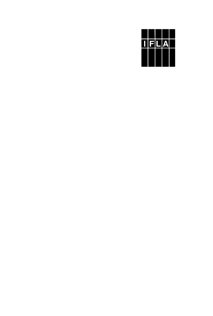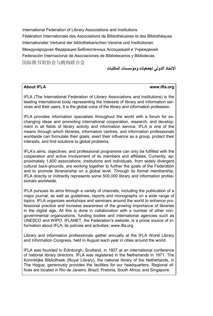International Federation of Library Associations and Institutions Fédération Internationale des Associations de Bibliothécaires et des Bibliothèques Internationaler Verband der bibliothekarischen Vereine und Institutionen Международная Федерация Библиотечных Ассоциаций и Учреждений Federación Internacional de Asociaciones de Bibliotecarios y Bibliotecas 国际图书馆协会与机构联合会

الاتحاد الدولى لجمعيات ومؤسسات المكتبات

#### **About IFLA www.ifla.org**

IFLA (The International Federation of Library Associations and Institutions) is the leading international body representing the interests of library and information services and their users. It is the global voice of the library and information profession.

IFLA provides information specialists throughout the world with a forum for exchanging ideas and promoting international cooperation, research, and development in all fields of library activity and information service. IFLA is one of the means through which libraries, information centres, and information professionals worldwide can formulate their goals, exert their influence as a group, protect their interests, and find solutions to global problems.

IFLA's aims, objectives, and professional programme can only be fulfilled with the cooperation and active involvement of its members and affiliates. Currently, approximately 1,600 associations, institutions and individuals, from widely divergent cultural back-grounds, are working together to further the goals of the Federation and to promote librarianship on a global level. Through its formal membership, IFLA directly or indirectly represents some 500,000 library and information professionals worldwide.

IFLA pursues its aims through a variety of channels, including the publication of a major journal, as well as guidelines, reports and monographs on a wide range of topics. IFLA organizes workshops and seminars around the world to enhance professional practice and increase awareness of the growing importance of libraries in the digital age. All this is done in collaboration with a number of other nongovernmental organizations, funding bodies and international agencies such as UNESCO and WIPO. IFLANET, the Federation's website, is a prime source of information about IFLA, its policies and activities: www.ifla.org

Library and information professionals gather annually at the IFLA World Library and Information Congress, held in August each year in cities around the world.

IFLA was founded in Edinburgh, Scotland, in 1927 at an international conference of national library directors. IFLA was registered in the Netherlands in 1971. The Koninklijke Bibliotheek (Royal Library), the national library of the Netherlands, in The Hague, generously provides the facilities for our headquarters. Regional offices are located in Rio de Janeiro, Brazil; Pretoria, South Africa; and Singapore.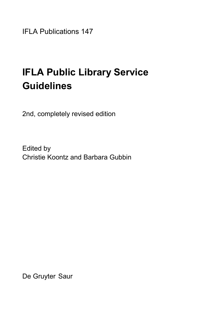IFLA Publications 147

## **IFLA Public Library Service Guidelines**

2nd, completely revised edition

Edited by Christie Koontz and Barbara Gubbin

De Gruyter Saur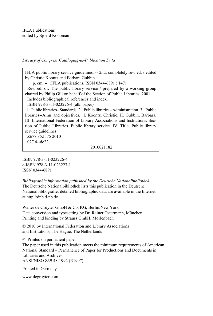*Library of Congress Cataloging-in-Publication Data*

IFLA public library service guidelines. -- 2nd, completely rev. ed. / edited by Christie Koontz and Barbara Gubbin. p. cm. -- (IFLA publications, ISSN 0344-6891 ; 147) Rev. ed. of: The public library service / prepared by a working group chaired by Philip Gill on behalf of the Section of Public Libraries. 2001. Includes bibliographical references and index. ISBN 978-3-11-023226-4 (alk. paper) 1. Public libraries--Standards. 2. Public libraries--Administration. 3. Public libraries--Aims and objectives. I. Koontz, Christie. II. Gubbin, Barbara. III. International Federation of Library Associations and Institutions. Section of Public Libraries. Public library service. IV. Title: Public library service guidelines. Z678.85.I575 2010 027.4--dc22

#### 2010021182

ISBN 978-3-11-023226-4 e-ISBN 978-3-11-023227-1 ISSN 0344-6891

*Bibliographic information published by the Deutsche Nationalbibliothek* The Deutsche Nationalbibliothek lists this publication in the Deutsche Nationalbibliografie; detailed bibliographic data are available in the Internet at http://dnb.d-nb.de.

Walter de Gruyter GmbH & Co. KG, Berlin/New York Data conversion and typesetting by Dr. Rainer Ostermann, München Printing and binding by Strauss GmbH, Mörlenbach

© 2010 by International Federation and Library Associations and Institutions, The Hague, The Netherlands

∞ Printed on permanent paper The paper used in this publication meets the minimum requirements of American National Standard – Permanence of Paper for Productions and Documents in Libraries and Archives ANSI/NISO Z39.48-1992 (R1997)

Printed in Germany

www.degruyter.com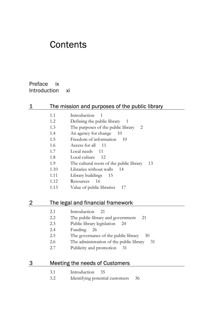## **Contents**

Preface ix Introduction xi

| 1 | The mission and purposes of the public library |  |  |  |  |  |
|---|------------------------------------------------|--|--|--|--|--|
|---|------------------------------------------------|--|--|--|--|--|

- 1.1 Introduction 1
- 1.2 Defining the public library 1
- 1.3 The purposes of the public library 2
- 1.4 An agency for change 10
- 1.5 Freedom of information 10
- 1.6 Access for all 11
- 1.7 Local needs 11
- 1.8 Local culture 12
- 1.9 The cultural roots of the public library 13
- 1.10 Libraries without walls 14
- 1.11 Library buildings 15
- 1.12 Resources 16
- 1.13 Value of public libraries 17

#### 2 The legal and financial framework

- 2.1 Introduction 21
- 2.2 The public library and government 21
- 2.3 Public library legislation 24
- 2.4 Funding 26
- 2.5 The governance of the public library 30
- 2.6 The administration of the public library 31
- 2.7 Publicity and promotion 31

#### 3 Meeting the needs of Customers

- 3.1 Introduction 35
- 3.2 Identifying potential customers 36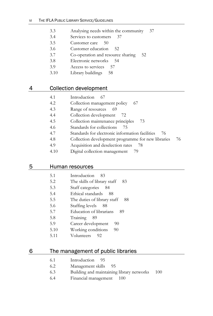- 3.3 Analysing needs within the community 37
- 3.4 Services to customers 37
- 3.5 Customer care 50
- 3.6 Customer education 52
- 3.7 Co-operation and resource sharing 52
- 3.8 Electronic networks 54
- 3.9 Access to services 57
- 3.10 Library buildings 58
- 4 Collection development
	- 4.1 Introduction 67
	- 4.2 Collection management policy 67
	- 4.3 Range of resources 69
	- 4.4 Collection development 72
	- 4.5 Collection maintenance principles 73
	- 4.6 Standards for collections 75
	- 4.7 Standards for electronic information facilities 76
	- 4.8 Collection development programme for new libraries 76
	- 4.9 Acquisition and deselection rates 78
	- 4.10 Digital collection management 79

#### 5 Human resources

- 5.1 Introduction 83
- 5.2 The skills of library staff 83
- 5.3 Staff categories 84
- 5.4 Ethical standards 88
- 5.5 The duties of library staff 88
- 5.6 Staffing levels 88
- 5.7 Education of librarians 89
- 5.8 Training 89
- 5.9 Career development 90
- 5.10 Working conditions 90
- 5.11 Volunteers 92

#### 6 The management of public libraries

- 6.1 Introduction 95
- 6.2 Management skills 95
- 6.3 Building and maintaining library networks 100
- 6.4 Financial management 100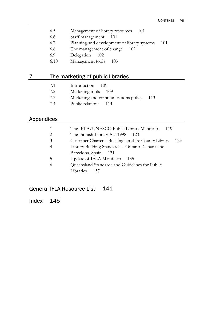- 6.5 Management of library resources 101
- 6.6 Staff management 101
- 6.7 Planning and development of library systems 101
- 6.8 The management of change 102
- 6.9 Delegation 102
- 6.10 Management tools 103

### 7 The marketing of public libraries

- 7.1 Introduction 109
- 7.2 Marketing tools 109
- 7.3 Marketing and communications policy 113
- 7.4 Public relations 114

#### Appendices

| $\overline{1}$ | The IFLA/UNESCO Public Library Manifesto<br>-119         |  |  |  |  |
|----------------|----------------------------------------------------------|--|--|--|--|
| 2              | The Finnish Library Act 1998<br>- 123                    |  |  |  |  |
| 3              | Customer Charter - Buckinghamshire County Library<br>129 |  |  |  |  |
| $\overline{4}$ | Library Building Standards - Ontario, Canada and         |  |  |  |  |
|                | Barcelona, Spain 131                                     |  |  |  |  |
| -5             | Update of IFLA Manifesto<br>135                          |  |  |  |  |
| -6             | Queensland Standards and Guidelines for Public           |  |  |  |  |
|                | Libraries<br>137                                         |  |  |  |  |
|                |                                                          |  |  |  |  |

#### General IFLA Resource List 141

Index 145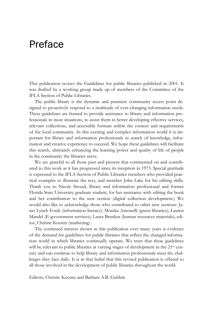## Preface

This publication revises the Guidelines for public libraries published in 2001. It was drafted by a working group made up of members of the Committee of the IFLA Section of Public Libraries.

The public library is the dynamic and premiere community access point designed to proactively respond to a multitude of ever-changing information needs. These guidelines are framed to provide assistance to library and information professionals in most situations, to assist them in better developing effective services, relevant collections, and accessible formats within the context and requirements of the local community. In this exciting and complex information world it is important for library and information professionals in search of knowledge, information and creative experience to succeed. We hope these guidelines will facilitate this search, ultimately enhancing the learning power and quality of life of people in the community the libraries serve.

We are grateful to all those past and present that commented on and contributed to this work as it has progressed since its inception in 1973. Special gratitude is expressed to the IFLA Section of Public Libraries members who provided practical examples to illustrate the text, and member John Lake for his editing skills. Thank you to Nicole Stroud, library and information professional and former Florida State University graduate student, for her assistance with editing the book and her contribution to the new section (digital collection development.) We would also like to acknowledge those who contributed to other new sections: Janet Lynch Forde (information literacy); Monika Antonelli (green libraries); Lauren Mandel (E-government services); Laura Brenkus (human resources materials); editor, Christie Koontz (marketing).

The continued interest shown in this publication over many years is evidence of the demand for guidelines for public libraries that reflect the changed information world in which libraries continually operate. We trust that these guidelines will be relevant to public libraries at varying stages of development in the 21<sup>st</sup> century and can continue to help library and information professionals meet the challenges they face daily. It is in that belief that this revised publication is offered to all those involved in the development of public libraries throughout the world.

Editors, Christie Koontz and Barbara A.B. Gubbin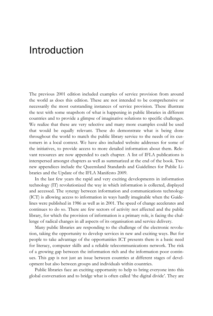## Introduction

The previous 2001 edition included examples of service provision from around the world as does this edition. These are not intended to be comprehensive or necessarily the most outstanding instances of service provision. These illustrate the text with some snapshots of what is happening in public libraries in different countries and to provide a glimpse of imaginative solutions to specific challenges. We realize that these are very selective and many more examples could be used that would be equally relevant. These do demonstrate what is being done throughout the world to match the public library service to the needs of its customers in a local context. We have also included website addresses for some of the initiatives, to provide access to more detailed information about them. Relevant resources are now appended to each chapter. A list of IFLA publications is interspersed amongst chapters as well as summarized at the end of the book. Two new appendices include the Queensland Standards and Guidelines for Public Libraries and the Update of the IFLA Manifesto 2009.

In the last few years the rapid and very exciting developments in information technology (IT) revolutionized the way in which information is collected, displayed and accessed. The synergy between information and communications technology (ICT) is allowing access to information in ways hardly imaginable when the Guidelines were published in 1986 as well as in 2001. The speed of change accelerates and continues to do so. There are few sectors of activity not affected and the public library, for which the provision of information is a primary role, is facing the challenge of radical changes in all aspects of its organisation and service delivery.

Many public libraries are responding to the challenge of the electronic revolution, taking the opportunity to develop services in new and exciting ways. But for people to take advantage of the opportunities ICT presents there is a basic need for literacy, computer skills and a reliable telecommunications network. The risk of a growing gap between the information rich and the information poor continues. This gap is not just an issue between countries at different stages of development but also between groups and individuals within countries.

Public libraries face an exciting opportunity to help to bring everyone into this global conversation and to bridge what is often called 'the digital divide'. They are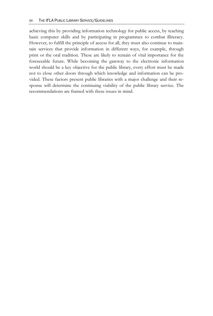achieving this by providing information technology for public access, by teaching basic computer skills and by participating in programmes to combat illiteracy. However, to fulfill the principle of access for all, they must also continue to maintain services that provide information in different ways, for example, through print or the oral tradition. These are likely to remain of vital importance for the foreseeable future. While becoming the gateway to the electronic information world should be a key objective for the public library, every effort must be made not to close other doors through which knowledge and information can be provided. These factors present public libraries with a major challenge and their response will determine the continuing viability of the public library service. The recommendations are framed with these issues in mind.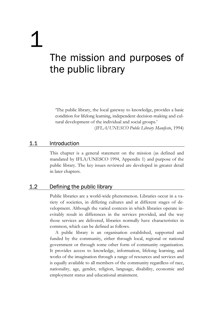# 1 The mission and purposes of the public library

'The public library, the local gateway to knowledge, provides a basic condition for lifelong learning, independent decision-making and cultural development of the individual and social groups.' (*IFLA/UNESCO Public Library Manifesto*, 1994)

#### 1.1 Introduction

This chapter is a general statement on the mission (as defined and mandated by IFLA/UNESCO 1994, Appendix 1) and purpose of the public library. The key issues reviewed are developed in greater detail in later chapters.

#### 1.2 Defining the public library

Public libraries are a world-wide phenomenon. Libraries occur in a variety of societies, in differing cultures and at different stages of development. Although the varied contexts in which libraries operate inevitably result in differences in the services provided, and the way those services are delivered, libraries normally have characteristics in common, which can be defined as follows.

A public library is an organisation established, supported and funded by the community, either through local, regional or national government or through some other form of community organisation. It provides access to knowledge, information, lifelong learning, and works of the imagination through a range of resources and services and is equally available to all members of the community regardless of race, nationality, age, gender, religion, language, disability, economic and employment status and educational attainment.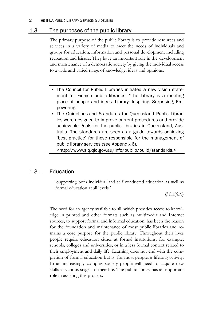#### 1.3 The purposes of the public library

The primary purpose of the public library is to provide resources and services in a variety of media to meet the needs of individuals and groups for education, information and personal development including recreation and leisure. They have an important role in the development and maintenance of a democratic society by giving the individual access to a wide and varied range of knowledge, ideas and opinions.

- ▶ The Council for Public Libraries initiated a new vision statement for Finnish public libraries, "The Library is a meeting place of people and ideas. Library: Inspiring, Surprising, Empowering."
- The Guidelines and Standards for Queensland Public Libraries were designed to improve current procedures and provide achievable goals for the public libraries in Queensland, Australia. The standards are seen as a guide towards achieving 'best practice' for those responsible for the management of public library services (see Appendix 6).

<http://www.slq.qld.gov.au/info/publib/build/standards.>

#### 1.3.1 Education

'Supporting both individual and self conducted education as well as formal education at all levels.'

(*Manifesto*)

The need for an agency available to all, which provides access to knowledge in printed and other formats such as multimedia and Internet sources, to support formal and informal education, has been the reason for the foundation and maintenance of most public libraries and remains a core purpose for the public library. Throughout their lives people require education either at formal institutions, for example, schools, colleges and universities, or in a less formal context related to their employment and daily life. Learning does not end with the completion of formal education but is, for most people, a lifelong activity. In an increasingly complex society people will need to acquire new skills at various stages of their life. The public library has an important role in assisting this process.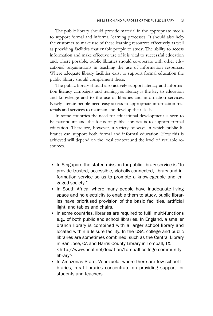The public library should provide material in the appropriate media to support formal and informal learning processes. It should also help the customer to make use of these learning resources effectively as well as providing facilities that enable people to study. The ability to access information and make effective use of it is vital to successful education and, where possible, public libraries should co-operate with other educational organisations in teaching the use of information resources. Where adequate library facilities exist to support formal education the public library should complement these.

The public library should also actively support literacy and information literacy campaigns and training, as literacy is the key to education and knowledge and to the use of libraries and information services. Newly literate people need easy access to appropriate information materials and services to maintain and develop their skills.

In some countries the need for educational development is seen to be paramount and the focus of public libraries is to support formal education. There are, however, a variety of ways in which public libraries can support both formal and informal education. How this is achieved will depend on the local context and the level of available resources.

- ▶ In Singapore the stated mission for public library service is "to provide trusted, accessible, globally-connected, library and information service so as to promote a knowlegeable and engaged society."
- In South Africa, where many people have inadequate living space and no electricity to enable them to study, public libraries have prioritised provision of the basic facilities, artificial light, and tables and chairs.
- In some countries, libraries are required to fulfil multi-functions e.g., of both public and school libraries. In England, a smaller branch library is combined with a larger school library and located within a leisure facility. In the USA, college and public libraries are sometimes combined, such as the Central Library in San Jose, CA and Harris County Library in Tomball, TX. <http://www.hcpl.net/location/tomball-college-communitylibrary>
- In Amazonas State, Venezuela, where there are few school libraries, rural libraries concentrate on providing support for students and teachers.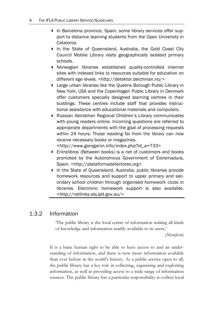- In Barcelona province, Spain, some library services offer support to distance learning students from the Open University in Catalonia.
- In the State of Queensland, Australia, the Gold Coast City Council Mobile Library visits geographically isolated primary schools.
- Norwegian libraries established quality-controlled internet sites with indexed links to resources suitable for education on different age levels. <http://detektor.deichman.no/>
- Large urban libraries like the Queens Borough Public Library in New York, USA and the Copenhagen Public Library in Denmark offer customers specially designed learning centres in their buildings. These centres include staff that provides instructional assistance with educational materials and computers.
- Russian Astrakhan Regional Children's Library communicates with young readers online. Incoming questions are referred to appropriate departments with the goal of processing requests within 24 hours. Those residing far from the library can now receive necessary books or magazines.

<http://www.goroganin.info/index.php?id\_a=733>

- *Entrelibros* (Between books) is a *net* of customers and books promoted by the Autonomous Government of Extremadura, Spain. <http://plataformadelectores.org>
- In the State of Queensland, Australia, public libraries provide homework resources and support to upper primary and secondary school children through organised homework clubs in libraries. Electronic homework support is also available. <http://netlinks.slq.qld.gov.au/>

#### 1.3.2 Information

'The public library is the local centre of information making all kinds of knowledge and information readily available to its users.'

(*Manifesto*)

It is a basic human right to be able to have access to and an understanding of information, and there is now more information available than ever before in the world's history. As a public service open to all, the public library has a key role in collecting, organizing and exploiting information, as well as providing access to a wide range of information sources. The public library has a particular responsibility to collect local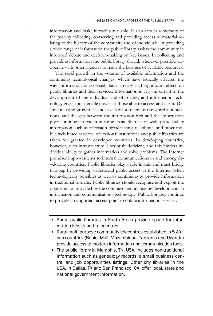information and make it readily available. It also acts as a memory of the past by collecting, conserving and providing access to material relating to the history of the community and of individuals. In providing a wide range of information the public library assists the community in informed debate and decision-making on key issues. In collecting and providing information the public library should, wherever possible, cooperate with other agencies to make the best use of available resources.

The rapid growth in the volume of available information and the continuing technological changes, which have radically affected the way information is accessed, have already had significant effect on public libraries and their services. Information is very important to the development of the individual and of society, and information technology gives considerable power to those able to access and use it. Despite its rapid growth it is not available to many of the world's populations, and the gap between the information rich and the information poor continues to widen in some areas. Sources of widespread public information such as television broadcasting, telephone, and other mobile web based services, educational institutions and public libraries are taken for granted in developed countries. In developing countries, however, such infrastructure is seriously deficient, and this hinders individual ability to gather information and solve problems. The Internet promises improvements to internal communications in and among developing countries. Public libraries play a role in this and must bridge that gap by providing widespread public access to the Internet (when technologically possible) as well as continuing to provide information in traditional formats. Public libraries should recognise and exploit the opportunities provided by the continued and increasing developments in information and communications technology. Public libraries continue to provide an important access point to online information services.

- Some public libraries in South Africa provide space for information kiosks and telecentres.
- Rural multi-purpose community telecentres established in 5 African countries (Benin, Mali, Mozambique, Tanzania and Uganda) provide access to modern information and communication tools.
- The public library in Memphis, TN, USA, includes non-traditional information such as genealogy records, a small business centre, and job opportunities listings. Other city libraries in the USA, in Dallas, TX and San Francisco, CA, offer local, state and national government information.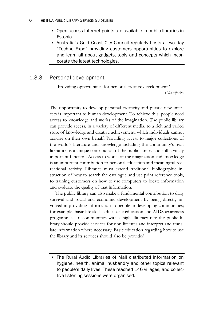- Open access Internet points are available in public libraries in Estonia.
- Australia's Gold Coast City Council regularly hosts a two day "Techno Expo" providing customers opportunities to explore and learn all about gadgets, tools and concepts which incorporate the latest technologies.

#### 1.3.3 Personal development

'Providing opportunities for personal creative development.' (*Manifesto*)

The opportunity to develop personal creativity and pursue new interests is important to human development. To achieve this, people need access to knowledge and works of the imagination. The public library can provide access, in a variety of different media, to a rich and varied store of knowledge and creative achievement, which individuals cannot acquire on their own behalf. Providing access to major collections of the world's literature and knowledge including the community's own literature, is a unique contribution of the public library and still a vitally important function. Access to works of the imagination and knowledge is an important contribution to personal education and meaningful recreational activity. Libraries must extend traditional bibliographic instruction of how to search the catalogue and use print reference tools, to training customers on how to use computers to locate information and evaluate the quality of that information.

The public library can also make a fundamental contribution to daily survival and social and economic development by being directly involved in providing information to people in developing communities; for example, basic life skills, adult basic education and AIDS awareness programmes. In communities with a high illiteracy rate the public library should provide services for non-literates and interpret and translate information where necessary. Basic education regarding how to use the library and its services should also be provided.

 The Rural Audio Libraries of Mali distributed information on hygiene, health, animal husbandry and other topics relevant to people's daily lives. These reached 146 villages, and collective listening sessions were organised.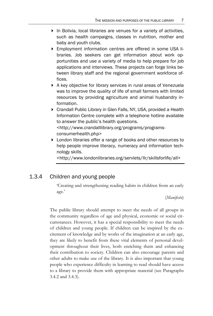- In Bolivia, local libraries are venues for a variety of activities, such as health campaigns, classes in nutrition, mother and baby and youth clubs.
- Employment information centres are offered in some USA libraries. Job seekers can get information about work opportunities and use a variety of media to help prepare for job applications and interviews. These projects can forge links between library staff and the regional government workforce offices.
- A key objective for library services in rural areas of Venezuela was to improve the quality of life of small farmers with limited resources by providing agriculture and animal husbandry information.
- Crandall Public Library in Glen Falls, NY, USA, provided a Health Information Centre complete with a telephone hotline available to answer the public's health questions. <http://www.crandalllibrary.org/programs/programsconsumerhealth.php>
- London libraries offer a range of books and other resources to help people improve literacy, numeracy and information technology skills.

<http://www.londonlibraries.org/servlets/llr/skillsforlife/all>

#### 1.3.4 Children and young people

'Creating and strengthening reading habits in children from an early age.'

(*Manifesto*)

The public library should attempt to meet the needs of all groups in the community regardless of age and physical, economic or social circumstances. However, it has a special responsibility to meet the needs of children and young people. If children can be inspired by the excitement of knowledge and by works of the imagination at an early age, they are likely to benefit from these vital elements of personal development throughout their lives, both enriching them and enhancing their contribution to society. Children can also encourage parents and other adults to make use of the library. It is also important that young people who experience difficulty in learning to read should have access to a library to provide them with appropriate material (see Paragraphs 3.4.2 and 3.4.3).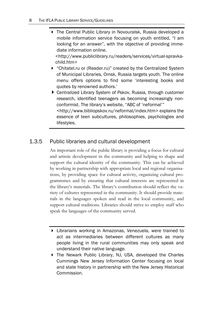- The Central Public Library in Novouralsk, Russia developed a mobile information service focusing on youth entitled, "I am looking for an answer", with the objective of providing immediate information online. <http://www.publiclibrary.ru/readers/services/virtual-spravkachild.htm>
- "Chitatel.ru or (Reader.ru)" created by the Centralized System of Municipal Libraries, Omsk, Russia targets youth. The online menu offers options to find some 'interesting books and quotes by renowned authors.'
- ▶ Centralized Library System of Pskov, Russia, through customer research, identified teenagers as becoming increasingly nonconformist. The library's website, "ABC of 'neformal'" <http://www.bibliopskov.ru/neformal/index.htm> explains the essence of teen subcultures, philosophies, psychologies and lifestyles.

#### 1.3.5 Public libraries and cultural development

An important role of the public library is providing a focus for cultural and artistic development in the community and helping to shape and support the cultural identity of the community. This can be achieved by working in partnership with appropriate local and regional organisations, by providing space for cultural activity, organizing cultural programmmes and by ensuring that cultural interests are represented in the library's materials. The library's contribution should reflect the variety of cultures represented in the community. It should provide materials in the languages spoken and read in the local community, and support cultural traditions. Libraries should strive to employ staff who speak the languages of the community served.

- Librarians working in Amazonas, Venezuela, were trained to act as intermediaries between different cultures as many people living in the rural communities may only speak and understand their native language.
- The Newark Public Library, NJ, USA, developed the Charles Cummings New Jersey Information Center focusing on local and state history in partnership with the New Jersey Historical Commission.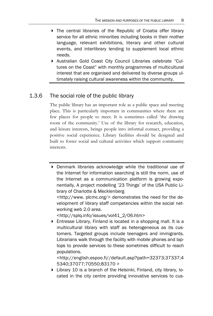- ▶ The central libraries of the Republic of Croatia offer library service for all ethnic minorities including books in their mother language, relevant exhibitions, literary and other cultural events, and interlibrary lending to supplement local ethnic needs.
- Australian Gold Coast City Council Libraries celebrate "Cultures on the Coast" with monthly programmes of multicultural interest that are organised and delivered by diverse groups ultimately raising cultural awareness within the community.

#### 1.3.6 The social role of the public library

The public library has an important role as a public space and meeting place. This is particularly important in communities where there are few places for people to meet. It is sometimes called 'the drawing room of the community.' Use of the library for research, education, and leisure interests, brings people into informal contact, providing a positive social experience. Library facilities should be designed and built to foster social and cultural activities which support community interests.

 Denmark libraries acknowledge while the traditional use of the Internet for information searching is still the norm, use of the Internet as a communication platform is growing exponentially. A project modelling '23 Things' of the USA Public Library of Charlotte & Mecklenberg <http://www. plcmc.org/> demonstrates the need for the development of library staff competencies within the social networking web 2.0 area.

<http://splq.info/issues/vol41\_2/06.htm>

 Entresse Library, Finland is located in a shopping mall. It is a multicultural library with staff as heterogeneous as its customers. Targeted groups include teenagers and immigrants. Librarians walk through the facility with mobile phones and laptops to provide services to these sometimes difficult to reach populations.

<http://english.espoo.fi//default.asp?path=32373;37337;4 5340;37077;70550;83170 >

 Library 10 is a branch of the Helsinki, Finland, city library, located in the city centre providing innovative services to cus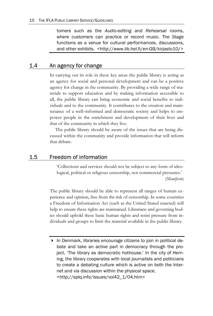tomers such as the *Audio-editing* and *Rehearsal* rooms, where customers can practice or record music. The *Stage* functions as a venue for cultural performances, discussions, and other exhibits. <http://www.lib.hel.fi/en-GB/kirjasto10/>

#### 1.4 An agency for change

In carrying out its role in these key areas the public library is acting as an agency for social and personal development and can be a positive agency for change in the community. By providing a wide range of materials to support education and by making information accessible to all, the public library can bring economic and social benefits to individuals and to the community. It contributes to the creation and maintenance of a well–informed and democratic society and helps to empower people in the enrichment and development of their lives and that of the community in which they live.

The public library should be aware of the issues that are being discussed within the community and provide information that will inform that debate.

#### 1.5 Freedom of information

'Collections and services should not be subject to any form of ideological, political or religious censorship, nor commercial pressures.' (*Manifesto*)

The public library should be able to represent all ranges of human experience and opinion, free from the risk of censorship. In some countries a Freedom of Information Act (such as the United Stated enacted) will help to ensure these rights are maintained. Librarians and governing bodies should uphold these basic human rights and resist pressure from individuals and groups to limit the material available in the public library.

 In Denmark, libraries encourage citizens to join in political debate and take an active part in democracy through the project, 'The library as democratic hothouse.' In the city of Herning, the library cooperates with local journalists and politicians to create a debating culture which is active on both the Internet and via discussion within the physical space. <http://splq.info/issues/vol42\_1/04.htm>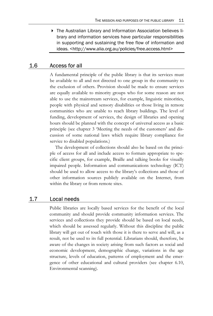The Australian Library and Information Association believes library and information services have particular responsibilities in supporting and sustaining the free flow of information and ideas. <http://www.alia.org.au/policies/free.access.html>

#### 1.6 Access for all

A fundamental principle of the public library is that its services must be available to all and not directed to one group in the community to the exclusion of others. Provision should be made to ensure services are equally available to minority groups who for some reason are not able to use the mainstream services, for example, linguistic minorities, people with physical and sensory disabilities or those living in remote communities who are unable to reach library buildings. The level of funding, development of services, the design of libraries and opening hours should be planned with the concept of universal access as a basic principle (see chapter 3 'Meeting the needs of the customers' and discussion of some national laws which require library compliance for service to disabled populations.)

The development of collections should also be based on the principle of access for all and include access to formats appropriate to specific client groups, for example, Braille and talking books for visually impaired people. Information and communications technology (ICT) should be used to allow access to the library's collections and those of other information sources publicly available on the Internet, from within the library or from remote sites.

#### 1.7 Local needs

Public libraries are locally based services for the benefit of the local community and should provide community information services. The services and collections they provide should be based on local needs, which should be assessed regularly. Without this discipline the public library will get out of touch with those it is there to serve and will, as a result, not be used to its full potential. Librarians should, therefore, be aware of the changes in society arising from such factors as social and economic development, demographic change, variations in the age structure, levels of education, patterns of employment and the emergence of other educational and cultural providers (see chapter 6.10, Environmental scanning).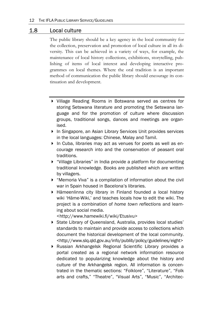#### 1.8 Local culture

The public library should be a key agency in the local community for the collection, preservation and promotion of local culture in all its diversity. This can be achieved in a variety of ways, for example, the maintenance of local history collections, exhibitions, storytelling, publishing of items of local interest and developing interactive programmes on local themes. Where the oral tradition is an important method of communication the public library should encourage its continuation and development.

- Village Reading Rooms in Botswana served as centres for storing Setswana literature and promoting the Setswana language and for the promotion of culture where discussion groups, traditional songs, dances and meetings are organised.
- ▶ In Singapore, an Asian Library Services Unit provides services in the local languages: Chinese, Malay and Tamil.
- In Cuba, libraries may act as venues for poets as well as encourage research into and the conservation of peasant oral traditions.
- "Village Libraries" in India provide a platform for documenting traditional knowledge. Books are published which are written by villagers.
- "Memoria Viva" is a compilation of information about the civil war in Spain housed in Bacelona's libraries.
- Hämeenlinna city library in Finland founded a local history wiki 'Häme-Wiki,' and teaches locals how to edit the wiki. The project is a combination of *home town reflections* and learning about social media.

<http://www.hamewiki.fi/wiki/Etusivu>

- State Library of Queensland, Australia, provides local studies' standards to maintain and provide access to collections which document the historical development of the local community. <http://www.slq.qld.gov.au/info/publib/policy/guidelines/eight>
- Russian Arkhangelsk Regional Scientific Library provides a portal created as a regional network information resource dedicated to popularizing knowledge about the history and culture of the Arkhangelsk region. All information is concentrated in the thematic sections: "Folklore", "Literature", "Folk arts and crafts," "Theatre", "Visual Arts", "Music", "Architec-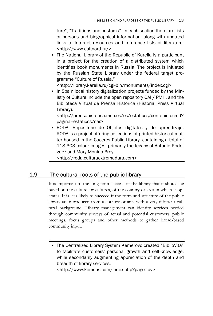ture", "Traditions and customs". In each section there are lists of persons and biographical information, along with updated links to Internet resources and reference lists of literature. <http://www.cultnord.ru/>

 The National Library of the Republic of Karelia is a participant in a project for the creation of a distributed system which identifies book monuments in Russia. The project is initiated by the Russian State Library under the federal target programme "Culture of Russia."

<http://library.karelia.ru/cgi-bin/monuments/index.cgi>

 In Spain local history digitalization projects funded by the Ministry of Culture include the open repository OAI / PMH, and the Biblioteca Virtual de Prensa Historica (Historial Press Virtual Library).

<http://prensahistorica.mcu.es/es/estaticos/contenido.cmd? pagina=estaticos/oai>

 RODA, Repositorio de Objetos digitales y de aprendizaje. RODA is a project offering collections of printed historical matter housed in the Caceres Public Library, containing a total of 118 303 colour images, primarily the legacy of Antonio Rodriguez and Mary Monino Brey.

<http://roda.culturaextremadura.com>

#### 1.9 The cultural roots of the public library

It is important to the long-term success of the library that it should be based on the culture, or cultures, of the country or area in which it operates. It is less likely to succeed if the form and structure of the public library are introduced from a country or area with a very different cultural background. Library management can identify services needed through community surveys of actual and potential customers, public meetings, focus groups and other methods to gather broad-based community input.

 The Centralized Library System Kemerovo created "BiblioVita" to facilitate customers' personal growth and self-knowledge, while secondarily augmenting appreciation of the depth and breadth of library services. <http://www.kemcbs.com/index.php?page=bv>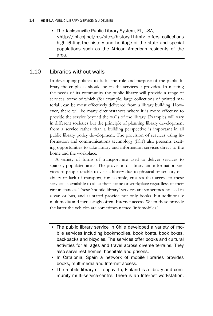▶ The Jacksonville Public Library System, FL, USA, <http://jpl.coj.net/res/sites/historyfl.html> offers collections highlighting the history and heritage of the state and special populations such as the African American residents of the area.

#### 1.10 Libraries without walls

In developing policies to fulfill the role and purpose of the public library the emphasis should be on the services it provides. In meeting the needs of its community the public library will provide a range of services, some of which (for example, large collections of printed material), can be most effectively delivered from a library building. However, there will be many circumstances where it is more effective to provide the service beyond the walls of the library. Examples will vary in different societies but the principle of planning library development from a service rather than a building perspective is important in all public library policy development. The provision of services using information and communications technology (ICT) also presents exciting opportunities to take library and information services direct to the home and the workplace.

A variety of forms of transport are used to deliver services to sparsely populated areas. The provision of library and information services to people unable to visit a library due to physical or sensory disability or lack of transport, for example, ensures that access to these services is available to all at their home or workplace regardless of their circumstances. These 'mobile library' services are sometimes housed in a van or bus, and as stated provide not only books, but additionally multimedia and increasingly often, Internet access. When these provide the latter the vehicles are sometimes named 'infomobiles.'

- The public library service in Chile developed a variety of mobile services including bookmobiles, book boats, book boxes, backpacks and bicycles. The services offer books and cultural activities for all ages and travel across diverse terrains. They also serve rest homes, hospitals and prisons.
- In Catalonia, Spain a network of mobile libraries provides books, multimedia and Internet access.
- The mobile library of Leppävirta, Finland is a library and community multi-service-centre. There is an Internet workstation,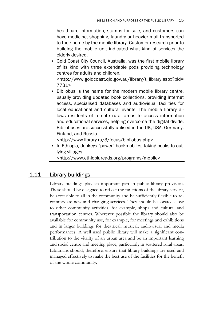healthcare information, stamps for sale, and customers can have medicine, shopping, laundry or heavier mail transported to their home by the mobile library. Customer research prior to building the mobile unit indicated what kind of services the elderly desired.

- Gold Coast City Council, Australia, was the first mobile library of its kind with three extendable pods providing technology centres for adults and children. <http://www.goldcoast.qld.gov.au/library/t\_library.aspx?pid=
- Bibliobus is the name for the modern mobile library centre, usually providing updated book collections, providing Internet access, specialised databases and audiovisual facilities for local educational and cultural events. The mobile library allows residents of remote rural areas to access information and educational services, helping overcome the digital divide. Bibliobuses are successfully utilised in the UK, USA, Germany, Finland, and Russia.

<http://www.library.ru/3/focus/bibliobus.php>

 In Ethiopia, donkeys "power" bookmobiles, taking books to outlying villages.

<http://www.ethiopiareads.org/programs/mobile>

#### 1.11 Library buildings

7731>

Library buildings play an important part in public library provision. These should be designed to reflect the functions of the library service, be accessible to all in the community and be sufficiently flexible to accommodate new and changing services. They should be located close to other community activities, for example, shops and cultural and transportation centres. Wherever possible the library should also be available for community use, for example, for meetings and exhibitions and in larger buildings for theatrical, musical, audiovisual and media performances. A well used public library will make a significant contribution to the vitality of an urban area and be an important learning and social centre and meeting place, particularly in scattered rural areas. Librarians should, therefore, ensure that library buildings are used and managed effectively to make the best use of the facilities for the benefit of the whole community.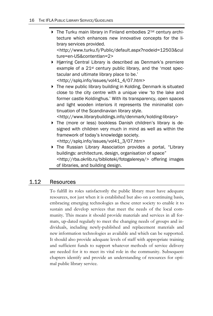- $\triangleright$  The Turku main library in Finland embodies  $2^{1st}$  century architecture which enhances new innovative concepts for the library services provided. <http://www.turku.fi/Public/default.aspx?nodeid=12503&cul ture=en-US&contentlan=2>
- Hjørring Central Library is described as Denmark's premiere example of a 21st century public library, and the 'most spectacular and ultimate library place to be.' <http://splq.info/issues/vol41\_4/07.htm>
- The new public library building in Kolding, Denmark is situated close to the city centre with a unique view 'to the lake and former castle Koldinghus.' With its transparency, open spaces and light wooden interiors it represents the minimalist continuation of the Scandinavian library style.

<http://www.librarybuildings.info/denmark/kolding-library>

 The (more or less) bookless Danish children's library is designed with children very much in mind as well as within the framework of today's knowledge society.

<http://splq.info/issues/vol41\_3/07.htm>

 The Russian Library Association provides a portal, "Library buildings: architecture, design, organisation of space" <http://rba.okrlib.ru/biblioteki/fotogalereya/> offering images of libraries, and building design.

#### 1.12 Resources

To fulfill its roles satisfactorily the public library must have adequate resources, not just when it is established but also on a continuing basis, embracing emerging technologies as these enter society to enable it to sustain and develop services that meet the needs of the local community. This means it should provide materials and services in all formats, up-dated regularly to meet the changing needs of groups and individuals, including newly-published and replacement materials and new information technologies as available and which can be supported. It should also provide adequate levels of staff with appropriate training and sufficient funds to support whatever methods of service delivery are needed for it to meet its vital role in the community. Subsequent chapters identify and provide an understanding of resources for optimal public library service.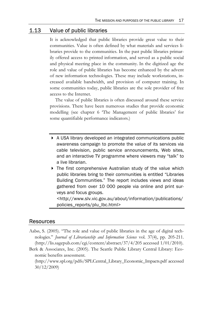#### 1.13 Value of public libraries

It is acknowledged that public libraries provide great value to their communities. Value is often defined by what materials and services libraries provide to the communities. In the past public libraries primarily offered access to printed information, and served as a public social and physical meeting place in the community. In the digitized age the role and value of public libraries has become enhanced by the advent of new information technologies. These may include workstations, increased available bandwidth, and provision of computer training. In some communities today, public libraries are the sole provider of free access to the Internet.

The value of public libraries is often discussed around these service provisions. There have been numerous studies that provide economic modelling (see chapter 6 'The Management of public libraries' for some quantifiable performance indicators.)

- A USA library developed an integrated communications public awareness campaign to promote the value of its services via cable television, public service announcements, Web sites, and an interactive TV programme where viewers may "talk" to a live librarian.
- The first comprehensive Australian study of the value which public libraries bring to their communities is entitled "Libraries Building Communities." The report includes views and ideas gathered from over 10 000 people via online and print surveys and focus groups.

<http://www.slv.vic.gov.au/about/information/publications/ policies\_reports/plu\_lbc.html>

#### **Resources**

Aabø, S. (2005). "The role and value of public libraries in the age of digital technologies." *Journal of Librarianship and Information Science* vol. 37(4), pp. 205-211. (http://lis.sagepub.com/cgi/content/abstract/37/4/205 accessed 1/01/2010).

Berk & Associates, Inc. (2005). The Seattle Public Library Central Library: Economic benefits assessment.

(http://www.spl.org/pdfs/SPLCentral\_Library\_Economic\_Impacts.pdf accessed 30/12/2009)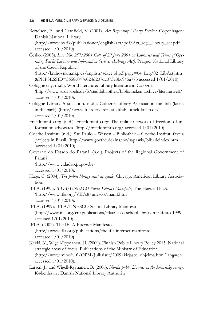Bertelsen, E., and Cranfield, V. (2001). *Act Regarding Library Services*. Copenhagen: Danish National Library.

(http://www.bs.dk/publikationer/english/act/pdf/Act\_reg\_\_library\_ser.pdf accessed 1/01/2010)

Česko. (2003). *Law No. 257/2001 Coll. of 29 June 2001 on Libraries and Terms of Operating Public Library and Information Services (Library Act).* Prague: National Library of the Czech Republic.

(http://knihovnam.nkp.cz/english/sekce.php3?page=04\_Leg/02\_LibAct.htm &PHPSESSID=3658c047e024d207dc073e8bc945a775 accessed 1/01/2010).

- Cologne city. (n.d.). World literature: Library literature in Cologne. (http://www.stadt-koeln.de/5/stadtbibliothek/bibliotheken-archive/literaturwelt/ accessed 1/01/2010).
- Cologne Library Association. (n.d.). Cologne Library Association minibib (kiosk in the park). (http://www.foerderverein-stadtbibliothek-koeln.de/ accessed 1/01/2010)
- Freedominfo.org. (n.d.). Freedominfo.org: The online network of freedom of information advocates. (http://freedominfo.org/ accessed 1/01/2010).
- Goethe-Institut . (n.d.). Sau Paulo Wissen Bibliothek Goethe-Institut: favela projects in Brasil. (http://www.goethe.de/ins/br/sap/wis/bib/deindex.htm accessed 1/01/2010).
- Governo do Estado do Paraná. (n.d.). Projects of the Regional Government of Paraná.

(http://www.cidadao.pr.gov.br/ accessed 1/01/2010).

Hage, C. (2004). *The public library start up guide*. Chicago: American Library Association.

IFLA. (1995). *IFLA/UNESCO Public Library Manifesto*, The Hague: IFLA. (http://www.ifla.org/VII/s8/unesco/manif.htm accessed 1/01/2010).

IFLA. (1999). IFLA/UNESCO School Library Manifesto. (http://www.ifla.org/en/publications/iflaunesco-school-library-manifesto-1999 accessed 1/01/2010).

IFLA. (2002). The IFLA Internet Manifesto. (http://www.ifla.org/publications/the-ifla-internet-manifesto accessed 1/01/2010**).**

- Kekki, K., Wigell-Ryynänen, H. (2009). Finnish Public Library Policy 2015. National strategic areas of focus. Publications of the Ministry of Education. (http://www.minedu.fi/OPM/Julkaisut/2009/kirjasto\_ohjelma.html?lang=en accessed 1/01/2010).
- Larsen, J., and Wigell-Ryynänen, B. (2006). *Nordic public libraries in the knowledge society*. København : Danish National Library Authority.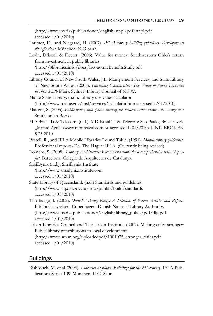(http://www.bs.dk/publikationer/english/nnpl/pdf/nnpl.pdf accessed 1/01/2010)

- Latimer, K., and Niegaard, H. (2007). *IFLA library building guidelines: Developments & reflections*. München: K.G.Saur.
- Levin, Driscoll & Fleeter. (2006). Value for money: Southwestern Ohio's return from investment in public libraries. (http://9libraries.info/docs/EconomicBenefitsStudy.pdf accessed 1/01/2010)
- Library Council of New South Wales, J.L. Management Services, and State Library of New South Wales. (2008). *Enriching Communities: The Value of Public Libraries in New South Wales*. Sydney: Library Council of N.S.W.
- Maine State Library. (n.d.). Library use value calculator. (http://www.maine.gov/msl/services/calculator.htm accessed 1/01/2010).
- Mattern, S. (2005). *Public places, info spaces: creating the modern urban library*. Washington: Smithsonian Books.
- MD Brasil Ti & Telecom. (n.d.). MD Brasil Ti & Telecom: Sao Paulo, Brazil favela "Monte Azul" (www.monteazul.com.br accessed 1/01/2010) LINK BROKEN 5.25.2010
- Pestell, R., and IFLA Mobile Libraries Round Table. (1991). *Mobile library guidelines*. Professional report #28. The Hague: IFLA. (Currently being revised)
- Romero, S. (2008). *Library Architecture: Recommendations for a comprehensive research project*. Barcelona: Colegio de Arquitectos de Catalunya.

SirsiDynix (n.d.). SirsiDynix Institute. (http://www.sirsidynixinstitute.com accessed 1/01/2010)

- State Library of Queensland. (n.d.) Standards and guidelines. (http://www.slq.qld.gov.au/info/publib/build/standards accessed 1/01/2010)
- Thorhauge, J. (2002). *Danish Library Policy: A Selection of Recent Articles and Papers*. Biblioteksstyrelsen. Copenhagen: Danish National Library Authority. (http://www.bs.dk/publikationer/english/library\_policy/pdf/dlp.pdf accessed 1/01/2010).
- Urban Libraries Council and The Urban Institute. (2007). Making cities stronger: Public library contributions to local development. (http://www.urban.org/uploadedpdf/1001075\_stronger\_cities.pdf accessed 1/01/2010)

#### Buildings

Bisbrouck, M. et al (2004). *Libraries as places: Buildings for the 21st century*. IFLA Publications Series 109. Munchen: K.G. Saur.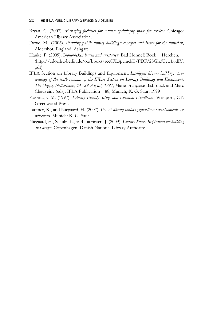- Bryan, C. (2007). *Managing facilities for results: optimizing space for services.* Chicago: American Library Association.
- Dewe, M., (2006). *Planning public library buildings: concepts and issues for the librarian*, Aldershot, England: Ashgate.
- Hauke, P. (2009). *Bibliotheken bauen und ausstatten*. Bad Honnef: Bock + Herchen. (http://edoc.hu-berlin.de/oa/books/ree8FL3pymekE/PDF/25Gh3UywL6dIY. pdf)
- IFLA Section on Library Buildings and Equipment, *Intelligent library buildings*: *proceedings of the tenth seminar of the IFLA Section on Library Buildings and Equipment, The Hague, Netherlands, 24–29 August, 1997*, Marie-Françoise Bisbrouck and Marc Chauveinc (eds), IFLA Publication – 88, Munich, K. G. Saur, 1999
- Koontz, C.M. (1997). *Library Facility Siting and Location Handbook*. Westport, CT: Greenwood Press.
- Latimer, K., and Niegaard, H. (2007). *IFLA library building guidelines : developments & reflections*. Munich: K. G. Saur.
- Niegaard, H., Schulz, K., and Lauridsen, J. (2009). *Library Space: Inspiration for building and design*. Copenhagen, Danish National Library Authority.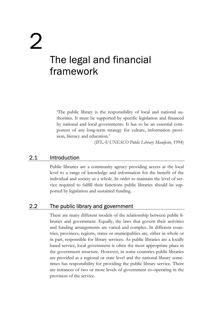$\boldsymbol{Z}$ 

## The legal and financial framework

'The public library is the responsibility of local and national authorities. It must be supported by specific legislation and financed by national and local governments. It has to be an essential component of any long-term strategy for culture, information provision, literacy and education.'

(*IFLA/UNESCO Public Library Manifesto*, 1994)

#### 2.1 Introduction

Public libraries are a community agency providing access at the local level to a range of knowledge and information for the benefit of the individual and society as a whole. In order to maintain the level of service required to fulfill their functions public libraries should be supported by legislation and sustained funding.

#### 2.2 The public library and government

There are many different models of the relationship between public libraries and government. Equally, the laws that govern their activities and funding arrangements are varied and complex. In different countries, provinces, regions, states or municipalities are, either in whole or in part, responsible for library services. As public libraries are a locally based service, local government is often the most appropriate place in the government structure. However, in some countries public libraries are provided at a regional or state level and the national library sometimes has responsibility for providing the public library service. There are instances of two or more levels of government co-operating in the provision of the service.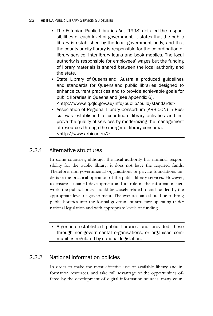- ▶ The Estonian Public Libraries Act (1998) detailed the responsibilities of each level of government. It states that the public library is established by the local government body, and that the county or city library is responsible for the co-ordination of library service, interlibrary loans and book mobiles. The local authority is responsible for employees' wages but the funding of library materials is shared between the local authority and the state.
- State Library of Queensland, Australia produced guidelines and standards for Queensland public libraries designed to enhance current practices and to provide achievable goals for public libraries in Queensland (see Appendix 6). <http://www.slq.qld.gov.au/info/publib/build/standards>
- Association of Regional Library Consortium (ARBICON) in Russia was established to coordinate library activities and improve the quality of services by modernizing the management of resources through the merger of library consortia. <http://www.arbicon.ru/>

#### 2.2.1 Alternative structures

In some countries, although the local authority has nominal responsibility for the public library, it does not have the required funds. Therefore, non-governmental organisations or private foundations undertake the practical operation of the public library services. However, to ensure sustained development and its role in the information network, the public library should be closely related to and funded by the appropriate level of government. The eventual aim should be to bring public libraries into the formal government structure operating under national legislation and with appropriate levels of funding.

 Argentina established public libraries and provided these through non-governmental organisations, or organised communities regulated by national legislation.

#### 2.2.2 National information policies

In order to make the most effective use of available library and information resources, and take full advantage of the opportunities offered by the development of digital information sources, many coun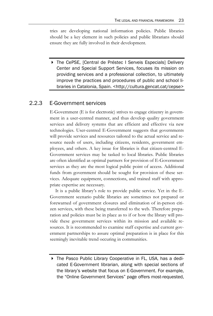tries are developing national information policies. Public libraries should be a key element in such policies and public librarians should ensure they are fully involved in their development.

▶ The CePSE, [Central de Préstec I Serveis Especials] Delivery Center and Special Support Services, focuses its mission on providing services and a professional collection, to ultimately improve the practices and procedures of public and school libraries in Catalonia, Spain. <http://cultura.gencat.cat/cepse>

#### 2.2.3 E-Government services

E-Government (E is for electronic) strives to engage citizenry in government in a user-centred manner, and thus develop quality government services and delivery systems that are efficient and effective via new technologies. User-centred E-Government suggests that governments will provide services and resources tailored to the actual service and resource needs of users, including citizens, residents, government employees, and others. A key issue for libraries is that citizen-centred E-Government services may be tasked to local libraries. Public libraries are often identified as optimal partners for provision of E-Government services as they are the most logical public point of access. Additional funds from government should be sought for provision of these services. Adequate equipment, connections, and trained staff with appropriate expertise are necessary.

It is a public library's role to provide public service. Yet in the E-Government scenario public libraries are sometimes not prepared or forewarned of government closures and elimination of in-person citizen services, with these being transferred to the web. Therefore preparation and policies must be in place as to if or how the library will provide these government services within its mission and available resources. It is recommended to examine staff expertise and current government partnerships to assure optimal preparation is in place for this seemingly inevitable trend occuring in communities.

 The Pasco Public Library Cooperative in FL, USA, has a dedicated E-Government librarian, along with special sections of the library's website that focus on E-Government. For example, the "Online Government Services" page offers most-requested,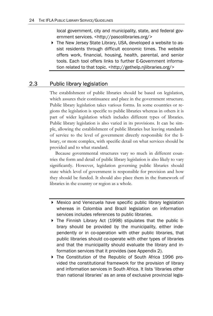local government, city and municipality, state, and federal government services. <http://pascolibraries.org/>

▶ The New Jersey State Library, USA, developed a website to assist residents through difficult economic times. The website offers work, financial, housing, health, parental, and senior tools. Each tool offers links to further E-Government information related to that topic. <http://gethelp.njlibraries.org/>

#### 2.3 Public library legislation

The establishment of public libraries should be based on legislation, which assures their continuance and place in the government structure. Public library legislation takes various forms. In some countries or regions the legislation is specific to public libraries whereas in others it is part of wider legislation which includes different types of libraries. Public library legislation is also varied in its provisions. It can be simple, allowing the establishment of public libraries but leaving standards of service to the level of government directly responsible for the library, or more complex, with specific detail on what services should be provided and to what standard.

Because governmental structures vary so much in different countries the form and detail of public library legislation is also likely to vary significantly. However, legislation governing public libraries should state which level of government is responsible for provision and how they should be funded. It should also place them in the framework of libraries in the country or region as a whole.

- Mexico and Venezuela have specific public library legislation whereas in Colombia and Brazil legislation on information services includes references to public libraries.
- The Finnish Library Act (1998) stipulates that the public library should be provided by the municipality, either independently or in co-operation with other public libraries, that public libraries should co-operate with other types of libraries and that the municipality should evaluate the library and information services that it provides (see Appendix 2).
- The Constitution of the Republic of South Africa 1996 provided the constitutional framework for the provision of library and information services in South Africa. It lists 'libraries other than national libraries' as an area of exclusive provincial legis-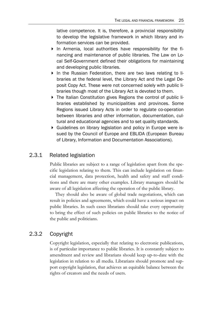lative competence. It is, therefore, a provincial responsibility to develop the legislative framework in which library and information services can be provided.

- In Armenia, local authorities have responsibility for the financing and maintenance of public libraries. The Law on Local Self-Government defined their obligations for maintaining and developing public libraries.
- In the Russian Federation, there are two laws relating to libraries at the federal level, the Library Act and the Legal Deposit Copy Act. These were not concerned solely with public libraries though most of the Library Act is devoted to them.
- The Italian Constitution gives Regions the control of public libraries established by municipalities and provinces. Some Regions issued Library Acts in order to regulate co-operation between libraries and other information, documentation, cultural and educational agencies and to set quality standards.
- Guidelines on library legislation and policy in Europe were issued by the Council of Europe and EBLIDA (European Bureau of Library, Information and Documentation Associations).

# 2.3.1 Related legislation

Public libraries are subject to a range of legislation apart from the specific legislation relating to them. This can include legislation on financial management, data protection, health and safety and staff conditions and there are many other examples. Library managers should be aware of all legislation affecting the operation of the public library.

They should also be aware of global trade negotiations, which can result in policies and agreements, which could have a serious impact on public libraries. In such cases librarians should take every opportunity to bring the effect of such policies on public libraries to the notice of the public and politicians.

# 2.3.2 Copyright

Copyright legislation, especially that relating to electronic publications, is of particular importance to public libraries. It is constantly subject to amendment and review and librarians should keep up-to-date with the legislation in relation to all media. Librarians should promote and support copyright legislation, that achieves an equitable balance between the rights of creators and the needs of users.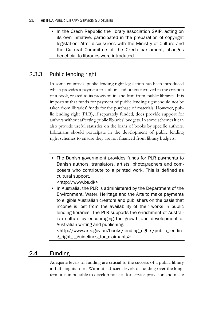▶ In the Czech Republic the library association SKIP, acting on its own initiative, participated in the preparation of copyright legislation. After discussions with the Ministry of Culture and the Cultural Committee of the Czech parliament, changes beneficial to libraries were introduced.

# 2.3.3 Public lending right

In some countries, public lending right legislation has been introduced which provides a payment to authors and others involved in the creation of a book, related to its provision in, and loan from, public libraries. It is important that funds for payment of public lending right should not be taken from libraries' funds for the purchase of materials. However, public lending right (PLR), if separately funded, does provide support for authors without affecting public libraries' budgets. In some schemes it can also provide useful statistics on the loans of books by specific authors. Librarians should participate in the development of public lending right schemes to ensure they are not financed from library budgets.

▶ The Danish government provides funds for PLR payments to Danish authors, translators, artists, photographers and composers who contribute to a printed work. This is defined as cultural support.

<http://www.bs.dk>

 In Australia, the PLR is administered by the Department of the Environment, Water, Heritage and the Arts to make payments to eligible Australian creators and publishers on the basis that income is lost from the availability of their works in public lending libraries. The PLR supports the enrichment of Australian culture by encouraging the growth and development of Australian writing and publishing.

 <http://www.arts.gov.au/books/lending\_rights/public\_lendin g\_right\_-\_guidelines\_for\_claimants>

#### 2.4 Funding

Adequate levels of funding are crucial to the success of a public library in fulfilling its roles. Without sufficient levels of funding over the longterm it is impossible to develop policies for service provision and make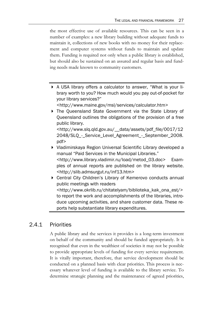the most effective use of available resources. This can be seen in a number of examples: a new library building without adequate funds to maintain it, collections of new books with no money for their replacement and computer systems without funds to maintain and update them. Funding is required not only when a public library is established, but should also be sustained on an assured and regular basis and funding needs made known to community customers.

- A USA library offers a calculator to answer, "What is your library worth to you? How much would you pay out-of-pocket for your library services?"
	- <http://www.maine.gov/msl/services/calculator.htm>
- The Queensland State Government via the State Library of Queensland outlines the obligations of the provision of a free public library.

<http://www.slq.qld.gov.au/\_\_data/assets/pdf\_file/0017/12 2048/SLQ\_-\_Service\_Level\_Agreement\_-\_September\_2008. pdf>

- Vladimirskaya Region Universal Scientific Library developed a manual "Paid Services in the Municipal Libraries." <http://www.library.vladimir.ru/load/metod\_03.doc> Examples of annual reports are published on the library website. <http://slib.admsurgut.ru/inf13.htm>
- Central City Children's Library of Kemerovo conducts annual public meetings with readers <http://www.okrlib.ru/chitatelyam/biblioteka\_kak\_ona\_est/> to report the work and accomplishments of the libraries, introduce upcoming activities, and share customer data. These reports help substantiate library expenditures.

## 2.4.1 Priorities

A public library and the services it provides is a long-term investment on behalf of the community and should be funded appropriately. It is recognised that even in the wealthiest of societies it may not be possible to provide appropriate levels of funding for every service requirement. It is vitally important, therefore, that service development should be conducted on a planned basis with clear priorities. This process is necessary whatever level of funding is available to the library service. To determine strategic planning and the maintenance of agreed priorities,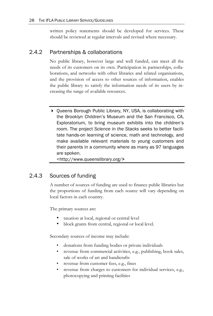written policy statements should be developed for services. These should be reviewed at regular intervals and revised where necessary.

#### 2.4.2 Partnerships & collaborations

No public library, however large and well funded, can meet all the needs of its customers on its own. Participation in partnerships, collaborations, and networks with other libraries and related organisations, and the provision of access to other sources of information, enables the public library to satisfy the information needs of its users by increasing the range of available resources.

 Queens Borough Public Library, NY, USA, is collaborating with the Brooklyn Children's Museum and the San Francisco, CA, Exploratorium, to bring museum exhibits into the children's room. The project *Science in the Stacks* seeks to better facilitate hands-on learning of science, math and technology, and make available relevant materials to young customers and their parents in a community where as many as 97 languages are spoken.

<http://www.queenslibrary.org/>

## 2.4.3 Sources of funding

A number of sources of funding are used to finance public libraries but the proportions of funding from each source will vary depending on local factors in each country.

The primary sources are:

- taxation at local, regional or central level
- block grants from central, regional or local level.

Secondary sources of income may include:

- donations from funding bodies or private individuals
- revenue from commercial activities, e.g., publishing, book sales, sale of works of art and handicrafts
- revenue from customer fees, e.g., fines
- revenue from charges to customers for individual services, e.g., photocopying and printing facilities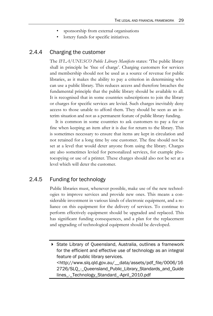- sponsorship from external organisations
- lottery funds for specific initiatives.

#### 2.4.4 Charging the customer

The *IFLA/UNESCO Public Library Manifesto* states: 'The public library shall in principle be 'free of charge'. Charging customers for services and membership should not be used as a source of revenue for public libraries, as it makes the ability to pay a criterion in determining who can use a public library. This reduces access and therefore breaches the fundamental principle that the public library should be available to all. It is recognised that in some countries subscriptions to join the library or charges for specific services are levied. Such charges inevitably deny access to those unable to afford them. They should be seen as an interim situation and not as a permanent feature of public library funding.

It is common in some countries to ask customers to pay a fee or fine when keeping an item after it is due for return to the library. This is sometimes necessary to ensure that items are kept in circulation and not retained for a long time by one customer. The fine should not be set at a level that would deter anyone from using the library. Charges are also sometimes levied for personalized services, for example photocopying or use of a printer. These charges should also not be set at a level which will deter the customer.

## 2.4.5 Funding for technology

Public libraries must, whenever possible, make use of the new technologies to improve services and provide new ones. This means a considerable investment in various kinds of electronic equipment, and a reliance on this equipment for the delivery of services. To continue to perform effectively equipment should be upgraded and replaced. This has significant funding consequences, and a plan for the replacement and upgrading of technological equipment should be developed.

 State Library of Queensland, Australia, outlines a framework for the efficient and effective use of technology as an integral feature of public library services. <http://www.slq.qld.gov.au/\_\_data/assets/pdf\_file/0006/16 2726/SLQ\_-\_Queensland\_Public\_Library\_Standards\_and\_Guide lines\_-\_Technology\_Standard\_-April\_2010.pdf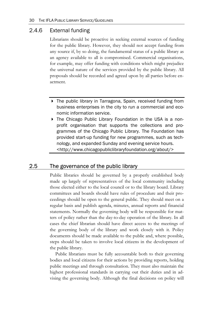#### 2.4.6 External funding

Librarians should be proactive in seeking external sources of funding for the public library. However, they should not accept funding from any source if, by so doing, the fundamental status of a public library as an agency available to all is compromised. Commercial organisations, for example, may offer funding with conditions which might prejudice the universal nature of the services provided by the public library. All proposals should be recorded and agreed upon by all parties before enactment.

- ▶ The public library in Tarragona, Spain, received funding from business enterprises in the city to run a commercial and economic information service.
- The Chicago Public Library Foundation in the USA is a nonprofit organisation that supports the collections and programmes of the Chicago Public Library. The Foundation has provided start-up funding for new programmes, such as technology, and expanded Sunday and evening service hours. <http://www.chicagopubliclibraryfoundation.org/about/>

# 2.5 The governance of the public library

Public libraries should be governed by a properly established body made up largely of representatives of the local community including those elected either to the local council or to the library board. Library committees and boards should have rules of procedure and their proceedings should be open to the general public. They should meet on a regular basis and publish agenda, minutes, annual reports and financial statements. Normally the governing body will be responsible for matters of policy rather than the day-to-day operation of the library. In all cases the chief librarian should have direct access to the meetings of the governing body of the library and work closely with it. Policy documents should be made available to the public and, where possible, steps should be taken to involve local citizens in the development of the public library.

Public librarians must be fully accountable both to their governing bodies and local citizens for their actions by providing reports, holding public meetings and through consultation. They must also maintain the highest professional standards in carrying out their duties and in advising the governing body. Although the final decisions on policy will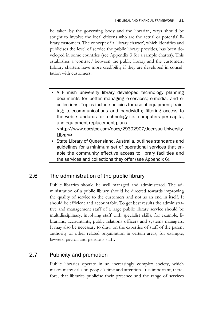be taken by the governing body and the librarian, ways should be sought to involve the local citizens who are the actual or potential library customers. The concept of a 'library charter', which identifies and publicises the level of service the public library provides, has been developed in some countries (see Appendix 3 for a sample charter). This establishes a 'contract' between the public library and the customers. Library charters have more credibility if they are developed in consultation with customers.

- A Finnish university library developed technology planning documents for better managing e-services; e-media, and ecollections. Topics include policies for use of equipment; training; telecommunications and bandwidth; filtering access to the web; standards for technology i.e., computers per capita, and equipment replacement plans. <http://www.docstoc.com/docs/29302907/Joensuu-University-Library>
- State Library of Queensland, Australia, outlines standards and guidelines for a minimum set of operational services that enable the community effective access to library facilities and the services and collections they offer (see Appendix 6).

# 2.6 The administration of the public library

Public libraries should be well managed and administered. The administration of a public library should be directed towards improving the quality of service to the customers and not as an end in itself. It should be efficient and accountable. To get best results the administrative and management staff of a large public library service should be multidisciplinary, involving staff with specialist skills, for example, librarians, accountants, public relations officers and systems managers. It may also be necessary to draw on the expertise of staff of the parent authority or other related organisation in certain areas, for example, lawyers, payroll and pensions staff.

# 2.7 Publicity and promotion

Public libraries operate in an increasingly complex society, which makes many calls on people's time and attention. It is important, therefore, that libraries publicise their presence and the range of services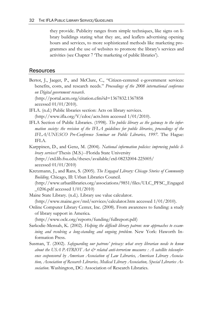they provide. Publicity ranges from simple techniques, like signs on library buildings stating what they are, and leaflets advertising opening hours and services, to more sophisticated methods like marketing programmes and the use of websites to promote the library's services and activities (see Chapter 7 'The marketing of public libraries').

#### **Resources**

Bertot, J., Jaeger, P., and McClure, C., "Citizen-centered e-government services: benefits, costs, and research needs." *Proceedings of the 2008 international conference on Digital government research*.

(http://portal.acm.org/citation.cfm?id=1367832.1367858 accessed 01/01/2010).

- IFLA. (n.d.) Public libraries section: Acts on library services. (http://www.ifla.org/V/cdoc/acts.htm accessed 1/01/2010).
- IFLA Section of Public Libraries. (1998). *The public library as the gateway to the information society: the revision of the IFLA guidelines for public libraries*, *proceedings of the IFLA/UNESCO Pre-Conference Seminar on Public Libraries, 1997*. The Hague: IFLA.
- Karppinen, D., and Genz, M. (2004). *National information policies: improving public library services?* Thesis (M.S.)--Florida State University (http://etd.lib.fsu.edu/theses/available/etd-08232004-225005/ accessed 01/01/2010)

Kretzmann, J., and Rans, S. (2005). *The Engaged Library: Chicago Stories of Community Building*. Chicago, Ill: Urban Libraries Council. (http://www.urbanlibraries.org/associations/9851/files/ULC\_PFSC\_Engaged \_0206.pdf accessed 1/01/2010)

- Maine State Library. (n.d.). Library use value calculator. (http://www.maine.gov/msl/services/calculator.htm accessed 1/01/2010).
- Online Computer Library Center, Inc. (2008). From awareness to funding: a study of library support in America.

(http://www.oclc.org/reports/funding/fullreport.pdf)

- Sarkodie-Mensah, K. (2002). *Helping the difficult library patron: new approaches to examining and resolving a long-standing and ongoing problem*. New York: Haworth Information Press.
- Susman, T. (2002). *Safeguarding our patrons' privacy: what every librarian needs to know*  about the USA PATRIOT Act & related anti-terrorism measures : A satellite teleconfer*ence cosponsored by American Association of Law Libraries, American Library Association, Association of Research Libraries, Medical Library Association, Special Libraries Association*. Washington, DC: Association of Research Libraries.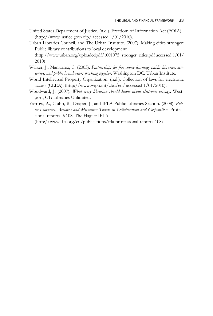- United States Department of Justice. (n.d.). Freedom of Information Act (FOIA) (http://www.justice.gov/oip/ accessed 1/01/2010).
- Urban Libraries Council, and The Urban Institute. (2007). Making cities stronger: Public library contributions to local development. (http://www.urban.org/uploadedpdf/1001075\_stronger\_cities.pdf accessed 1/01/ 2010)
- Walker, J., Manjarrez, C. (2003). *Partnerships for free choice learning: public libraries, museums, and public broadcasters working together*. Washington DC: Urban Institute.
- World Intellectual Property Organization. (n.d.). Collection of laws for electronic access (CLEA). (http://www.wipo.int/clea/en/ accessed 1/01/2010).
- Woodward, J. (2007). *What every librarian should know about electronic privacy*. Westport, CT: Libraries Unlimited.
- Yarrow, A., Clubb, B., Draper, J., and IFLA Public Libraries Section. (2008). *Public Libraries, Archives and Museums: Trends in Collaboration and Cooperation*. Professional reports, #108. The Hague: IFLA.

(http://www.ifla.org/en/publications/ifla-professional-reports-108)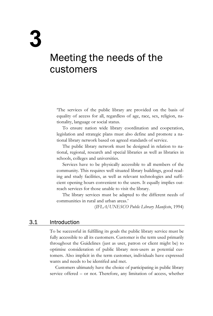# Meeting the needs of the customers

'The services of the public library are provided on the basis of equality of access for all, regardless of age, race, sex, religion, nationality, language or social status.

To ensure nation wide library coordination and cooperation, legislation and strategic plans must also define and promote a national library network based on agreed standards of service.

The public library network must be designed in relation to national, regional, research and special libraries as well as libraries in schools, colleges and universities.

Services have to be physically accessible to all members of the community. This requires well situated library buildings, good reading and study facilities, as well as relevant technologies and sufficient opening hours convenient to the users. It equally implies outreach services for those unable to visit the library.

The library services must be adapted to the different needs of communities in rural and urban areas.'

(*IFLA/UNESCO Public Library Manifesto*, 1994)

#### 3.1 Introduction

To be successful in fulfilling its goals the public library service must be fully accessible to all its customers. Customer is the term used primarily throughout the Guidelines (just as user, patron or client might be) to optimise consideration of public library non-users as potential customers. Also implicit in the term customer, individuals have expressed wants and needs to be identifed and met.

Customers ultimately have the choice of participating in public library service offered – or not. Therefore, any limitation of access, whether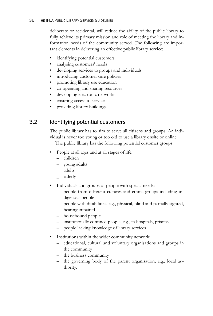deliberate or accidental, will reduce the ability of the public library to fully achieve its primary mission and role of meeting the library and information needs of the community served. The following are important elements in delivering an effective public library service:

- identifying potential customers
- analysing customers' needs
- developing services to groups and individuals
- introducing customer care policies
- promoting library use education
- co-operating and sharing resources
- developing electronic networks
- ensuring access to services
- providing library buildings.

## 3.2 Identifying potential customers

The public library has to aim to serve all citizens and groups. An individual is never too young or too old to use a library onsite or online.

The public library has the following potential customer groups.

- People at all ages and at all stages of life:
	- children
	- young adults
	- adults
	- \_ elderly
- Individuals and groups of people with special needs:
	- people from different cultures and ethnic groups including indigenous people
	- people with disabilities, e.g., physical, blind and partially sighted, hearing impaired
	- housebound people
	- institutionally confined people, e.g., in hospitals, prisons
	- people lacking knowledge of library services
- Institutions within the wider community network:
	- educational, cultural and voluntary organisations and groups in the community
	- the business community
	- the governing body of the parent organisation, e.g., local authority.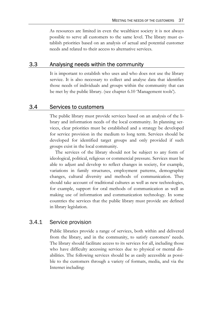As resources are limited in even the wealthiest society it is not always possible to serve all customers to the same level. The library must establish priorities based on an analysis of actual and potential customer needs and related to their access to alternative services.

#### 3.3 Analysing needs within the community

It is important to establish who uses and who does not use the library service. It is also necessary to collect and analyse data that identifies those needs of individuals and groups within the community that can be met by the public library. (see chapter 6.10 'Management tools').

#### 3.4 Services to customers

The public library must provide services based on an analysis of the library and information needs of the local community. In planning services, clear priorities must be established and a strategy be developed for service provision in the medium to long term. Services should be developed for identified target groups and only provided if such groups exist in the local community.

The services of the library should not be subject to any form of ideological, political, religious or commercial pressure. Services must be able to adjust and develop to reflect changes in society, for example, variations in family structures, employment patterns, demographic changes, cultural diversity and methods of communication. They should take account of traditional cultures as well as new technologies, for example, support for oral methods of communication as well as making use of information and communication technology. In some countries the services that the public library must provide are defined in library legislation.

#### 3.4.1 Service provision

Public libraries provide a range of services, both within and delivered from the library, and in the community, to satisfy customers' needs. The library should facilitate access to its services for all, including those who have difficulty accessing services due to physical or mental disabilities. The following services should be as easily accessible as possible to the customers through a variety of formats, media, and via the Internet including: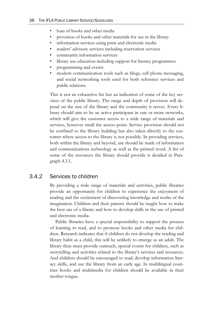- loan of books and other media
- provision of books and other materials for use in the library
- information services using print and electronic media
- readers' advisory services including reservation services
- community information services
- library use education including support for literacy programmes
- programming and events
- modern communication tools such as blogs, cell phone messaging, and social networking tools used for both reference services and public relations.

This is not an exhaustive list but an indication of some of the key services of the public library. The range and depth of provision will depend on the size of the library and the community it serves. Every library should aim to be an active participant in one or more networks, which will give the customer access to a wide range of materials and services, however small the access point. Service provision should not be confined to the library building but also taken directly to the customer where access to the library is not possible. In providing services, both within the library and beyond, use should be made of information and communications technology as well as the printed word. A list of some of the resources the library should provide is detailed in Paragraph 4.3.1.

## 3.4.2 Services to children

By providing a wide range of materials and activities, public libraries provide an opportunity for children to experience the enjoyment of reading and the excitement of discovering knowledge and works of the imagination. Children and their parents should be taught how to make the best use of a library and how to develop skills in the use of printed and electronic media.

Public libraries have a special responsibility to support the process of learning to read, and to promote books and other media for children. Research indicates that if children do not develop the reading and library habit as a child, this will be unlikely to emerge as an adult. The library then must provide outreach, special events for children, such as storytelling and activities related to the library's services and resources. And children should be encouraged to read, develop information literacy skills, and use the library from an early age. In multilingual countries books and multimedia for children should be available in their mother tongue.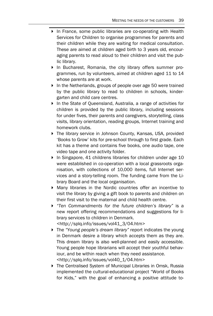- ▶ In France, some public libraries are co-operating with Health Services for Children to organise programmes for parents and their children while they are waiting for medical consultation. These are aimed at children aged birth to 3 years old, encouraging parents to read aloud to their children and visit the public library.
- In Bucharest, Romania, the city library offers summer programmes, run by volunteers, aimed at children aged 11 to 14 whose parents are at work.
- In the Netherlands, groups of people over age 50 were trained by the public library to read to children in schools, kindergarten and child care centres.
- In the State of Queensland, Australia, a range of activities for children is provided by the public library, including sessions for under fives, their parents and caregivers, storytelling, class visits, library orientation, reading groups, Internet training and homework clubs.
- The library service in Johnson County, Kansas, USA, provided 'Books to Grow' kits for pre-school through to first grade. Each kit has a theme and contains five books, one audio tape, one video tape and one activity folder.
- In Singapore, 41 childrens libraries for children under age 10 were established in co-operation with a local grassroots organisation, with collections of 10,000 items, full Internet services and a story-telling room. The funding came from the Library Board and the local organisation.
- Many libraries in the Nordic countries offer an incentive to visit the library by giving a gift book to parents and children on their first visit to the maternal and child health centre.
- *"Ten Commandments for the future children's library"* is a new report offering recommendations and suggestions for library services to children in Denmark.
- <http://splq.info/issues/vol41\_3/04.htm> The *"Young people's dream library"* report indicates the young
- in Denmark desire a library which accepts them as they are. This dream library is also well-planned and easily accessible. Young people hope librarians will accept their youthful behaviour, and be within reach when they need assistance. <http://splq.info/issues/vol40\_1/04.htm>
- The Centralised System of Municipal Libraries in Omsk, Russia implemented the cultural-educational project "World of Books for Kids," with the goal of enhancing a positive attitude to-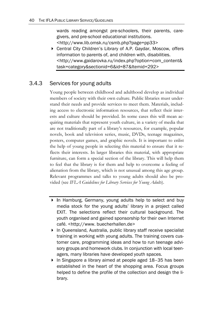wards reading amongst pre-schoolers, their parents, caregivers, and pre-school educational institutions. <http://www.lib.omsk.ru/csmb.php?page=pp33>

 Central City Children's Library of A.P. Gaydar, Moscow, offers information to parents of, and children with, disabilities. <http://www.gaidarovka.ru/index.php?option=com\_content& task=category&sectionid=6&id=87&Itemid=292>

# 3.4.3 Services for young adults

Young people between childhood and adulthood develop as individual members of society with their own culture. Public libraries must understand their needs and provide services to meet them. Materials, including access to electronic information resources, that reflect their interests and culture should be provided. In some cases this will mean acquiring materials that represent youth culture, in a variety of media that are not traditionally part of a library's resources, for example, popular novels, book and television series, music, DVDs, teenage magazines, posters, computer games, and graphic novels. It is important to enlist the help of young people in selecting this material to ensure that it reflects their interests. In larger libraries this material, with appropriate furniture, can form a special section of the library. This will help them to feel that the library is for them and help to overcome a feeling of alienation from the library, which is not unusual among this age group. Relevant programmes and talks to young adults should also be provided (see *IFLA Guidelines for Library Services for Young Adults*).

- In Hamburg, Germany, young adults help to select and buy media stock for the young adults' library in a project called EXIT. The selections reflect their cultural background. The youth organised and gained sponsorship for their own Internet café. <http://www.buecherhallen.de>
- In Queensland, Australia, public library staff receive specialist training in working with young adults. The training covers customer care, programming ideas and how to run teenage advisory groups and homework clubs. In conjunction with local teenagers, many libraries have developed youth spaces.
- ▶ In Singapore a library aimed at people aged 18-35 has been established in the heart of the shopping area. Focus groups helped to define the profile of the collection and design the library.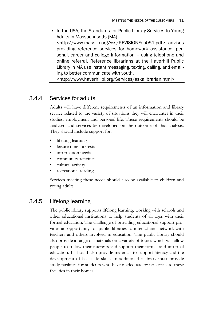▶ In the USA, the Standards for Public Library Services to Young Adults in Massachusetts (MA) <http://www.masslib.org/yss/REVISIONFeb051.pdf> advises providing reference services for homework assistance, personal, career and college information – using telephone and online referral. Reference librarians at the Haverhill Public Library in MA use instant messaging, texting, calling, and emailing to better communicate with youth.

<http://www.haverhillpl.org/Services/askalibrarian.html>

# 3.4.4 Services for adults

Adults will have different requirements of an information and library service related to the variety of situations they will encounter in their studies, employment and personal life. These requirements should be analysed and services be developed on the outcome of that analysis. They should include support for:

- lifelong learning
- leisure time interests
- information needs
- community activities
- cultural activity
- recreational reading.

Services meeting these needs should also be available to children and young adults.

# 3.4.5 Lifelong learning

The public library supports lifelong learning, working with schools and other educational institutions to help students of all ages with their formal education. The challenge of providing educational support provides an opportunity for public libraries to interact and network with teachers and others involved in education. The public library should also provide a range of materials on a variety of topics which will allow people to follow their interests and support their formal and informal education. It should also provide materials to support literacy and the development of basic life skills. In addition the library must provide study facilities for students who have inadequate or no access to these facilities in their homes.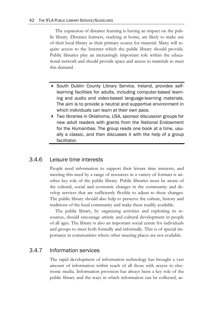The expansion of distance learning is having an impact on the public library. Distance learners, studying at home, are likely to make use of their local library as their primary source for material. Many will require access to the Internet which the public library should provide. Public libraries play an increasingly important role within the educational network and should provide space and access to materials to meet this demand.

- ▶ South Dublin County Library Service, Ireland, provides selflearning facilities for adults, including computer-based learning and audio and video-based language-learning materials. The aim is to provide a neutral and supportive environment in which individuals can learn at their own pace.
- Two libraries in Oklahoma, USA, sponsor discussion groups for new adult readers with grants from the National Endowment for the Humanities. The group reads one book at a time, usually a classic, and then discusses it with the help of a group facilitator.

## 3.4.6 Leisure time interests

People need information to support their leisure time interests, and meeting this need by a range of resources in a variety of formats is another key role of the public library. Public libraries must be aware of the cultural, social and economic changes in the community and develop services that are sufficiently flexible to adjust to these changes. The public library should also help to preserve the culture, history and traditions of the local community and make these readily available.

The public library, by organizing activities and exploiting its resources, should encourage artistic and cultural development in people of all ages. The library is also an important social centre for individuals and groups to meet both formally and informally. This is of special importance in communities where other meeting places are not available.

## 3.4.7 Information services

The rapid development of information technology has brought a vast amount of information within reach of all those with access to electronic media. Information provision has always been a key role of the public library and the ways in which information can be collected, ac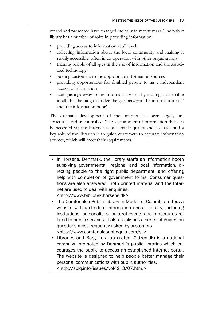cessed and presented have changed radically in recent years. The public library has a number of roles in providing information:

- providing access to information at all levels
- collecting information about the local community and making it readily accessible, often in co-operation with other organisations
- training people of all ages in the use of information and the associated technology
- guiding customers to the appropriate information sources
- providing opportunities for disabled people to have independent access to information
- acting as a gateway to the information world by making it accessible to all, thus helping to bridge the gap between 'the information rich' and 'the information poor'.

The dramatic development of the Internet has been largely unstructured and uncontrolled. The vast amount of information that can be accessed via the Internet is of variable quality and accuracy and a key role of the librarian is to guide customers to accurate information sources, which will meet their requirements.

 In Horsens, Denmark, the library staffs an information booth supplying governmental, regional and local information, directing people to the right public department, and offering help with completion of government forms. Consumer questions are also answered. Both printed material and the Internet are used to deal with enquiries.

<http://www.bibliotek.horsens.dk>

- The Comfenalco Public Library in Medellin, Colombia, offers a website with up-to-date information about the city, including institutions, personalities, cultural events and procedures related to public services. It also publishes a series of guides on questions most frequently asked by customers. <http://www.comfenalcoantioquia.com/sil>
- Libraries and Borger.dk (translated: Citizen.dk) is a national campaign promoted by Denmark's public libraries which encourages the public to access an established Internet portal. The website is designed to help people better manage their personal communications with public authorities.

<http://splq.info/issues/vol42\_3/07.htm.>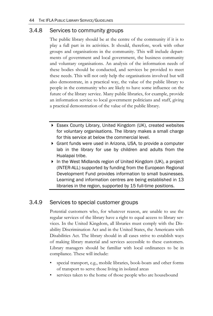#### 3.4.8 Services to community groups

The public library should be at the centre of the community if it is to play a full part in its activities. It should, therefore, work with other groups and organisations in the community. This will include departments of government and local government, the business community and voluntary organisations. An analysis of the information needs of these bodies should be conducted, and services be provided to meet these needs. This will not only help the organisations involved but will also demonstrate, in a practical way, the value of the public library to people in the community who are likely to have some influence on the future of the library service. Many public libraries, for example, provide an information service to local government politicians and staff, giving a practical demonstration of the value of the public library.

- Essex County Library, United Kingdom (UK), created websites for voluntary organisations. The library makes a small charge for this service at below the commercial level.
- Grant funds were used in Arizona, USA, to provide a computer lab in the library for use by children and adults from the Hualapai tribe.
- ▶ In the West Midlands region of United Kingdom (UK), a project (INTER-ALL) supported by funding from the European Regional Development Fund provides information to small businesses. Learning and information centres are being established in 13 libraries in the region, supported by 15 full-time positions.

## 3.4.9 Services to special customer groups

Potential customers who, for whatever reason, are unable to use the regular services of the library have a right to equal access to library services. In the United Kingdom, all libraries must comply with the Disability Discrimination Act and in the United States, the Americans with Disabilities Act. The library should in all cases strive to establish ways of making library material and services accessible to these customers. Library managers should be familiar with local ordinances to be in compliance. These will include:

- special transport, e.g., mobile libraries, book-boats and other forms of transport to serve those living in isolated areas
- services taken to the home of those people who are housebound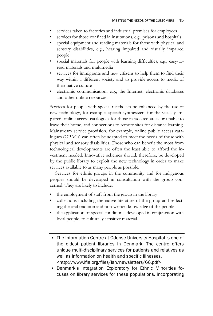- services taken to factories and industrial premises for employees
- services for those confined in institutions, e.g., prisons and hospitals
- special equipment and reading materials for those with physical and sensory disabilities, e.g., hearing impaired and visually impaired people
- special materials for people with learning difficulties, e.g., easy-toread materials and multimedia
- services for immigrants and new citizens to help them to find their way within a different society and to provide access to media of their native culture
- electronic communication, e.g., the Internet, electronic databases and other online resources.

Services for people with special needs can be enhanced by the use of new technology, for example, speech synthesizers for the visually impaired, online access catalogues for those in isolated areas or unable to leave their home, and connections to remote sites for distance learning. Mainstream service provision, for example, online public access catalogues (OPACs) can often be adapted to meet the needs of those with physical and sensory disabilities. Those who can benefit the most from technological developments are often the least able to afford the investment needed. Innovative schemes should, therefore, be developed by the public library to exploit the new technology in order to make services available to as many people as possible.

Services for ethnic groups in the community and for indigenous peoples should be developed in consultation with the group concerned. They are likely to include:

- the employment of staff from the group in the library
- collections including the native literature of the group and reflecting the oral tradition and non-written knowledge of the people
- the application of special conditions, developed in conjunction with local people, to culturally sensitive material.
- The Information Centre at Odense University Hospital is one of the oldest patient libraries in Denmark. The centre offers unique multi-disciplinary services for patients and relatives as well as information on health and specific illnesses. <http://www.ifla.org/files/lsn/newsletters/66.pdf>
- Denmark's Integration Exploratory for Ethnic Minorities focuses on library services for these populations, incorporating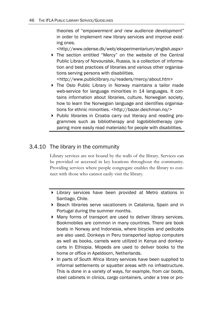theories of "e*mpowerment and new audience development"* in order to implement new library services and improve existing ones.

<http://www.odense.dk/web/eksperimentarium/english.aspx>

 The section entitled "Mercy" on the website of the Central Public Library of Novouralsk, Russia, is a collection of information and best practices of libraries and various other organisations serving persons with disabilities.

<http://www.publiclibrary.ru/readers/mercy/about.htm>

- The Oslo Public Library in Norway maintains a tailor made web-service for language minorities in 14 languages. It contains information about libraries, culture, Norwegian society, how to learn the Norwegian language and identifies organisations for ethnic minorities. <http://bazar.deichman.no/>
- Public libraries in Croatia carry out literacy and reading programmes such as bibliotherapy and logobibliotherapy (preparing more easily read materials) for people with disabilities.

# 3.4.10 The library in the community

Library services are not bound by the walls of the library. Services can be provided or accessed in key locations throughout the community. Providing services where people congregate enables the library to connect with those who cannot easily visit the library.

- Library services have been provided at Metro stations in Santiago, Chile.
- Beach libraries serve vacationers in Catalonia, Spain and in Portugal during the summer months.
- Many forms of transport are used to deliver library services. Bookmobiles are common in many countries. There are book boats in Norway and Indonesia, where bicycles and pedicabs are also used. Donkeys in Peru transported laptop computers as well as books, camels were utillzed in Kenya and donkeycarts in Ethiopia. Mopeds are used to deliver books to the home or office in Apeldoorn, Netherlands.
- In parts of South Africa library services have been supplied to informal settlements or squatter areas with no infrastructure. This is done in a variety of ways, for example, from car boots, steel cabinets in clinics, cargo containers, under a tree or pro-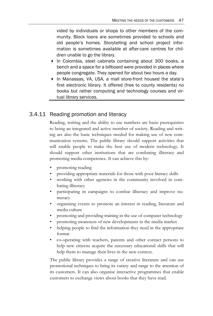vided by individuals or shops to other members of the community. Block loans are sometimes provided to schools and old people's homes. Storytelling and school project information is sometimes available at after-care centres for children unable to go the library.

- In Colombia, steel cabinets containing about 300 books, a bench and a space for a billboard were provided in places where people congregate. They opened for about two hours a day.
- In Manassas, VA, USA, a mall store-front housed the state's first electronic library. It offered (free to county residents) no books but rather computing and technology courses and virtual library services.

## 3.4.11 Reading promotion and literacy

Reading, writing and the ability to use numbers are basic prerequisites to being an integrated and active member of society. Reading and writing are also the basic techniques needed for making use of new communication systems. The public library should support activities that will enable people to make the best use of modern technology. It should support other institutions that are combating illiteracy and promoting media competence. It can achieve this by:

- promoting reading
- providing appropriate materials for those with poor literacy skills
- working with other agencies in the community involved in combating illiteracy
- participating in campaigns to combat illiteracy and improve numeracy
- organising events to promote an interest in reading, literature and media culture
- promoting and providing training in the use of computer technology
- promoting awareness of new developments in the media market
- helping people to find the information they need in the appropriate format
- co-operating with teachers, parents and other contact persons to help new citizens acquire the necessary educational skills that will help them to manage their lives in the new context.

The public library provides a range of creative literature and can use promotional techniques to bring its variety and range to the attention of its customers. It can also organise interactive programmes that enable customers to exchange views about books that they have read.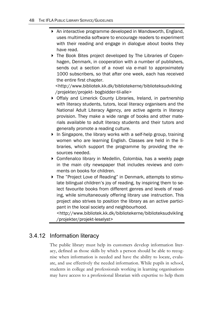- An interactive programme developed in Wandsworth, England, uses multimedia software to encourage readers to experiment with their reading and engage in dialogue about books they have read.
- The Book Bites project developed by The Libraries of Copenhagen, Denmark, in cooperation with a number of publishers, sends out a section of a novel via e-mail to approximately 1000 subscribers, so that after one week, each has received the entire first chapter.

<http://www.bibliotek.kk.dk/bibliotekerne/biblioteksudvikling /projekter/projekt- bogbidder-til-alle>

- Offaly and Limerick County Libraries, Ireland, in partnership with literacy students, tutors, local literacy organisers and the National Adult Literacy Agency, are active agents in literacy provision. They make a wide range of books and other materials available to adult literacy students and their tutors and generally promote a reading culture.
- In Singapore, the library works with a self-help group, training women who are learning English. Classes are held in the libraries, which support the programme by providing the resources needed.
- Comfenalco library in Medellin, Colombia, has a weekly page in the main city newspaper that includes reviews and comments on books for children.
- ▶ The "Project Love of Reading" in Denmark, attempts to stimulate bilingual children's joy of reading, by inspiring them to select favourite books from different genres and levels of reading, while simultaneously offering library use instruction. This project also strives to position the library as an active participant in the local society and neighbourhood.

<http://www.bibliotek.kk.dk/bibliotekerne/biblioteksudvikling /projekter/projekt-leselyst>

# 3.4.12 Information literacy

The public library must help its customers develop information literacy, defined as those skills by which a person should be able to recognise when information is needed and have the ability to locate, evaluate, and use effectively the needed information. While pupils in school, students in college and professionals working in learning organisations may have access to a professional librarian with expertise to help them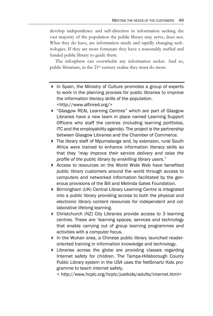develop independence and self-direction in information seeking the vast majority of the population the public library may serve, does not. What they do have, are information needs and rapidly changing technologies. If they are more fortunate they have a reasonably staffed and funded public library to guide them.

The infosphere can overwhelm any information seeker. And so, public librarians, in the 21st century realise they must do more.

- ▶ In Spain, the Ministry of Culture promotes a group of experts to work in the planning process for public libraries to improve the information literacy skills of the population. <http://www.alfinred.org/>
- "Glasgow REAL Learning Centres" which are part of Glasgow Libraries have a new team in place named Learning Support Officers who staff the centres (including learning portfolios, ITC and the employability agenda). The project is the partnership between Glasgow Libraries and the Chamber of Commerce.
- The library staff of Mpumalanga and, by extension, rural South Africa were trained to enhance information literacy skills so that they *"may improve their service delivery and raise the profile of the public library by enskilling library users."*
- Access to resources on the World Wide Web have benefited public library customers around the world through access to computers and networked information facilitated by the generous provisions of the Bill and Melinda Gates Foundation.
- Birmingham (UK) Central Library Learning Centre is integrated into a public library providing access to both the physical and electronic library content resources for independent and collaborative lifelong learning.
- Christchurch (NZ) City Libraries provide access to 3 learning centres. These are 'learning spaces, services and technology that enable carrying out of group learning programmes and activities with a computer focus.
- In the Wuhan area, a Chinese public library launched readeroriented training in information knowledge and technology.
- Libraries across the globe are providing classes regarding Internet safety for children. The Tampa-Hillsborough County Public Library system in the USA uses the NetSmartz Kids programme to teach internet safety.

< http://www.hcplc.org/hcplc/justkids/adults/internet.html>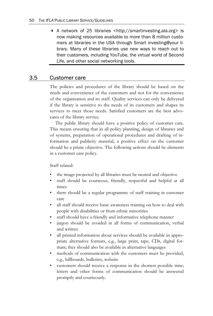A network of 25 libraries <http://smartinvesting.ala.org> is now making resources available to more than 8 million customers at libraries in the USA through Smart investing@your library. Many of these libraries use new ways to reach out to their customers, including YouTube, the virtual world of Second Life, and other social networking tools.

## 3.5 Customer care

The policies and procedures of the library should be based on the needs and convenience of the customers and not for the convenience of the organisation and its staff. Quality services can only be delivered if the library is sensitive to the needs of its customers and shapes its services to meet those needs. Satisfied customers are the best advocates of the library service.

The public library should have a positive policy of customer care. This means ensuring that in all policy planning, design of libraries and of systems, preparation of operational procedures and drafting of information and publicity material, a positive effect on the customer should be a prime objective. The following actions should be elements in a customer care policy.

Staff related:

- the image projected by all libraries must be neutral and objective
- staff should be courteous, friendly, respectful and helpful at all times
- there should be a regular programme of staff training in customer care
- all staff should receive basic awareness training on how to deal with people with disabilities or from ethnic minorities
- staff should have a friendly and informative telephone manner
- jargon should be avoided in all forms of communication, verbal and written
- all printed information about services should be available in appropriate alternative formats, e.g., large print, tape, CDs, digital formats; they should also be available in alternative languages
- methods of communication with the customers must be provided, e.g., billboards, bulletins, website
- customers should receive a response in the shortest possible time; letters and other forms of communication should be answered promptly and courteously.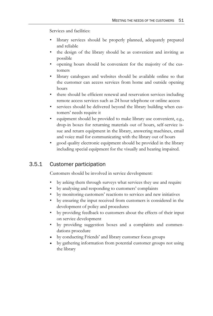Services and facilities:

- library services should be properly planned, adequately prepared and reliable
- the design of the library should be as convenient and inviting as possible
- opening hours should be convenient for the majority of the customers
- library catalogues and websites should be available online so that the customer can access services from home and outside opening hours
- there should be efficient renewal and reservation services including remote access services such as 24 hour telephone or online access
- services should be delivered beyond the library building when customers' needs require it
- equipment should be provided to make library use convenient, e.g., drop-in boxes for returning materials out of hours, self-service issue and return equipment in the library, answering machines, email and voice mail for communicating with the library out of hours
- good quality electronic equipment should be provided in the library including special equipment for the visually and hearing impaired.

# 3.5.1 Customer participation

Customers should be involved in service development:

- by asking them through surveys what services they use and require
- by analysing and responding to customers' complaints
- by monitoring customers' reactions to services and new initiatives
- by ensuring the input received from customers is considered in the development of policy and procedures
- by providing feedback to customers about the effects of their input on service development
- by providing suggestion boxes and a complaints and commendations procedure
- by conducting Friends' and library customer focus groups
- by gathering information from potential customer groups not using the library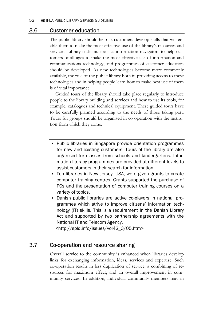#### 3.6 Customer education

The public library should help its customers develop skills that will enable them to make the most effective use of the library's resources and services. Library staff must act as information navigators to help customers of all ages to make the most effective use of information and communications technology, and programmes of customer education should be developed. As new technologies become more commonly available, the role of the public library both in providing access to these technologies and in helping people learn how to make best use of them is of vital importance.

Guided tours of the library should take place regularly to introduce people to the library building and services and how to use its tools, for example, catalogues and technical equipment. These guided tours have to be carefully planned according to the needs of those taking part. Tours for groups should be organised in co-operation with the institution from which they come.

- ▶ Public libraries in Singapore provide orientation programmes for new and existing customers. Tours of the library are also organised for classes from schools and kindergartens. Information literacy programmes are provided at different levels to assist customers in their search for information.
- Ten libraries in New Jersey, USA, were given grants to create computer training centres. Grants supported the purchase of PCs and the presentation of computer training courses on a variety of topics.
- Danish public libraries are active co-players in national programmes which strive to improve citizens' information technology (IT) skills. This is a requirement in the Danish Library Act and supported by two partnership agreements with the National IT and Telecom Agency.

<http://splq.info/issues/vol42\_3/05.htm>

#### 3.7 Co-operation and resource sharing

Overall service to the community is enhanced when libraries develop links for exchanging information, ideas, services and expertise. Such co-operation results in less duplication of service, a combining of resources for maximum effect, and an overall improvement in community services. In addition, individual community members may in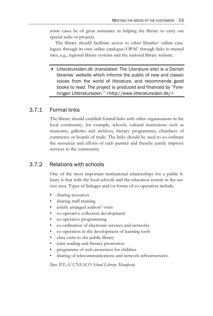some cases be of great assistance in helping the library to carry out special tasks or projects.

The library should facilitate access to other libraries' online catalogues through its own online catalogue/OPAC through links to trusted sites, e.g., regional library systems and the national library website.

 Litteratursiden.dk (translated: The Literature site) is a Danish libraries' website which informs the public of new and classic voices from the world of literature, and recommends good books to read. The project is produced and financed by "Foreningen Litteratursiden." <http://www.litteratursiden.dk/>

# 3.7.1 Formal links

The library should establish formal links with other organisations in the local community, for example, schools, cultural institutions such as museums, galleries and archives, literacy programmes, chambers of commerce or boards of trade. The links should be used to co-ordinate the resources and efforts of each partner and thereby jointly improve services to the community.

# 3.7.2 Relations with schools

One of the most important institutional relationships for a public library is that with the local schools and the education system in the service area. Types of linkages and/or forms of co-operation include:

- sharing resources
- sharing staff training
- jointly arranged authors' visits
- co-operative collection development
- co-operative programming
- co-ordination of electronic services and networks
- co-operation in the development of learning tools
- class visits to the public library
- joint reading and literacy promotion
- programme of web-awareness for children
- sharing of telecommunications and network infrastructures.

(See *IFLA/UNESCO School Library Manifesto*)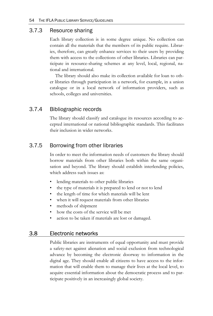#### 3.7.3 Resource sharing

Each library collection is in some degree unique. No collection can contain all the materials that the members of its public require. Libraries, therefore, can greatly enhance services to their users by providing them with access to the collections of other libraries. Libraries can participate in resource-sharing schemes at any level, local, regional, national and international.

The library should also make its collection available for loan to other libraries through participation in a network, for example, in a union catalogue or in a local network of information providers, such as schools, colleges and universities.

#### 3.7.4 Bibliographic records

The library should classify and catalogue its resources according to accepted international or national bibliographic standards. This facilitates their inclusion in wider networks.

#### 3.7.5 Borrowing from other libraries

In order to meet the information needs of customers the library should borrow materials from other libraries both within the same organisation and beyond. The library should establish interlending policies, which address such issues as:

- lending materials to other public libraries
- the type of materials it is prepared to lend or not to lend
- the length of time for which materials will be lent
- when it will request materials from other libraries
- methods of shipment
- how the costs of the service will be met
- action to be taken if materials are lost or damaged.

#### 3.8 Electronic networks

Public libraries are instruments of equal opportunity and must provide a safety-net against alienation and social exclusion from technological advance by becoming the electronic doorway to information in the digital age. They should enable all citizens to have access to the information that will enable them to manage their lives at the local level, to acquire essential information about the democratic process and to participate positively in an increasingly global society.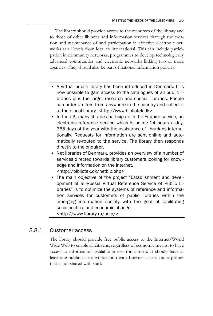The library should provide access to the resources of the library and to those of other libraries and information services through the creation and maintenance of and participation in effective electronic networks at all levels from local to international. This can include participation in community networks, programmes to develop technologically advanced communities and electronic networks linking two or more agencies. They should also be part of national information policies.

- A virtual public library has been introduced in Denmark. It is now possible to gain access to the catalogues of all public libraries plus the larger research and special libraries. People can order an item from anywhere in the country and collect it at their local library. <http://www.bibliotek.dk>
- In the UK, many libraries participate in the Enquire service, an electronic reference service which is online 24 hours a day, 365 days of the year with the assistance of librarians internationally. Requests for information are sent online and automatically re-routed to the service. The library then responds directly to the enquirer.
- ▶ Net libraries of Denmark, provides an overview of a number of services directed towards library customers looking for knowledge and information on the internet. <http://bibliotek.dk/netbib.php>
- The main objective of the project "Establishment and development of all-Russia Virtual Reference Service of Public Libraries" is to optimize the systems of reference and information services for customers of public libraries within the emerging information society with the goal of facilitating socio-political and economic change.

<http://www.library.ru/help/>

#### 3.8.1 Customer access

The library should provide free public access to the Internet/World Wide Web to enable all citizens, regardless of economic means, to have access to information available in electronic form. It should have at least one public-access workstation with Internet access and a printer that is not shared with staff.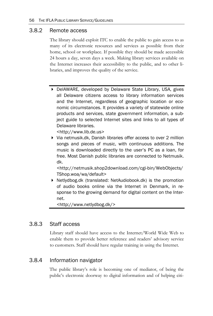#### 3.8.2 Remote access

The library should exploit ITC to enable the public to gain access to as many of its electronic resources and services as possible from their home, school or workplace. If possible they should be made accessible 24 hours a day, seven days a week. Making library services available on the Internet increases their accessibility to the public, and to other libraries, and improves the quality of the service.

 DelAWARE, developed by Delaware State Library, USA, gives all Delaware citizens access to library information services and the Internet, regardless of geographic location or economic circumstances. It provides a variety of statewide online products and services, state government information, a subject guide to selected Internet sites and links to all types of Delaware libraries.

<http://www.lib.de.us>

 Via netmusik.dk, Danish libraries offer access to over 2 million songs and pieces of music, with continuous additions. The music is downloaded directly to the user's PC as a loan, for free. Most Danish public libraries are connected to Netmusik. dk.

<http://netmusik.shop2download.com/cgi-bin/WebObjects/ TShop.woa/wa/default>

 Netlydbog.dk (translated: NetAudiobook.dk) is the promotion of audio books online via the Internet in Denmark, in response to the growing demand for digital content on the Internet.

<http://www.netlydbog.dk/>

#### 3.8.3 Staff access

Library staff should have access to the Internet/World Wide Web to enable them to provide better reference and readers' advisory service to customers. Staff should have regular training in using the Internet.

#### 3.8.4 Information navigator

The public library's role is becoming one of mediator, of being the public's electronic doorway to digital information and of helping citi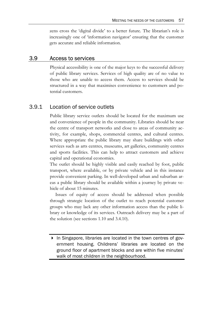zens cross the 'digital divide' to a better future. The librarian's role is increasingly one of 'information navigator' ensuring that the customer gets accurate and reliable information.

#### 3.9 Access to services

Physical accessibility is one of the major keys to the successful delivery of public library services. Services of high quality are of no value to those who are unable to access them. Access to services should be structured in a way that maximises convenience to customers and potential customers.

## 3.9.1 Location of service outlets

Public library service outlets should be located for the maximum use and convenience of people in the community. Libraries should be near the centre of transport networks and close to areas of community activity, for example, shops, commercial centres, and cultural centres. Where appropriate the public library may share buildings with other services such as arts centres, museums, art galleries, community centres and sports facilities. This can help to attract customers and achieve capital and operational economies.

The outlet should be highly visible and easily reached by foot, public transport, where available, or by private vehicle and in this instance provide convenient parking. In well-developed urban and suburban areas a public library should be available within a journey by private vehicle of about 15 minutes.

Issues of equity of access should be addressed when possible through strategic location of the outlet to reach potential customer groups who may lack any other information access than the public library or knowledge of its services. Outreach delivery may be a part of the solution (see sections 1.10 and 3.4.10).

In Singapore, libraries are located in the town centres of government housing. Childrens' libraries are located on the ground floor of apartment blocks and are within five minutes' walk of most children in the neighbourhood.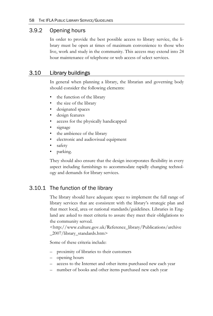#### 3.9.2 Opening hours

In order to provide the best possible access to library service, the library must be open at times of maximum convenience to those who live, work and study in the community. This access may extend into 24 hour maintenance of telephone or web access of select services.

## 3.10 Library buildings

In general when planning a library, the librarian and governing body should consider the following elements:

- the function of the library
- the size of the library
- designated spaces
- design features
- access for the physically handicapped
- signage
- the ambience of the library
- electronic and audiovisual equipment
- safety
- parking.

They should also ensure that the design incorporates flexibility in every aspect including furnishings to accommodate rapidly changing technology and demands for library services.

## 3.10.1 The function of the library

The library should have adequate space to implement the full range of library services that are consistent with the library's strategic plan and that meet local, area or national standards/guidelines. Libraries in England are asked to meet criteria to assure they meet their obliglations to the community served.

<http://www.culture.gov.uk/Reference\_library/Publications/archive \_2007/library\_standards.htm>

Some of these criteria include:

- proximity of libraries to their customers
- opening hours
- access to the Internet and other items purchased new each year
- number of books and other items purchased new each year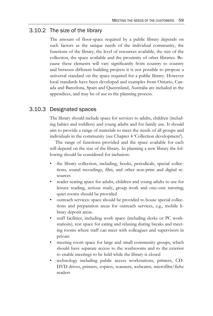## 3.10.2 The size of the library

The amount of floor-space required by a public library depends on such factors as the unique needs of the individual community, the functions of the library, the level of resources available, the size of the collection, the space available and the proximity of other libraries. Because these elements will vary significantly from country to country and between different building projects it is not possible to propose a universal standard on the space required for a public library. However local standards have been developed and examples from Ontario, Canada and Barcelona, Spain and Queensland, Australia are included in the appendices, and may be of use in the planning process.

#### 3.10.3 Designated spaces

The library should include space for services to adults, children (including babies and toddlers) and young adults and for family use. It should aim to provide a range of materials to meet the needs of all groups and individuals in the community (see Chapter 4 'Collection development').

The range of functions provided and the space available for each will depend on the size of the library. In planning a new library the following should be considered for inclusion:

- the library collection, including, books, periodicals, special collections, sound recordings, film, and other non-print and digital resources
- reader seating space for adults, children and young adults to use for leisure reading, serious study, group work and one–one tutoring; quiet rooms should be provided
- outreach services: space should be provided to house special collections and preparation areas for outreach services, e.g., mobile library deposit areas.
- staff facilities, including work space (including desks or PC workstations), rest space for eating and relaxing during breaks and meeting rooms where staff can meet with colleagues and supervisors in private
- meeting room space for large and small community groups, which should have separate access to the washrooms and to the exterior to enable meetings to be held while the library is closed
- technology including public access workstations, printers, CD-DVD drives, printers, copiers, scanners, webcams, microfilm/fiche readers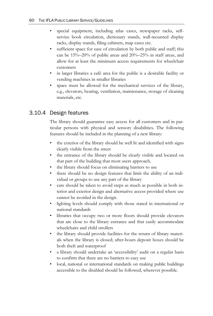- special equipment, including atlas cases, newspaper racks, selfservice book circulation, dictionary stands, wall-mounted display racks, display stands, filing cabinets, map cases etc.
- sufficient space for ease of circulation by both public and staff; this can be 15%–20% of public areas and 20%–25% in staff areas, and allow for at least the minimum access requirements for wheelchair customers
- in larger libraries a café area for the public is a desirable facility or vending machines in smaller libraries
- space must be allowed for the mechanical services of the library, e.g., elevators, heating, ventilation, maintenance, storage of cleaning materials, etc.

## 3.10.4 Design features

The library should guarantee easy access for all customers and in particular persons with physical and sensory disabilities. The following features should be included in the planning of a new library:

- the exterior of the library should be well lit and identified with signs clearly visible from the street
- the entrance of the library should be clearly visible and located on that part of the building that most users approach.
- the library should focus on eliminating barriers to use
- there should be no design features that limit the ability of an individual or groups to use any part of the library
- care should be taken to avoid steps as much as possible in both interior and exterior design and alternative access provided where use cannot be avoided in the design.
- lighting levels should comply with those stated in international or national standards
- libraries that occupy two or more floors should provide elevators that are close to the library entrance and that easily accommodate wheelchairs and child strollers
- the library should provide facilities for the return of library materials when the library is closed; after-hours deposit boxes should be both theft and waterproof
- a library should undertake an 'accessibility' audit on a regular basis to confirm that there are no barriers to easy use
- local, national or international standards on making public buildings accessible to the disabled should be followed, wherever possible.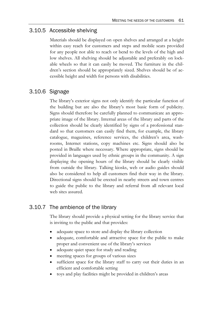#### 3.10.5 Accessible shelving

Materials should be displayed on open shelves and arranged at a height within easy reach for customers and steps and mobile seats provided for any people not able to reach or bend to the levels of the high and low shelves. All shelving should be adjustable and preferably on lockable wheels so that it can easily be moved. The furniture in the children's section should be appropriately sized. Shelves should be of accessible height and width for persons with disabilities.

# 3.10.6 Signage

The library's exterior signs not only identify the particular function of the building but are also the library's most basic form of publicity. Signs should therefore be carefully planned to communicate an appropriate image of the library. Internal areas of the library and parts of the collection should be clearly identified by signs of a professional standard so that customers can easily find them, for example, the library catalogue, magazines, reference services, the children's area, washrooms, Internet stations, copy machines etc. Signs should also be posted in Braille where necessary. Where appropriate, signs should be provided in languages used by ethnic groups in the community. A sign displaying the opening hours of the library should be clearly visible from outside the library. Talking kiosks, web or audio guides should also be considered to help all customers find their way in the library. Directional signs should be erected in nearby streets and town centres to guide the public to the library and referral from all relevant local web sites assured.

#### 3.10.7 The ambience of the library

The library should provide a physical setting for the library service that is inviting to the public and that provides:

- adequate space to store and display the library collection
- adequate, comfortable and attractive space for the public to make proper and convenient use of the library's services
- adequate quiet space for study and reading
- meeting spaces for groups of various sizes
- sufficient space for the library staff to carry out their duties in an efficient and comfortable setting
- toys and play facilities might be provided in children's areas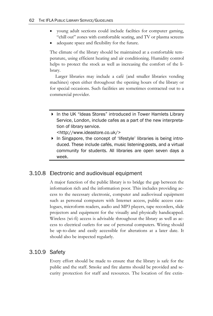- young adult sections could include facilties for computer gaming, "chill out" zones with comfortable seating, and TV or plasma screens
- adequate space and flexibility for the future.

The climate of the library should be maintained at a comfortable temperature, using efficient heating and air conditioning. Humidity control helps to protect the stock as well as increasing the comfort of the library.

Larger libraries may include a café (and smaller libraries vending machines) open either throughout the opening hours of the library or for special occasions. Such facilities are sometimes contracted out to a commercial provider.

▶ In the UK "Ideas Stores" introduced in Tower Hamlets Library Service, London, include cafes as a part of the new interpretation of library service.

<http://www.ideastore.co.uk/>

 In Singapore, the concept of 'lifestyle' libraries is being introduced. These include cafés, music listening-posts, and a virtual community for students. All libraries are open seven days a week.

# 3.10.8 Electronic and audiovisual equipment

A major function of the public library is to bridge the gap between the information rich and the information poor. This includes providing access to the necessary electronic, computer and audiovisual equipment such as personal computers with Internet access, public access catalogues, microform readers, audio and MP3 players, tape recorders, slide projectors and equipment for the visually and physically handicapped. Wireless (wi-fi) access is advisable throughout the library as well as access to electrical outlets for use of personal computers. Wiring should be up-to-date and easily accessible for alterations at a later date. It should also be inspected regularly.

# 3.10.9 Safety

Every effort should be made to ensure that the library is safe for the public and the staff. Smoke and fire alarms should be provided and security protection for staff and resources. The location of fire extin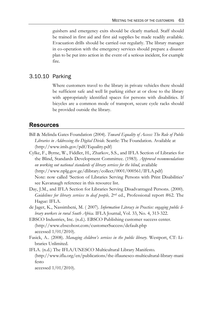guishers and emergency exits should be clearly marked. Staff should be trained in first aid and first aid supplies be made readily available. Evacuation drills should be carried out regularly. The library manager in co-operation with the emergency services should prepare a disaster plan to be put into action in the event of a serious incident, for example fire.

#### 3.10.10 Parking

Where customers travel to the library in private vehicles there should be sufficient safe and well lit parking either at or close to the library with appropriately identified spaces for persons with disabilities. If bicycles are a common mode of transport, secure cycle racks should be provided outside the library.

#### **Resources**

Bill & Melinda Gates Foundation (2004). *Toward Equality of Access: The Role of Public Libraries in Addressing the Digital Divide.* Seattle: The Foundation. Available at (http://www.imls.gov/pdf/Equality.pdf)

Cylke, F., Byrne, W., Fiddler, H., Zharkov, S.S., and IFLA Section of Libraries for the Blind, Standards Development Committee. (1983). *Approved recommendations on working out national standards of library services for the blind*, available (http://www.nplg.gov.ge/dlibrary/collect/0001/000561/IFLA.pdf) Note: now called 'Section of Libraries Serving Persons with Print Disabilities' see Kavanaugh reference in this resource list.

- Day, J.M., and IFLA Section for Libraries Serving Disadvantaged Persons. (2000). *Guidelines for library services to deaf people,* 2nd ed., Professional report #62. The Hague: IFLA.
- de Jager, K., Nassimbeni, M. ( 2007). *Information Literacy in Practice: engaging public library workers in rural South Africa.* IFLA Journal, Vol. 33, No. 4, 313-322.
- EBSCO Industries, Inc. (n.d.). EBSCO Publishing customer success center. (http://www.ebscohost.com/customerSuccess/default.php accessed 1/01/2010).
- Fasick, A.. (2008). *Managing children's services in the public library.* Westport, CT: Libraries Unlimited.

IFLA. (n.d.) The IFLA/UNESCO Multicultural Library Manifesto*.* (http://www.ifla.org/en/publications/the-iflaunesco-multicultural-library-mani festo

accessed 1/01/2010).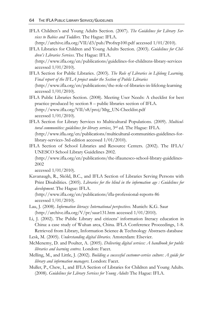IFLA Children's and Young Adults Section. (2007). *The Guidelines for Library Services to Babies and Toddlers.* The Hague: IFLA.

(http://archive.ifla.org/VII/d3/pub/Profrep100.pdf accessed 1/01/2010).

- IFLA Libraries for Children and Young Adults Section. (2003). *Guidelines for Children's Libraries Services*. The Hague: IFLA. (http://www.ifla.org/en/publications/guidelines-for-childrens-library-services accessed 1/01/2010).
- IFLA Section for Public Libraries. (2003). *The Role of Libraries in Lifelong Learning. Final report of the IFLA project under the Section of Public Libraries* (http://www.ifla.org/en/publications/the-role-of-libraries-in-lifelong-learning accessed 1/01/2010).
- IFLA Public Libraries Section. (2008). Meeting User Needs: A checklist for best practice produced by section 8 – public libraries section of IFLA. (http://www.ifla.org/VII/s8/proj/Mtg\_UN-Checklist.pdf accessed 1/01/2010).
- IFLA Section for Library Services to Multicultural Populations. (2009). *Multicultural communities: guidelines for library services*, 3rd ed. The Hague: IFLA. (http://www.ifla.org/en/publications/multicultural-communities-guidelines-forlibrary-services-3rd-edition accessed 1/01/2010).
- IFLA Section of School Libraries and Resource Centers. (2002). The IFLA/ UNESCO School Library Guidelines 2002. (http://www.ifla.org/en/publications/the-iflaunesco-school-library-guidelines-2002

accessed 1/01/2010).

Kavanaugh, R., Sköld, B.C., and IFLA Section of Libraries Serving Persons with Print Disabilities. (2005). *Libraries for the blind in the information age : Guidelines for development.* The Hague: IFLA.

(http://www.ifla.org/en/publications/ifla-professional-reports-86 accessed 1/01/2010).

- Lau, J. (2008). *Information literacy: International perspectives*. Munich: K.G. Saur  $(\text{http://archive.ifla.org/V/pr/saur131.htm accessed 1/01/2010}).$
- Li, J. (2002). The Public Library and citizens' information literacy education in China: a case study of Wuhan area, China. IFLA Conference Proceedings, 1-8. Retrieved from Library, Information Science & Technology Abstracts database

Lesk, M. (2005). *Understanding digital libraries.* Amsterdam: Elsevier.

- McMenemy, D. and Poulter, A. (2005). *Delivering digital services: A handbook for public libraries and learning centres*. London: Facet.
- Melling, M., and Little, J. (2002). *Building a successful customer-service culture: A guide for library and information managers*. London: Facet.
- Muller, P., Chew, I., and IFLA Section of Libraries for Children and Young Adults. (2008). *Guidelines for Library Services for Young Adults* The Hague: IFLA*.*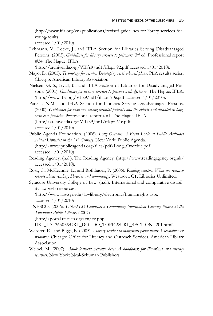(http://www.ifla.org/en/publications/revised-guidelines-for-library-services-foryoung-adults

accessed 1/01/2010).

Lehmann, V., Locke, J., and IFLA Section for Libraries Serving Disadvantaged Persons. (2005). *Guidelines for library services to prisoners,* 3rd ed. Professional report #34. The Hague: IFLA.

(http://archive.ifla.org/VII/s9/nd1/iflapr-92.pdf accessed 1/01/2010).

- Mayo, D. (2005). *Technology for results: Developing service-based plans*. PLA results series. Chicago: American Library Association.
- Nielsen, G. S., Irvall, B., and IFLA Section of Libraries for Disadvantaged Persons. (2001). *Guidelines for library services to persons with dyslexia*. The Hague: IFLA. (http://www.ifla.org/VIIs9/nd1/iflapr-70e.pdf accessed 1/01/2010).
- Panella, N.M., and IFLA Section for Libraries Serving Disadvantaged Persons. (2000). *Guidelines for libraries serving hospital patients and the elderly and disabled in longterm care facilities*. Professional report #61. The Hague: IFLA. (http://archive.ifla.org/VII/s9/nd1/iflapr-61e.pdf accessed 1/01/2010).
- Public Agenda Foundation. (2006). *Long Overdue A Fresh Look at Public Attitudes*  About Libraries in the 21st Century. New York: Public Agenda. (http://www.publicagenda.org/files/pdf/Long\_Overdue.pdf accessed 1/01/2010)
- Reading Agency. (n.d.). The Reading Agency. (http://www.readingagency.org.uk/ accessed 1/01/2010).
- Ross, C., McKechnie, L., and Rothbauer, P. (2006). *Reading matters: What the research reveals about reading, libraries and community*. Westport, CT: Libraries Unlimited.
- Syracuse University College of Law. (n.d.). International and comparative disability law web resources. (http://www.law.syr.edu/lawlibrary/electronic/humanrights.aspx

accessed 1/01/2010)

UNESCO. (2006). *UNESCO Launches a Community Information Literacy Project at the Tunapuna Public Library* (2007)

(http://portal.unesco.org/en/ev.php-

URL\_ID=36505&URL\_DO=DO\_TOPIC&URL\_SECTION=201.html)

- Webster, K., and Biggs, B. (2005). *Library services to indigenous populations: Viewpoints & resources*. Chicago: Office for Literacy and Outreach Services, American Library Association.
- Weibel, M. (2007). *Adult learners welcome here: A handbook for librarians and literacy teachers*. New York: Neal-Schuman Publishers.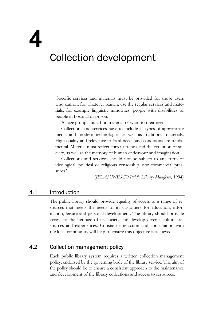**4** 

# Collection development

'Specific services and materials must be provided for those users who cannot, for whatever reason, use the regular services and materials, for example linguistic minorities, people with disabilities or people in hospital or prison.

All age groups must find material relevant to their needs.

Collections and services have to include all types of appropriate media and modern technologies as well as traditional materials. High quality and relevance to local needs and conditions are fundamental. Material must reflect current trends and the evolution of society, as well as the memory of human endeavour and imagination.

Collections and services should not be subject to any form of ideological, political or religious censorship, nor commercial pressures.'

(*IFLA/UNESCO Public Library Manifesto*, 1994)

#### 4.1 Introduction

The public library should provide equality of access to a range of resources that meets the needs of its customers for education, information, leisure and personal development. The library should provide access to the heritage of its society and develop diverse cultural resources and experiences. Constant interaction and consultation with the local community will help to ensure this objective is achieved.

### 4.2 Collection management policy

Each public library system requires a written collection management policy, endorsed by the governing body of the library service. The aim of the policy should be to ensure a consistent approach to the maintenance and development of the library collections and access to resources.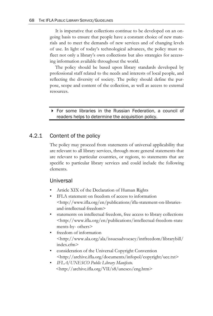It is imperative that collections continue to be developed on an ongoing basis to ensure that people have a constant choice of new materials and to meet the demands of new services and of changing levels of use. In light of today's technological advances, the policy must reflect not only a library's own collections but also strategies for accessing information available throughout the world.

The policy should be based upon library standards developed by professional staff related to the needs and interests of local people, and reflecting the diversity of society. The policy should define the purpose, scope and content of the collection, as well as access to external resources.

 For some libraries in the Russian Federation, a council of readers helps to determine the acquisition policy.

#### 4.2.1 Content of the policy

The policy may proceed from statements of universal applicability that are relevant to all library services, through more general statements that are relevant to particular countries, or regions, to statements that are specific to particular library services and could include the following elements.

#### **Universal**

- Article XIX of the Declaration of Human Rights
- IFLA statement on freedom of access to information <http://www.ifla.org/en/publications/ifla-statement-on-librariesand-intellectual-freedom>
- statements on intellectual freedom, free access to library collections <http://www.ifla.org/en/publications/intellectual-freedom-state ments-by- others>
- freedom of information <http://www.ala.org/ala/issuesadvocacy/intfreedom/librarybill/ index.cfm>
- consideration of the Universal Copyright Convention <http://archive.ifla.org/documents/infopol/copyright/ucc.txt>
- *IFLA/UNESCO Public Library Manifesto.* <http://archive.ifla.org/VII/s8/unesco/eng.htm>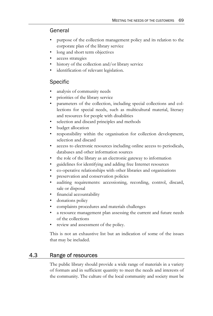#### General

- purpose of the collection management policy and its relation to the corporate plan of the library service
- long and short term objectives
- access strategies
- history of the collection and/or library service
- identification of relevant legislation.

# Specific

- analysis of community needs
- priorities of the library service
- parameters of the collection, including special collections and collections for special needs, such as multicultural material, literacy and resources for people with disabilities
- selection and discard principles and methods
- budget allocation
- responsibility within the organisation for collection development, selection and discard
- access to electronic resources including online access to periodicals, databases and other information sources
- the role of the library as an electronic gateway to information
- guidelines for identifying and adding free Internet resources
- co-operative relationships with other libraries and organisations
- preservation and conservation policies
- auditing requirements: accessioning, recording, control, discard, sale or disposal
- financial accountability
- donations policy
- complaints procedures and materials challenges
- a resource management plan assessing the current and future needs of the collections
- review and assessment of the policy.

This is not an exhaustive list but an indication of some of the issues that may be included.

# 4.3 Range of resources

The public library should provide a wide range of materials in a variety of formats and in sufficient quantity to meet the needs and interests of the community. The culture of the local community and society must be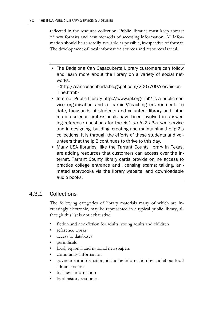reflected in the resource collection. Public libraries must keep abreast of new formats and new methods of accessing information. All information should be as readily available as possible, irrespective of format. The development of local information sources and resources is vital.

 The Badalona Can Casacuberta Library customers can follow and learn more about the library on a variety of social networks.

```
<http://cancasacuberta.blogspot.com/2007/09/serveis-on-
line.html>
```
- ▶ Internet Public Library http://www.ipl.org/ ipl2 is a public service organisation and a learning/teaching environment. To date, thousands of students and volunteer library and information science professionals have been involved in answering reference questions for the *Ask an ipl2 Librarian* service and in designing, building, creating and maintaining the ipl2's collections. It is through the efforts of these students and volunteers that the ipl2 continues to thrive to this day.
- Many USA libraries, like the Tarrant County library in Texas, are adding resources that customers can access over the Internet. Tarrant County library cards provide online access to practice college entrance and licensing exams; talking, animated storybooks via the library website; and downloadable audio books.

# 4.3.1 Collections

The following categories of library materials many of which are increasingly electronic, may be represented in a typical public library, although this list is not exhaustive:

- fiction and non-fiction for adults, young adults and children
- reference works
- access to databases
- periodicals
- local, regional and national newspapers
- community information
- government information, including information by and about local administrations
- business information
- local history resources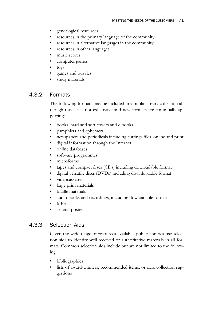- genealogical resources
- resources in the primary language of the community
- resources in alternative languages in the community
- resources in other languages
- music scores
- computer games
- toys
- games and puzzles
- study materials.

#### 4.3.2 Formats

The following formats may be included in a public library collection although this list is not exhaustive and new formats are continually appearing:

- books, hard and soft covers and e-books
- pamphlets and ephemera
- newspapers and periodicals including cuttings files, online and print
- digital information through the Internet
- online databases
- software programmes
- microforms
- tapes and compact discs (CDs) including dowloadable format
- digital versatile discs (DVDs) including downloadable format
- videocassettes
- large print materials
- braille materials
- audio books and recordings, including dowloadable format
- MP3s
- art and posters.

# 4.3.3 Selection Aids

Given the wide range of resources available, public libraries use selection aids to identify well-received or authoritative materials in all formats. Common selection aids include but are not limited to the following:

- bibliographies
- lists of award-winners, recommended items, or core collection suggestions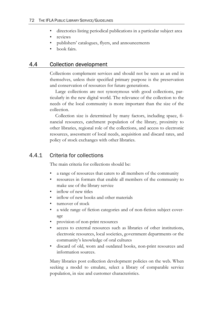- directories listing periodical publications in a particular subject area
- reviews
- publishers' catalogues, flyers, and announcements
- book fairs.

#### 4.4 Collection development

Collections complement services and should not be seen as an end in themselves, unless their specified primary purpose is the preservation and conservation of resources for future generations.

Large collections are not synonymous with good collections, particularly in the new digital world. The relevance of the collection to the needs of the local community is more important than the size of the collection.

Collection size is determined by many factors, including space, financial resources, catchment population of the library, proximity to other libraries, regional role of the collections, and access to electronic resources, assessment of local needs, acquisition and discard rates, and policy of stock exchanges with other libraries.

#### 4.4.1 Criteria for collections

The main criteria for collections should be:

- a range of resources that caters to all members of the community
- resources in formats that enable all members of the community to make use of the library service
- inflow of new titles
- inflow of new books and other materials
- turnover of stock
- a wide range of fiction categories and of non-fiction subject coverage
- provision of non-print resources
- access to external resources such as libraries of other institutions, electronic resources, local societies, government departments or the community's knowledge of oral cultures
- discard of old, worn and outdated books, non-print resources and information sources.

Many libraries post collection development policies on the web. When seeking a model to emulate, select a library of comparable service population, in size and customer characteristics.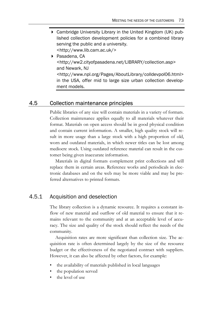- Cambridge University Library in the United Kingdom (UK) published collection development policies for a combined library serving the public and a university. <http://www.lib.cam.ac.uk/>
- ▶ Pasadena, CA <http://ww2.cityofpasadena.net/LIBRARY/collection.asp> and Newark, NJ <http://www.npl.org/Pages/AboutLibrary/colldevpol06.html> in the USA, offer mid to large size urban collection development models.

#### 4.5 Collection maintenance principles

Public libraries of any size will contain materials in a variety of formats. Collection maintenance applies equally to all materials whatever their format. Materials on open access should be in good physical condition and contain current information. A smaller, high quality stock will result in more usage than a large stock with a high proportion of old, worn and outdated materials, in which newer titles can be lost among mediocre stock. Using outdated reference material can result in the customer being given inaccurate information.

Materials in digital formats complement print collections and will replace them in certain areas. Reference works and periodicals in electronic databases and on the web may be more viable and may be preferred alternatives to printed formats.

#### 4.5.1 Acquisition and deselection

The library collection is a dynamic resource. It requires a constant inflow of new material and outflow of old material to ensure that it remains relevant to the community and at an acceptable level of accuracy. The size and quality of the stock should reflect the needs of the community.

Acquisition rates are more significant than collection size. The acquisition rate is often determined largely by the size of the resource budget or the effectiveness of the negotiated contract with suppliers. However, it can also be affected by other factors, for example:

- the availability of materials published in local languages
- the population served
- the level of use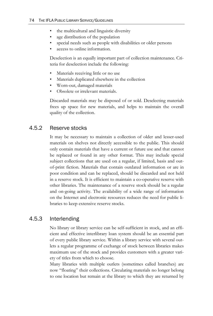- the multicultural and linguistic diversity
- age distribution of the population
- special needs such as people with disabilities or older persons
- access to online information.

Deselection is an equally important part of collection maintenance. Criteria for deselection include the following:

- Materials receiving little or no use
- Materials duplicated elsewhere in the collection
- Worn-out, damaged materials
- Obsolete or irrelevant materials.

Discarded materials may be disposed of or sold. Deselecting materials frees up space for new materials, and helps to maintain the overall quality of the collection.

#### 4.5.2 Reserve stocks

It may be necessary to maintain a collection of older and lesser-used materials on shelves not directly accessible to the public. This should only contain materials that have a current or future use and that cannot be replaced or found in any other format. This may include special subject collections that are used on a regular, if limited, basis and outof-print fiction. Materials that contain outdated information or are in poor condition and can be replaced, should be discarded and not held in a reserve stock. It is efficient to maintain a co-operative reserve with other libraries. The maintenance of a reserve stock should be a regular and on-going activity. The availability of a wide range of information on the Internet and electronic resources reduces the need for public libraries to keep extensive reserve stocks.

# 4.5.3 Interlending

No library or library service can be self-sufficient in stock, and an efficient and effective interlibrary loan system should be an essential part of every public library service. Within a library service with several outlets a regular programme of exchange of stock between libraries makes maximum use of the stock and provides customers with a greater variety of titles from which to choose.

Many libraries with multiple outlets (sometimes called branches) are now "floating" their collections. Circulating materials no longer belong to one location but remain at the library to which they are returned by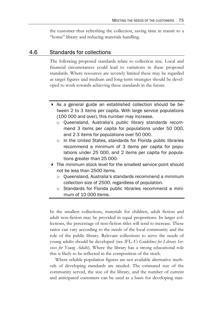the customer thus refreshing the collection, saving time in transit to a "home" library and reducing materials handling.

#### 4.6 Standards for collections

The following proposed standards relate to collection size. Local and financial circumstances could lead to variations in these proposed standards. Where resources are severely limited these may be regarded as target figures and medium and long-term strategies should be developed to work towards achieving these standards in the future.

- As a general guide an established collection should be between 2 to 3 items per capita. With large service populations (100 000 and over), this number may increase.
	- o Queensland, Australia's public library standards recommend 3 items per capita for populations under 50 000, and 2-3 items for populations over 50 000.
	- o In the United States, standards for Florida public libraries recommend a minimum of 3 items per capita for populations under 25 000, and 2 items per capita for populations greater than 25 000.
- The minimum stock level for the smallest service point should not be less than 2500 items.
	- o Queensland, Australia's standards recommend a minimum collection size of 2500, regardless of population.
	- o Standards for Florida public libraries recommend a minimum of 10 000 items.

In the smallest collections, materials for children, adult fiction and adult non-fiction may be provided in equal proportions. In larger collections, the percentage of non-fiction titles will tend to increase. These ratios can vary according to the needs of the local community and the role of the public library. Relevant collections to serve the needs of young adults should be developed (see *IFLA's Guidelines for Library Services for Young Adults*). Where the library has a strong educational role this is likely to be reflected in the composition of the stock.

Where reliable population figures are not available alternative methods of developing standards are needed. The estimated size of the community served, the size of the library, and the number of current and anticipated customers can be used as a basis for developing stan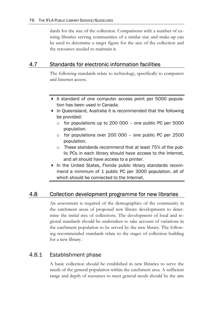dards for the size of the collection. Comparisons with a number of existing libraries serving communities of a similar size and make-up can be used to determine a target figure for the size of the collection and the resources needed to maintain it.

# 4.7 Standards for electronic information facilities

The following standards relate to technology, specifically to computers and Internet access.

- A standard of one computer access point per 5000 population has been used in Canada.
- ▶ In Queensland, Australia it is recommended that the following be provided:
	- o for populations up to 200 000 one public PC per 5000 population.
	- o for populations over 200 000 one public PC per 2500 population.
	- o These standards recommend that at least 75% of the public PCs in each library should have access to the Internet, and all should have access to a printer.
- In the United States, Florida public library standards recommend a minimum of 1 public PC per 3000 population, all of which should be connected to the Internet.

# 4.8 Collection development programme for new libraries

An assessment is required of the demographics of the community in the catchment areas of proposed new library developments to determine the initial mix of collections. The development of local and regional standards should be undertaken to take account of variations in the catchment population to be served by the new library. The following recommended standards relate to the stages of collection building for a new library.

# 4.8.1 Establishment phase

A basic collection should be established in new libraries to serve the needs of the general population within the catchment area. A sufficient range and depth of resources to meet general needs should be the aim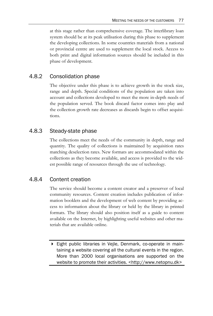at this stage rather than comprehensive coverage. The interlibrary loan system should be at its peak utilisation during this phase to supplement the developing collections. In some countries materials from a national or provincial centre are used to supplement the local stock. Access to both print and digital information sources should be included in this phase of development.

# 4.8.2 Consolidation phase

The objective under this phase is to achieve growth in the stock size, range and depth. Special conditions of the population are taken into account and collections developed to meet the more in-depth needs of the population served. The book discard factor comes into play and the collection growth rate decreases as discards begin to offset acquisitions.

# 4.8.3 Steady-state phase

The collections meet the needs of the community in depth, range and quantity. The quality of collections is maintained by acquisition rates matching deselection rates. New formats are accommodated within the collections as they become available, and access is provided to the widest possible range of resources through the use of technology.

# 4.8.4 Content creation

The service should become a content creator and a preserver of local community resources. Content creation includes publication of information booklets and the development of web content by providing access to information about the library or held by the library in printed formats. The library should also position itself as a guide to content available on the Internet, by highlighting useful websites and other materials that are available online.

 Eight public libraries in Vejle, Denmark, co-operate in maintaining a website covering all the cultural events in the region. More than 2000 local organisations are supported on the website to promote their activities. <http://www.netopnu.dk>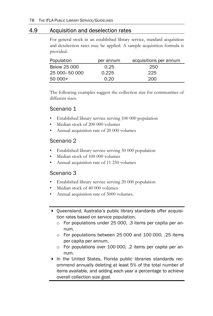### 4.9 Acquisition and deselection rates

For general stock in an established library service, standard acquisition and deselection rates may be applied. A sample acquisition formula is provided.

| Population    | per annum | acquisitions per annum |
|---------------|-----------|------------------------|
| Below 25 000  | 0.25      | 250                    |
| 25 000-50 000 | 0.225     | 225                    |
| $50000+$      | 0.20      | 200                    |

The following examples suggest the collection size for communities of different sizes.

# Scenario 1

- Established library service serving 100 000 population
- Median stock of 200 000 volumes
- Annual acquisition rate of 20 000 volumes

# Scenario 2

- Established library service serving 50 000 population
- Median stock of 100 000 volumes
- Annual acquisition rate of 11 250 volumes

# Scenario 3

- Established library service serving 20 000 population
- Median stock of 40 000 volumes
- Annual acquisition rate of 5000 volumes.
- Queensland, Australia's public library standards offer acquisition rates based on service population.
	- o For populations under 25 000, .3 items per capita per annum.
	- o For populations between 25 000 and 100 000, .25 items per capita per annum.
	- o For populations over 100 000, .2 items per capita per annum.
- In the United States, Florida public libraries standards recommend annually deleting at least 5% of the total number of items available, and adding each year a percentage to achieve overall collection size goal.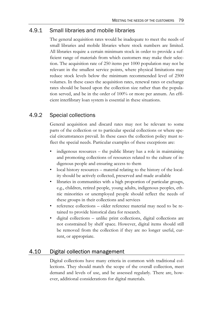## 4.9.1 Small libraries and mobile libraries

The general acquisition rates would be inadequate to meet the needs of small libraries and mobile libraries where stock numbers are limited. All libraries require a certain minimum stock in order to provide a sufficient range of materials from which customers may make their selection. The acquisition rate of 250 items per 1000 population may not be relevant in the smallest service points, where physical limitations may reduce stock levels below the minimum recommended level of 2500 volumes. In these cases the acquisition rates, renewal rates or exchange rates should be based upon the collection size rather than the population served, and be in the order of 100% or more per annum. An efficient interlibrary loan system is essential in these situations.

# 4.9.2 Special collections

General acquisition and discard rates may not be relevant to some parts of the collection or to particular special collections or where special circumstances prevail. In these cases the collection policy must reflect the special needs. Particular examples of these exceptions are:

- indigenous resources the public library has a role in maintaining and promoting collections of resources related to the culture of indigenous people and ensuring access to them
- local history resources material relating to the history of the locality should be actively collected, preserved and made available
- libraries in communities with a high proportion of particular groups, e.g., children, retired people, young adults, indigenous peoples, ethnic minorities or unemployed people should reflect the needs of these groups in their collections and services
- reference collections older reference material may need to be retained to provide historical data for research.
- digital collections unlike print collections, digital collections are not constrained by shelf space. However, digital items should still be removed from the collection if they are no longer useful, current, or appropriate.

# 4.10 Digital collection management

Digital collections have many criteria in common with traditional collections. They should match the scope of the overall collection, meet demand and levels of use, and be assessed regularly. There are, however, additional considerations for digital materials.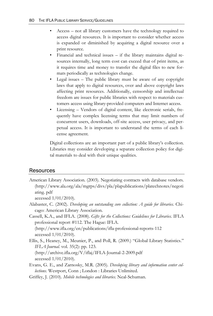- Access not all library customers have the technology required to access digital resources. It is important to consider whether access is expanded or diminished by acquiring a digital resource over a print resource.
- Financial and technical issues if the library maintains digital resources internally, long term cost can exceed that of print items, as it requires time and money to transfer the digital files to new formats periodically as technologies change.
- Legal issues  $-$  The public library must be aware of any copyright laws that apply to digital resources, over and above copyright laws affecting print resources. Additionally, censorship and intellectual freedom are issues for public libraries with respect to materials customers access using library-provided computers and Internet access.
- Licensing Vendors of digital content, like electronic serials, frequently have complex licensing terms that may limit numbers of concurrent users, downloads, off-site access, user privacy, and perpetual access. It is important to understand the terms of each license agreement.

Digital collections are an important part of a public library's collection. Libraries may consider developing a separate collection policy for digital materials to deal with their unique qualities.

#### **Resources**

American Library Association. (2003). Negotiating contracts with database vendors. (http://www.ala.org/ala/mgrps/divs/pla/plapublications/platechnotes/negoti ating. pdf

accessed 1/01/2010).

Alabaster, C. (2002). *Developing an outstanding core collection: A guide for libraries*. Chicago: American Library Association.

Cassell, K.A., and IFLA. (2008). *Gifts for the Collections: Guidelines for Libraries*. IFLA professional report #112. The Hague: IFLA. (http://www.ifla.org/en/publications/ifla-professional-reports-112 accessed 1/01/2010).

- Ellis, S., Heaney, M., Meunier, P., and Poll, R. (2009.) "Global Library Statistics." *IFLA Journal.* vol. 35(2): pp. 123. (http://archive.ifla.org/V/iflaj/IFLA-Journal-2-2009.pdf accessed 1/01/2010).
- Evans, G. E., and Zarnosky, M.R. (2005). *Developing library and information center collections.* Westport, Conn ; London : Libraries Unlimited.
- Griffey, J. (2010). *Mobile technologies and libraries*. Neal-Schuman.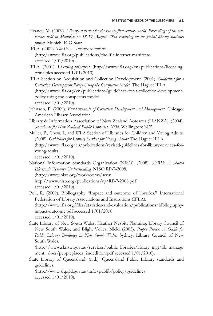- Heaney, M. (2009). *Library statistics for the twenty-first century world: Proceedings of the conference held in Montréal on 18-19 August 2008 reporting on the global library statistics project*. Munich: K G Saur.
- IFLA. (2002). *The IFLA Internet Manifesto*. (http://www.ifla.org/publications/the-ifla-internet-manifesto accessed 1/01/2010).
- IFLA. (2001). *Licensing principles.* (http://www.ifla.org/en/publications/licensingprinciples accessed 1/01/2010).
- IFLA Section on Acquisition and Collection Development. (2001). *Guidelines for a Collection Development Policy Using the Conspectus Model*. The Hague: IFLA. (http://www.ifla.org/en/publications/guidelines-for-a-collection-developmentpolicy-using-the-conspectus-model accessed 1/01/2010).
- Johnson, P. (2009). *Fundamentals of Collection Development and Management*. Chicago: American Library Association.
- Library & Information Association of New Zealand Aotearoa (LIANZA). (2004). *Standards for New Zealand Public Libraries, 2004*. Wellington: N.Z.
- Muller, P., Chew, I., and IFLA Section of Libraries for Children and Young Adults. (2008). *Guidelines for Library Services for Young Adults* The Hague: IFLA. (http://www.ifla.org/en/publications/revised-guidelines-for-library-services-foryoung-adults accessed 1/01/2010).
- National Information Standards Organization (NISO). (2008). *SERU: A Shared Electronic Resource Understanding.* NISO RP-7-2008. (http://www.niso.org/workrooms/seru; http://www.niso.org/publications/rp/RP-7-2008.pdf
	- accessed 1/01/2010).
- Poll, R. (2009). Bibliography "Impact and outcome of libraries." International Federation of Library Associations and Institutions (IFLA). (http://www.ifla.org/files/statistics-and-evaluation/publications/bibliographyimpact-outcome.pdf accessed 1/01/2010 accessed 1/01/2010).
- State Library of New South Wales, Heather Nesbitt Planning, Library Council of New South Wales, and Bligh, Voller, Nield. (2005). *People Places: A Guide for Public Library Buildings in New South Wales*. Sydney: Library Council of New South Wales.
	- (http://www.sl.nsw.gov.au/services/public\_libraries/library\_mgt/lib\_manage ment\_ docs/peopleplaces\_2ndedition.pdf accessed 1/01/2010).
- State Library of Queensland. (n.d.). Queensland Public Library standards and guidelines.

(http://www.slq.qld.gov.au/info/publib/policy/guidelines accessed 1/01/2010).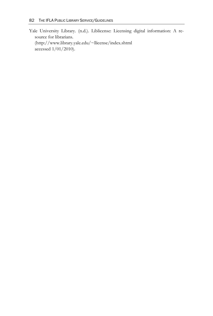Yale University Library. (n.d.). Liblicense: Licensing digital information: A resource for librarians. (http://www.library.yale.edu/~llicense/index.shtml accessed 1/01/2010).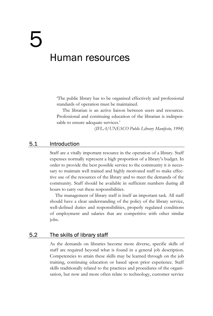# 5 Human resources

'The public library has to be organised effectively and professional standards of operation must be maintained.

The librarian is an active liaison between users and resources. Professional and continuing education of the librarian is indispensable to ensure adequate services.'

(*IFLA/UNESCO Public Library Manifesto, 1994*)

### 5.1 Introduction

Staff are a vitally important resource in the operation of a library. Staff expenses normally represent a high proportion of a library's budget. In order to provide the best possible service to the community it is necessary to maintain well trained and highly motivated staff to make effective use of the resources of the library and to meet the demands of the community. Staff should be available in sufficient numbers during all hours to carry out these responsibilities.

The management of library staff is itself an important task. All staff should have a clear understanding of the policy of the library service, well-defined duties and responsibilities, properly regulated conditions of employment and salaries that are competitive with other similar jobs.

# 5.2 The skills of library staff

As the demands on libraries become more diverse, specific skills of staff are required beyond what is found in a general job description. Competencies to attain these skills may be learned through on the job training, continuing education or based upon prior experience. Staff skills traditionally related to the practices and procedures of the organisation, but now and more often relate to technology, customer service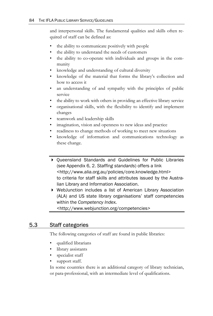and interpersonal skills. The fundamental qualities and skills often required of staff can be defined as:

- the ability to communicate positively with people
- the ability to understand the needs of customers
- the ability to co-operate with individuals and groups in the community
- knowledge and understanding of cultural diversity
- knowledge of the material that forms the library's collection and how to access it
- an understanding of and sympathy with the principles of public service
- the ability to work with others in providing an effective library service
- organisational skills, with the flexibility to identify and implement changes
- teamwork and leadership skills
- imagination, vision and openness to new ideas and practice
- readiness to change methods of working to meet new situations
- knowledge of information and communications technology as these change.
- Queensland Standards and Guidelines for Public Libraries (see Appendix 6, 2. *Staffing standards*) offers a link <http://www.alia.org.au/policies/core.knowledge.html> to criteria for staff skills and attributes issued by the Australian Library and Information Association.
- WebJunction includes a list of American Library Association (ALA) and US state library organisations' staff competencies within the *Competency Index.*

<http://www.webjunction.org/competencies>

# 5.3 Staff categories

The following categories of staff are found in public libraries:

- qualified librarians
- library assistants
- specialist staff
- support staff.

In some countries there is an additional category of library technician, or para-professional, with an intermediate level of qualifications.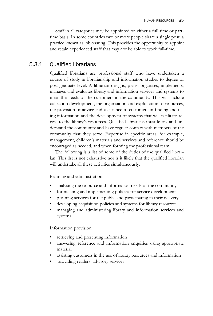Staff in all categories may be appointed on either a full-time or parttime basis. In some countries two or more people share a single post, a practice known as job-sharing. This provides the opportunity to appoint and retain experienced staff that may not be able to work full-time.

#### 5.3.1 Qualified librarians

Qualified librarians are professional staff who have undertaken a course of study in librarianship and information studies to degree or post-graduate level. A librarian designs, plans, organises, implements, manages and evaluates library and information services and systems to meet the needs of the customers in the community. This will include collection development, the organisation and exploitation of resources, the provision of advice and assistance to customers in finding and using information and the development of systems that will facilitate access to the library's resources. Qualified librarians must know and understand the community and have regular contact with members of the community that they serve. Expertise in specific areas, for example, management, children's materials and services and reference should be encouraged as needed, and when forming the professional team.

The following is a list of some of the duties of the qualified librarian. This list is not exhaustive nor is it likely that the qualified librarian will undertake all these activities simultaneously:

Planning and administration:

- analysing the resource and information needs of the community
- formulating and implementing policies for service development
- planning services for the public and participating in their delivery
- developing acquisition policies and systems for library resources
- managing and administering library and information services and systems

Information provision:

- retrieving and presenting information
- answering reference and information enquiries using appropriate material
- assisting customers in the use of library resources and information
- providing readers' advisory services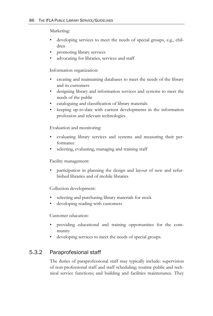Marketing:

- developing services to meet the needs of special groups, e.g., children
- promoting library services
- advocating for libraries, services and staff

#### Information organization:

- creating and maintaining databases to meet the needs of the library and its customers
- designing library and information services and systems to meet the needs of the public
- cataloguing and classification of library materials
- keeping up-to-date with current developments in the information profession and relevant technologies

Evaluation and monitoring:

- evaluating library services and systems and measuring their performance
- selecting, evaluating, managing and training staff

#### Facility management:

• participation in planning the design and layout of new and refurbished libraries and of mobile libraries

#### Collection development:

- selecting and purchasing library materials for stock
- developing reading with customers

Customer education:

- providing educational and training opportunities for the community
- developing services to meet the needs of special groups.

# 5.3.2 Paraprofesional staff

The duties of paraprofessional staff may typically include: supervision of non-professional staff and staff scheduling; routine public and technical service functions; and building and facilities maintenance. They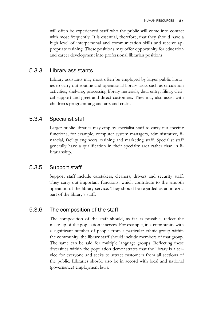will often be experienced staff who the public will come into contact with most frequently. It is essential, therefore, that they should have a high level of interpersonal and communication skills and receive appropriate training. These positions may offer opportunity for education and career development into professional librarian positions.

# 5.3.3 Library assistants

Library assistants may most often be employed by larger public libraries to carry out routine and operational library tasks such as circulation activities, shelving, processing library materials, data entry, filing, clerical support and greet and direct customers. They may also assist with children's programming and arts and crafts.

# 5.3.4 Specialist staff

Larger public libraries may employ specialist staff to carry out specific functions, for example, computer system managers, administrative, financial, facility engineers, training and marketing staff. Specialist staff generally have a qualification in their specialty area rather than in librarianship.

# 5.3.5 Support staff

Support staff include caretakers, cleaners, drivers and security staff. They carry out important functions, which contribute to the smooth operation of the library service. They should be regarded as an integral part of the library's staff.

# 5.3.6 The composition of the staff

The composition of the staff should, as far as possible, reflect the make-up of the population it serves. For example, in a community with a significant number of people from a particular ethnic group within the community, the library staff should include members of that group. The same can be said for multiple language groups. Reflecting these diversities within the population demonstrates that the library is a service for everyone and seeks to attract customers from all sections of the public. Libraries should also be in accord with local and national (governance) employment laws.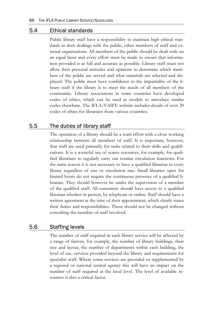#### 5.4 Ethical standards

Public library staff have a responsibility to maintain high ethical standards in their dealings with the public, other members of staff and external organisations. All members of the public should be dealt with on an equal basis and every effort must be made to ensure that information provided is as full and accurate as possible. Library staff must not allow their personal attitudes and opinions to determine which members of the public are served and what materials are selected and displayed. The public must have confidence in the impartiality of the library staff if the library is to meet the needs of all members of the community. Library associations in some countries have developed codes of ethics, which can be used as models to introduce similar codes elsewhere. The IFLA/FAIFE website includes details of over 20 codes of ethics for librarians from various countries.

### 5.5 The duties of library staff

The operation of a library should be a team effort with a close working relationship between all members of staff. It is important, however, that staff are used primarily for tasks related to their skills and qualifications. It is a wasteful use of scarce resources, for example, for qualified librarians to regularly carry out routine circulation functions. For the same reason it is not necessary to have a qualified librarian in every library regardless of size or circulation rate. Small libraries open for limited hours do not require the continuous presence of a qualified librarian. They should however be under the supervision of a member of the qualified staff. All customers should have access to a qualified librarian whether in person, by telephone or online. Staff should have a written agreement at the time of their appointment, which clearly states their duties and responsibilities. These should not be changed without consulting the member of staff involved.

#### 5.6 Staffing levels

The number of staff required in each library service will be affected by a range of factors, for example, the number of library buildings, their size and layout, the number of departments within each building, the level of use, services provided beyond the library and requirements for specialist staff. Where some services are provided or supplemented by a regional or national central agency this will have an impact on the number of staff required at the local level. The level of available resources is also a critical factor.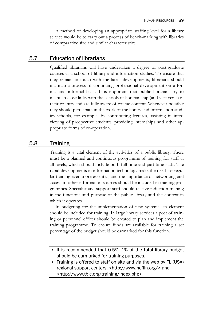A method of developing an appropriate staffing level for a library service would be to carry out a process of bench-marking with libraries of comparative size and similar characteristics.

#### 5.7 Education of librarians

Qualified librarians will have undertaken a degree or post-graduate courses at a school of library and information studies. To ensure that they remain in touch with the latest developments, librarians should maintain a process of continuing professional development on a formal and informal basis. It is important that public librarians try to maintain close links with the schools of librarianship (and vice versa) in their country and are fully aware of course content. Whenever possible they should participate in the work of the library and information studies schools, for example, by contributing lectures, assisting in interviewing of prospective students, providing internships and other appropriate forms of co-operation.

#### 5.8 Training

Training is a vital element of the activities of a public library. There must be a planned and continuous programme of training for staff at all levels, which should include both full-time and part-time staff. The rapid developments in information technology make the need for regular training even more essential, and the importance of networking and access to other information sources should be included in training programmes. Specialist and support staff should receive induction training in the functions and purpose of the public library and the context in which it operates.

In budgeting for the implementation of new systems, an element should be included for training. In large library services a post of training or personnel officer should be created to plan and implement the training programme. To ensure funds are available for training a set percentage of the budget should be earmarked for this function.

- ▶ It is recommended that 0.5%–1% of the total library budget should be earmarked for training purposes.
- Training is offered to staff on site and via the web by FL (USA) regional support centers. <http://www.neflin.org/> and <http://www.tblc.org/training/index.php>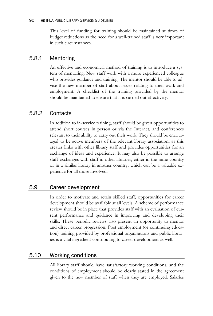This level of funding for training should be maintained at times of budget reductions as the need for a well-trained staff is very important in such circumstances.

# 5.8.1 Mentoring

An effective and economical method of training is to introduce a system of mentoring. New staff work with a more experienced colleague who provides guidance and training. The mentor should be able to advise the new member of staff about issues relating to their work and employment. A checklist of the training provided by the mentor should be maintained to ensure that it is carried out effectively.

### 5.8.2 Contacts

In addition to in-service training, staff should be given opportunities to attend short courses in person or via the Internet, and conferences relevant to their ability to carry out their work. They should be encouraged to be active members of the relevant library association, as this creates links with other library staff and provides opportunities for an exchange of ideas and experience. It may also be possible to arrange staff exchanges with staff in other libraries, either in the same country or in a similar library in another country, which can be a valuable experience for all those involved.

# 5.9 Career development

In order to motivate and retain skilled staff, opportunities for career development should be available at all levels. A scheme of performance review should be in place that provides staff with an evaluation of current performance and guidance in improving and developing their skills. These periodic reviews also present an opportunity to mentor and direct career progression. Post employment (or continuing education) training provided by professional organisations and public libraries is a vital ingredient contributing to career development as well.

# 5.10 Working conditions

All library staff should have satisfactory working conditions, and the conditions of employment should be clearly stated in the agreement given to the new member of staff when they are employed. Salaries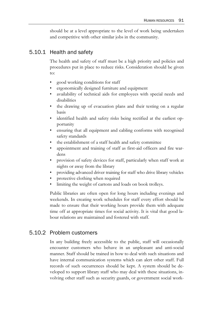should be at a level appropriate to the level of work being undertaken and competitive with other similar jobs in the community.

## 5.10.1 Health and safety

The health and safety of staff must be a high priority and policies and procedures put in place to reduce risks. Consideration should be given to:

- good working conditions for staff
- ergonomically designed furniture and equipment
- availability of technical aids for employees with special needs and disabilities
- the drawing up of evacuation plans and their testing on a regular basis
- identified health and safety risks being rectified at the earliest opportunity
- ensuring that all equipment and cabling conforms with recognised safety standards
- the establishment of a staff health and safety committee
- appointment and training of staff as first-aid officers and fire wardens
- provision of safety devices for staff, particularly when staff work at nights or away from the library
- providing advanced driver training for staff who drive library vehicles
- protective clothing when required
- limiting the weight of cartons and loads on book trolleys.

Public libraries are often open for long hours including evenings and weekends. In creating work schedules for staff every effort should be made to ensure that their working hours provide them with adequate time off at appropriate times for social activity. It is vital that good labour relations are maintained and fostered with staff.

#### 5.10.2 Problem customers

In any building freely accessible to the public, staff will occasionally encounter customers who behave in an unpleasant and anti-social manner. Staff should be trained in how to deal with such situations and have internal communication systems which can alert other staff. Full records of such occurrences should be kept. A system should be developed to support library staff who may deal with these situations, involving other staff such as security guards, or government social work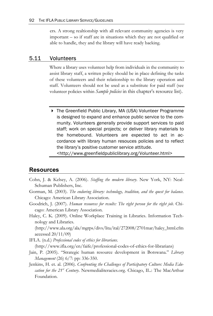ers. A strong realtionship with all relevant community agencies is very important – so if staff are in situations which they are not qualified or able to handle, they and the library will have ready backing.

#### 5.11 Volunteers

Where a library uses volunteer help from individuals in the community to assist library staff, a written policy should be in place defining the tasks of these volunteers and their relationship to the library operation and staff. Volunteers should not be used as a substitute for paid staff (see volunteer policies within *Sample policies* in this chapter's resource list).

 The Greenfield Public Library, MA (USA) Volunteer Programme is designed to expand and enhance public service to the community. Volunteers generally provide support services to paid staff; work on special projects; or deliver library materials to the homebound. Volunteers are expected to act in accordance with library human resouces policies and to reflect the library's positive customer service attitude.

<http://www.greenfieldpubliclibrary.org/Volunteer.html>

#### **Resources**

- Cohn, J. & Kelsey, A. (2006). *Staffing the modern library*. New York, NY: Neal-Schuman Publishers, Inc.
- Gorman, M. (2003). *The enduring library: technology, tradition, and the quest for balance*. Chicago: American Library Association.
- Goodrich, J. (2007). *Human resources for results: The right person for the right job.* Chicago: American Library Association.
- Haley, C. K. (2009). Online Workplace Training in Libraries. Information Technology and Libraries.

(http://www.ala.org/ala/mgrps/divs/lita/ital/272008/2701mar/haley\_html.cfm accessed 20/11/09)

IFLA. (n.d.) *Professional codes of ethics for librarians.* 

(http://www.ifla.org/en/faife/professional-codes-of-ethics-for-librarians)

- Jain, P. (2005). "Strategic human resource development in Botswana." *Library Management* (26) 6/7: pp: 336-350.
- Jenkins, H. et. al. (2006). *Confronting the Challenges of Participatory Culture: Media Education for the 21<sup>st</sup> Century*. Newmedialiteracies.org. Chicago, IL.: The MacArthur Foundation.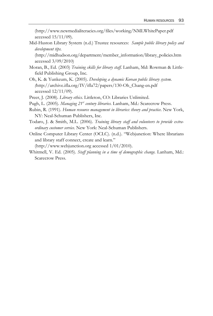(http://www.newmedialiteracies.org/files/working/NMLWhitePaper.pdf accessed 15/11/09).

Mid-Huston Library System (n.d.) Trustee resources: *Sample public library policy and development tips.*

(http://midhudson.org/department/member\_information/library\_policies.htm accessed 3/09/2010)

- Moran, B., Ed. (2003) *Training skills for library staff*. Lanham, Md: Rowman & Littlefield Publishing Group, Inc.
- Oh, K. & Yunkeum, K. (2005). *Developing a dynamic Korean public library system. (*http://archive.ifla.org/IV/ifla72/papers/130-Oh\_Chang-en.pdf accessed 12/11/09).
- Preer, J. (2008). *Library ethics*. Littleton, CO: Libraries Unlimited.
- Pugh, L. (2005). *Managing 21<sup>st</sup> century libraries*. Lanham, Md.: Scarecrow Press.
- Rubin, R. (1991). *Human resource management in libraries: theory and practice*. New York, NY: Neal-Schuman Publishers, Inc.
- Todaro, J. & Smith, M.L. (2006). *Training library staff and volunteers to provide extraordinary customer service*. New York: Neal-Schuman Publishers.
- Online Computer Library Center (OCLC). (n.d.). "Webjunction: Where librarians and library staff connect, create and learn."

(http://www.webjunction.org accessed 1/01/2010).

Whitmell, V. Ed. (2005). *Staff planning in a time of demographic change.* Lanham, Md.: Scarecrow Press.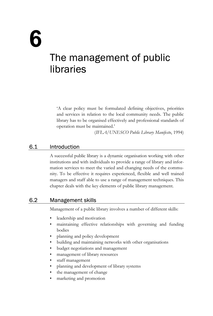**6** 

# The management of public libraries

'A clear policy must be formulated defining objectives, priorities and services in relation to the local community needs. The public library has to be organised effectively and professional standards of operation must be maintained.'

(*IFLA/UNESCO Public Library Manifesto*, 1994)

### 6.1 Introduction

A successful public library is a dynamic organisation working with other institutions and with individuals to provide a range of library and information services to meet the varied and changing needs of the community. To be effective it requires experienced, flexible and well trained managers and staff able to use a range of management techniques. This chapter deals with the key elements of public library management.

#### 6.2 Management skills

Management of a public library involves a number of different skills:

- leadership and motivation
- maintaining effective relationships with governing and funding bodies
- planning and policy development
- building and maintaining networks with other organisations
- budget negotiations and management
- management of library resources
- staff management
- planning and development of library systems
- the management of change
- marketing and promotion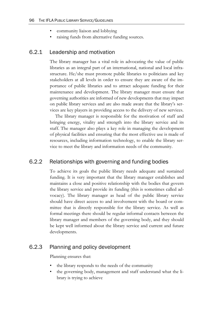- community liaison and lobbying
- raising funds from alternative funding sources.

#### 6.2.1 Leadership and motivation

The library manager has a vital role in advocating the value of public libraries as an integral part of an international, national and local infrastructure. He/she must promote public libraries to politicians and key stakeholders at all levels in order to ensure they are aware of the importance of public libraries and to attract adequate funding for their maintenance and development. The library manager must ensure that governing authorities are informed of new developments that may impact on public library services and are also made aware that the library's services are key players in providing access to the delivery of new services.

The library manager is responsible for the motivation of staff and bringing energy, vitality and strength into the library service and its staff. The manager also plays a key role in managing the development of physical facilities and ensuring that the most effective use is made of resources, including information technology, to enable the library service to meet the library and information needs of the community.

#### 6.2.2 Relationships with governing and funding bodies

To achieve its goals the public library needs adequate and sustained funding. It is very important that the library manager establishes and maintains a close and positive relationship with the bodies that govern the library service and provide its funding (this is sometimes called advocacy). The library manager as head of the public library service should have direct access to and involvement with the board or committee that is directly responsible for the library service. As well as formal meetings there should be regular informal contacts between the library manager and members of the governing body, and they should be kept well informed about the library service and current and future developments.

#### 6.2.3 Planning and policy development

Planning ensures that:

- the library responds to the needs of the community
- the governing body, management and staff understand what the library is trying to achieve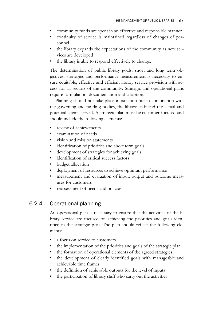- community funds are spent in an effective and responsible manner
- continuity of service is maintained regardless of changes of personnel
- the library expands the expectations of the community as new services are developed
- the library is able to respond effectively to change.

The determination of public library goals, short and long term objectives, strategies and performance measurement is necessary to ensure equitable, effective and efficient library service provision with access for all sectors of the community. Strategic and operational plans require formulation, documentation and adoption.

Planning should not take place in isolation but in conjunction with the governing and funding bodies, the library staff and the actual and potential clients served. A strategic plan must be customer-focused and should include the following elements:

- review of achievements
- examination of needs
- vision and mission statements
- identification of priorities and short term goals
- development of strategies for achieving goals
- identification of critical success factors
- budget allocation
- deployment of resources to achieve optimum performance
- measurement and evaluation of input, output and outcome measures for customers
- reassessment of needs and policies.

## 6.2.4 Operational planning

An operational plan is necessary to ensure that the activities of the library service are focused on achieving the priorities and goals identified in the strategic plan. The plan should reflect the following elements:

- a focus on service to customers
- the implementation of the priorities and goals of the strategic plan
- the formation of operational elements of the agreed strategies
- the development of clearly identified goals with manageable and achievable time frames
- the definition of achievable outputs for the level of inputs
- the participation of library staff who carry out the activities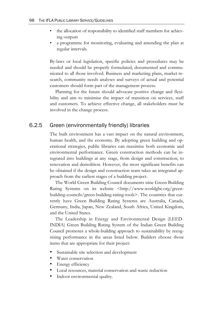- the allocation of responsibility to identified staff members for achieving outputs
- a programme for monitoring, evaluating and amending the plan at regular intervals.

By-laws or local legislation, specific policies and procedures may be needed and should be properly formulated, documented and communicated to all those involved. Business and marketing plans, market research, community needs analyses and surveys of actual and potential customers should form part of the management process.

Planning for the future should advocate positive change and flexibility and aim to minimise the impact of transition on services, staff and customers. To achieve effective change, all stakeholders must be involved in the change process.

## 6.2.5 Green (environmentally friendly) libraries

The built environment has a vast impact on the natural environment, human health, and the economy. By adopting green building and operational strategies, public libraries can maximise both economic and environmental performance. Green construction methods can be integrated into buildings at any stage, from design and construction, to renovation and demolition. However, the most significant benefits can be obtained if the design and construction team takes an integrated approach from the earliest stages of a building project.

The World Green Building Council documents nine Green Building Rating Systems on its website <http://www.worldgbc.org/greenbuilding-councils/green-building-rating-tools>. The countries that currently have Green Building Rating Systems are Australia, Canada, Germany, India, Japan, New Zealand, South Africa, United Kingdom, and the United States.

The Leadership in Energy and Environmental Design (LEED-INDIA) Green Building Rating System of the Indian Green Building Council promotes a whole-building approach to sustainability by recognising performance in the areas listed below. Builders choose those items that are appropriate for their project:

- Sustainable site selection and development
- Water conservation
- Energy efficiency
- Local resources, material conservation and waste reduction
- Indoor environmental quality.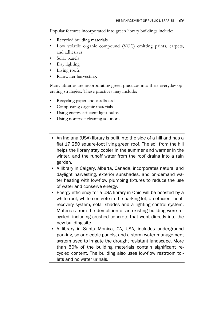Popular features incorporated into green library buildings include:

- Recycled building materials
- Low volatile organic compound (VOC) emitting paints, carpets, and adhesives
- Solar panels
- Day lighting
- Living roofs
- Rainwater harvesting.

Many libraries are incorporating green practices into their everyday operating strategies. These practices may include:

- Recycling paper and cardboard
- Composting organic materials
- Using energy efficient light bulbs
- Using nontoxic cleaning solutions.
- An Indiana (USA) library is built into the side of a hill and has a flat 17 250 square-foot living green roof. The soil from the hill helps the library stay cooler in the summer and warmer in the winter, and the runoff water from the roof drains into a rain garden.
- A library in Calgary, Alberta, Canada, incorporates natural and daylight harvesting, exterior sunshades, and on-demand water heating with low-flow plumbing fixtures to reduce the use of water and conserve energy.
- Energy efficiency for a USA library in Ohio will be boosted by a white roof, white concrete in the parking lot, an efficient heatrecovery system, solar shades and a lighting control system. Materials from the demolition of an existing building were recycled, including crushed concrete that went directly into the new building site.
- A library in Santa Monica, CA, USA, includes underground parking, solar electric panels, and a storm water management system used to irrigate the drought resistant landscape. More than 50% of the building materials contain significant recycled content. The building also uses low-flow restroom toilets and no water urinals.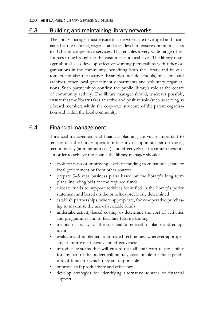## 6.3 Building and maintaining library networks

The library manager must ensure that networks are developed and maintained at the national, regional and local level, to ensure optimum access to ICT and cooperative services. This enables a very wide range of resources to be brought to the customer at a local level. The library manager should also develop effective working partnerships with other organisations in the community, benefiting both the library and its customers and also the partner. Examples include schools, museums and archives, other local government departments and voluntary organisations. Such partnerships confirm the public library's role at the centre of community activity. The library manager should, wherever possible, ensure that the library takes an active and positive role (such as serving as a board member) within the corporate structure of the parent organisation and within the local community.

#### 6.4 Financial management

Financial management and financial planning are vitally important to ensure that the library operates efficiently (at optimum performance), economically (at minimum cost), and effectively (at maximum benefit). In order to achieve these aims the library manager should:

- look for ways of improving levels of funding from national, state or local government or from other sources
- prepare 3–5 year business plans based on the library's long term plans, including bids for the required funds
- allocate funds to support activities identified in the library's policy statement and based on the priorities previously determined
- establish partnerships, where appropriate, for co-operative purchasing to maximise the use of available funds
- undertake activity-based costing to determine the cost of activities and programmes and to facilitate future planning
- maintain a policy for the sustainable renewal of plants and equipment
- evaluate and implement automated techniques, wherever appropriate, to improve efficiency and effectiveness
- introduce systems that will ensure that all staff with responsibility for any part of the budget will be fully accountable for the expenditure of funds for which they are responsible
- improve staff productivity and efficiency
- develop strategies for identifying alternative sources of financial support.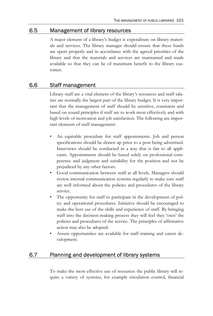## 6.5 Management of library resources

A major element of a library's budget is expenditure on library materials and services. The library manager should ensure that these funds are spent properly and in accordance with the agreed priorities of the library and that the materials and services are maintained and made available so that they can be of maximum benefit to the library customer.

## 6.6 Staff management

Library staff are a vital element of the library's resources and staff salaries are normally the largest part of the library budget. It is very important that the management of staff should be sensitive, consistent and based on sound principles if staff are to work most effectively and with high levels of motivation and job satisfaction. The following are important elements of staff management:

- An equitable procedure for staff appointments. Job and person specifications should be drawn up prior to a post being advertised. Interviews should be conducted in a way that is fair to all applicants. Appointments should be based solely on professional competence and judgment and suitability for the position and not be prejudiced by any other factors.
- Good communication between staff at all levels. Managers should review internal communication systems regularly to make sure staff are well informed about the policies and procedures of the library service.
- The opportunity for staff to participate in the development of policy and operational procedures. Initiative should be encouraged to make the best use of the skills and experience of staff. By bringing staff into the decision-making process they will feel they 'own' the policies and procedures of the service. The principles of affirmative action may also be adopted.
- Assure opportunities are available for staff training and career development.

## 6.7 Planning and development of library systems

To make the most effective use of resources the public library will require a variety of systems, for example circulation control, financial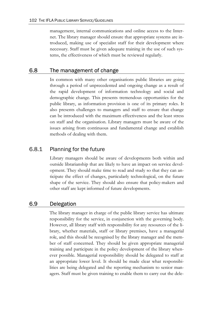management, internal communications and online access to the Internet. The library manager should ensure that appropriate systems are introduced, making use of specialist staff for their development where necessary. Staff must be given adequate training in the use of such systems, the effectiveness of which must be reviewed regularly.

## 6.8 The management of change

In common with many other organisations public libraries are going through a period of unprecedented and ongoing change as a result of the rapid development of information technology and social and demographic change. This presents tremendous opportunities for the public library, as information provision is one of its primary roles. It also presents challenges to managers and staff to ensure that change can be introduced with the maximum effectiveness and the least stress on staff and the organisation. Library managers must be aware of the issues arising from continuous and fundamental change and establish methods of dealing with them.

## 6.8.1 Planning for the future

Library managers should be aware of developments both within and outside librarianship that are likely to have an impact on service development. They should make time to read and study so that they can anticipate the effect of changes, particularly technological, on the future shape of the service. They should also ensure that policy-makers and other staff are kept informed of future developments.

## 6.9 Delegation

The library manager in charge of the public library service has ultimate responsibility for the service, in conjunction with the governing body. However, all library staff with responsibility for any resources of the library, whether materials, staff or library premises, have a managerial role, and this should be recognised by the library manager and the member of staff concerned. They should be given appropriate managerial training and participate in the policy development of the library whenever possible. Managerial responsibility should be delegated to staff at an appropriate lower level. It should be made clear what responsibilities are being delegated and the reporting mechanism to senior managers. Staff must be given training to enable them to carry out the dele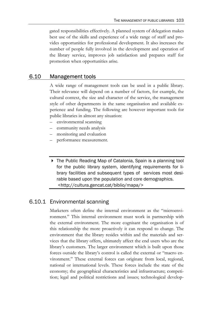gated responsibilities effectively. A planned system of delegation makes best use of the skills and experience of a wide range of staff and provides opportunities for professional development. It also increases the number of people fully involved in the development and operation of the library service, improves job satisfaction and prepares staff for promotion when opportunities arise.

## 6.10 Management tools

A wide range of management tools can be used in a public library. Their relevance will depend on a number of factors, for example, the cultural context, the size and character of the service, the management style of other departments in the same organisation and available experience and funding. The following are however important tools for public libraries in almost any situation:

- environmental scanning
- community needs analysis
- monitoring and evaluation
- performance measurement.
- The Public Reading Map of Catalonia, Spain is a planning tool for the public library system, identifying requirements for library facilities and subsequent types of services most desirable based upon the population and core demographics. <http://cultura.gencat.cat/biblio/mapa/>

## 6.10.1 Environmental scanning

Marketers often define the internal environment as the "microenvironment." This internal environment must work in partnership with the external environment. The more cognisant the organisation is of this relationship the more proactively it can respond to change. The environment that the library resides within and the materials and services that the library offers, ultimately affect the end users who are the library's customers. The larger environment which is built upon those forces outside the library's control is called the external or "macro environment." These external forces can originate from local, regional, national or international levels. These forces include the state of the economy; the geographical characteristics and infrastructure; competition; legal and political restrictions and issues; technological develop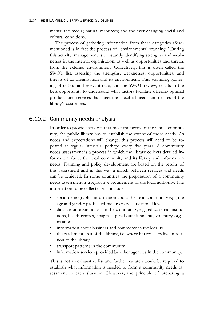ments; the media; natural resources; and the ever changing social and cultural conditions.

The process of gathering information from these categories aforementioned is in fact the process of "environmental scanning." During this activity, management is constantly identifying strengths and weaknesses in the internal organisation, as well as opportunities and threats from the external environment. Collectively, this is often called the SWOT list: assessing the strengths, weaknesses, opportunities, and threats of an organisation and its environment. This scanning, gathering of critical and relevant data, and the SWOT review, results in the best opportunity to understand what factors facilitate offering optimal products and services that meet the specified needs and desires of the library's customers.

## 6.10.2 Community needs analysis

In order to provide services that meet the needs of the whole community, the public library has to establish the extent of those needs. As needs and expectations will change, this process will need to be repeated at regular intervals, perhaps every five years. A community needs assessment is a process in which the library collects detailed information about the local community and its library and information needs. Planning and policy development are based on the results of this assessment and in this way a match between services and needs can be achieved. In some countries the preparation of a community needs assessment is a legislative requirement of the local authority. The information to be collected will include:

- socio-demographic information about the local community e.g., the age and gender profile, ethnic diversity, educational level
- data about organisations in the community, e.g., educational institutions, health centres, hospitals, penal establishments, voluntary organisations
- information about business and commerce in the locality
- the catchment area of the library, i.e. where library users live in relation to the library
- transport patterns in the community
- information services provided by other agencies in the community.

This is not an exhaustive list and further research would be required to establish what information is needed to form a community needs assessment in each situation. However, the principle of preparing a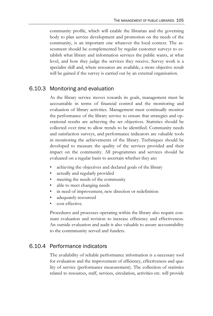community profile, which will enable the librarian and the governing body to plan service development and promotion on the needs of the community, is an important one whatever the local context. The assessment should be complemented by regular customer surveys to establish what library and information services the public wants, at what level, and how they judge the services they receive. Survey work is a specialist skill and, where resources are available, a more objective result will be gained if the survey is carried out by an external organisation.

## 6.10.3 Monitoring and evaluation

As the library service moves towards its goals, management must be accountable in terms of financial control and the monitoring and evaluation of library activities. Management must continually monitor the performance of the library service to ensure that strategies and operational results are achieving the set objectives. Statistics should be collected over time to allow trends to be identified. Community needs and satisfaction surveys, and performance indicators are valuable tools in monitoring the achievements of the library. Techniques should be developed to measure the quality of the services provided and their impact on the community. All programmes and services should be evaluated on a regular basis to ascertain whether they are:

- achieving the objectives and declared goals of the library
- actually and regularly provided
- meeting the needs of the community
- able to meet changing needs
- in need of improvement, new direction or redefinition
- adequately resourced
- cost effective.

Procedures and processes operating within the library also require constant evaluation and revision to increase efficiency and effectiveness. An outside evaluation and audit is also valuable to assure accountability to the commmunity served and funders.

## 6.10.4 Performance indicators

The availability of reliable performance information is a necessary tool for evaluation and the improvement of efficiency, effectiveness and quality of service (performance measurement). The collection of statistics related to resources, staff, services, circulation, activities etc. will provide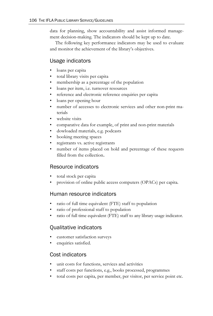data for planning, show accountability and assist informed management decision-making. The indicators should be kept up to date.

The following key performance indicators may be used to evaluate and monitor the achievement of the library's objectives.

## Usage indicators

- loans per capita
- total library visits per capita
- membership as a percentage of the population
- loans per item, i.e. turnover resources
- reference and electronic reference enquiries per capita
- loans per opening hour
- number of accesses to electronic services and other non-print materials
- website visits
- comparative data for example, of print and non-print materials
- dowloaded materials, e.g. podcasts
- booking meeting spaces
- registrants vs. active registrants
- number of items placed on hold and percentage of these requests filled from the collection.

## Resource indicators

- total stock per capita
- provision of online public access computers (OPACs) per capita.

## Human resource indicators

- ratio of full time equivalent (FTE) staff to population
- ratio of professional staff to population
- ratio of full time equivalent (FTE) staff to any library usage indicator.

## Qualitative indicators

- customer satisfaction surveys
- enquiries satisfied.

## Cost indicators

- unit costs for functions, services and activities
- staff costs per functions, e.g., books processed, programmes
- total costs per capita, per member, per visitor, per service point etc.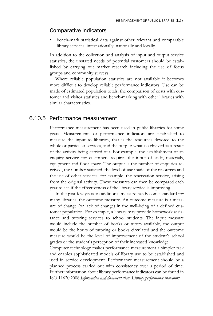#### Comparative indicators

• bench-mark statistical data against other relevant and comparable library services, internationally, nationally and locally.

In addition to the collection and analysis of input and output service statistics, the unstated needs of potential customers should be established by carrying out market research including the use of focus groups and community surveys.

Where reliable population statistics are not available it becomes more difficult to develop reliable performance indicators. Use can be made of estimated population totals, the comparison of costs with customer and visitor statistics and bench-marking with other libraries with similar characteristics.

## 6.10.5 Performance measurement

Performance measurement has been used in public libraries for some years. Measurements or performance indicators are established to measure the input to libraries, that is the resources devoted to the whole or particular services, and the output: what is achieved as a result of the activity being carried out. For example, the establishment of an enquiry service for customers requires the input of staff, materials, equipment and floor space. The output is the number of enquiries received, the number satisfied, the level of use made of the resources and the use of other services, for example, the reservation service, arising from the original activity. These measures can then be compared each year to see if the effectiveness of the library service is improving.

In the past few years an additional measure has become standard for many libraries, the outcome measure. An outcome measure is a measure of change (or lack of change) in the well-being of a defined customer population. For example, a library may provide homework assistance and tutoring services to school students. The input measure would include the number of books or tutors available, the output would be the hours of tutoring or books circulated and the outcome measure would be the level of improvement of the student's school grades or the student's perception of their increased knowledge.

Computer technology makes performance measurement a simpler task and enables sophisticated models of library use to be established and used in service development. Performance measurement should be a planned process carried out with consistency over a period of time. Further information about library performance indicators can be found in ISO 11620:2008 *Information and documentation. Library performance indicators*.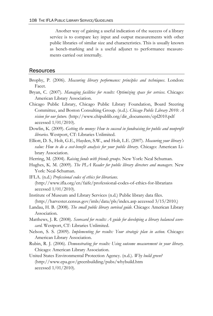Another way of gaining a useful indication of the success of a library service is to compare key input and output measurements with other public libraries of similar size and characteristics. This is usually known as bench-marking and is a useful adjunct to performance measurements carried out internally.

#### **Resources**

- Brophy, P. (2006). *Measuring library performance: principles and techniques*. London: Facet.
- Bryan, C. (2007). *Managing facilities for results: Optimizing space for services*. Chicago: American Library Association.
- Chicago Public Library, Chicago Public Library Foundation, Board Steering Committee, and Boston Consulting Group. (n.d.). *Chicago Public Library 2010: A vision for our future.* (http://www.chipublib.org/dir\_documents/cpl2010.pdf accessed 1/01/2010).
- Dowlin, K. (2009). *Getting the money: How to succeed in fundraising for public and nonprofit libraries.* Westport, CT: Libraries Unlimited.
- Elliott, D. S., Holt, G.E., Hayden, S.W., and Holt, L.E. (2007). *Measuring your library's value: How to do a cost-benefit analysis for your public library*. Chicago: American Library Association.
- Herring, M. (2004). *Raising funds with friends groups*. New York: Neal Schuman.
- Hughes, K. M. (2009). *The PLA Reader for public library directors and managers*. New York: Neal-Schuman.
- IFLA. (n.d.) *Professional codes of ethics for librarians.*  (http://www.ifla.org/en/faife/professional-codes-of-ethics-for-librarians accessed 1/01/2010).
- Institute of Museum and Library Services (n.d.) Public library data files. (http://harvester.census.gov/imls/data/pls/index.asp accessed 3/15/2010.)
- Landau, H. B. (2008). *The small public library survival guide*. Chicago: American Library Association.
- Matthews, J. R. (2008). *Scorecard for results: A guide for developing a library balanced scorecard*. Westport, CT: Libraries Unlimited.
- Nelson, S. S. (2009). *Implementing for results: Your strategic plan in action*. Chicago: American Library Association.
- Rubin, R. J. (2006). *Demonstrating for results: Using outcome measurement in your library*. Chicago: American Library Association.
- United States Environmental Protection Agency. (n.d.). *Why build green?* (http://www.epa.gov/greenbuilding/pubs/whybuild.htm accessed 1/01/2010).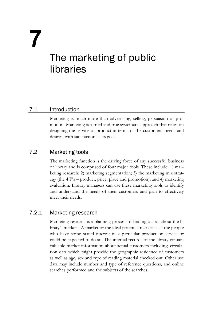# **7**  The marketing of public **libraries**

## 7.1 Introduction

Marketing is much more than advertising, selling, persuasion or promotion. Marketing is a tried and true systematic approach that relies on designing the service or product in terms of the customers' needs and desires, with satisfaction as its goal.

## 7.2 Marketing tools

The marketing function is the driving force of any successful business or library and is comprised of four major tools. These include: 1) marketing research; 2) marketing segmentation; 3) the marketing mix strategy (the 4 P's – product, price, place and promotion); and 4) marketing evaluation. Library managers can use these marketing tools to identify and understand the needs of their customers and plan to effectively meet their needs.

## 7.2.1 Marketing research

Marketing research is a planning process of finding out all about the library's markets. A market or the ideal potential market is all the people who have some stated interest in a particular product or service or could be expected to do so. The internal records of the library contain valuable market information about actual customers including: circulation data which might provide the geographic residence of customers as well as age, sex and type of reading material checked out. Other use data may include number and type of reference questions, and online searches performed and the subjects of the searches.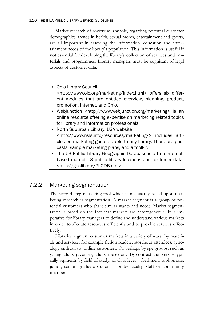Market research of society as a whole, regarding potential customer demographics, trends in health, sexual mores, entertainment and sports, are all important in assessing the information, education and entertainment needs of the library's population. This information is useful if not essential for developing the library's collection of services and materials and programmes. Library managers must be cognisant of legal aspects of customer data.

- ▶ Ohio Library Council <http://www.olc.org/marketing/index.html> offers six different modules that are entitled overview, planning, product, promotion, Internet, and Ohio.
- Webjunction <http://www.webjunction.org/marketing> is an online resource offering expertise on marketing related topics for library and information professionals.
- ▶ North Suburban Library, USA website <http://www.nsls.info/resources/marketing/> includes articles on marketing generalizable to any library. There are podcasts, sample marketing plans, and a toolkit.
- ▶ The US Public Library Geographic Database is a free Internetbased map of US public library locations and customer data. <http://geolib.org/PLGDB.cfm>

## 7.2.2 Marketing segmentation

The second step marketing tool which is necessarily based upon marketing research is segmentation. A market segment is a group of potential customers who share similar wants and needs. Market segmentation is based on the fact that markets are heterogeneous. It is imperative for library managers to define and understand various markets in order to allocate resources efficiently and to provide services effectively.

Libraries segment customer markets in a variety of ways. By materials and services, for example fiction readers, storyhour attendees, genealogy enthusiasts, online customers. Or perhaps by age groups, such as young adults, juveniles, adults, the elderly. By contrast a university typically segments by field of study, or class level – freshmen, sophomore, junior, senior, graduate student – or by faculty, staff or community member.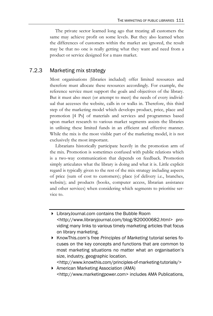The private sector learned long ago that treating all customers the same may achieve profit on some levels. But they also learned when the differences of customers within the market are ignored, the result may be that no one is really getting what they want and need from a product or service designed for a mass market.

## 7.2.3 Marketing mix strategy

Most organisations (libraries included) offer limited resources and therefore must allocate these resources accordingly. For example, the reference service must support the goals and objectives of the library. But it must also meet (or attempt to meet) the needs of every individual that accesses the website, calls in or walks in. Therefore, this third step of the marketing model which develops product, price, place and promotion [4 Ps] of materials and services and programmes based upon market research to various market segments assists the libraries in utilising these limited funds in an efficient and effective manner. While the mix is the most visible part of the marketing model, it is not exclusively the most important.

Librarians historically participate heavily in the promotion arm of the mix. Promotion is sometimes confused with public relations which is a two-way communication that depends on feedback. Promotion simply articulates what the library is doing and what it is. Little explicit regard is typically given to the rest of the mix strategy including aspects of price (sum of cost to customers); place (of delivery i.e., branches, website); and products (books, computer access, librarian assistance and other services) when considering which segments to prioritise service to.

- LibraryJournal.com contains the Bubble Room <http://www.libraryjournal.com/blog/820000682.html> providing many links to various timely marketing articles that focus on library marketing.
- KnowThis.com's free *Principles of Marketing* tutorial series focuses on the key concepts and functions that are common to most marketing situations no matter what an organisation's size, industry, geographic location. <http://www.knowthis.com/principles-of-marketing-tutorials/>
- American Marketing Association (AMA) <http://www.marketingpower.com> includes AMA Publications,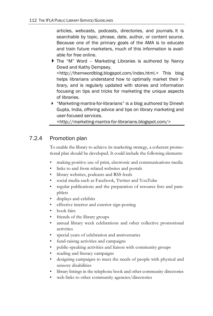articles, webcasts, podcasts, directories, and journals. It is searchable by topic, phrase, date, author, or content source. Because one of the primary goals of the AMA is to educate and train future marketers, much of this information is available for free online.

The "M" Word - Marketing Libraries is authored by Nancy Dowd and Kathy Dempsey. <http://themwordblog.blogspot.com/index.html.> This blog

helps librarians understand how to optimally market their library, and is regularly updated with stories and information focusing on tips and tricks for marketing the unique aspects of libraries.

 "Marketing-mantra-for-librarians" is a blog authored by Dinesh Gupta, India, offering advice and tips on library marketing and user-focused services.

<http://marketing-mantra-for-librarians.blogspot.com/>

## 7.2.4 Promotion plan

To enable the library to achieve its marketing strategy, a coherent promotional plan should be developed. It could include the following elements:

- making positive use of print, electronic and communications media
- links to and from related websites and portals
- library websites, podcasts and RSS feeds
- social media such as Facebook, Twitter and YouTube
- regular publications and the preparation of resource lists and pamphlets
- displays and exhibits
- effective interior and exterior sign-posting
- book fairs
- friends of the library groups
- annual library week celebrations and other collective promotional activities
- special years of celebration and anniversaries
- fund-raising activities and campaigns
- public-speaking activities and liaison with community groups
- reading and literacy campaigns
- designing campaigns to meet the needs of people with physical and sensory disabilities
- library listings in the telephone book and other community directories
- web links to other community agencies/directories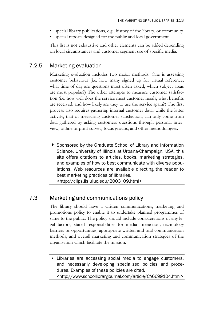- special library publications, e.g., history of the library, or community
- special reports designed for the public and local government

This list is not exhaustive and other elements can be added depending on local circumstances and customer segment use of specific media.

## 7.2.5 Marketing evaluation

Marketing evaluation includes two major methods. One is assessing customer behaviour (i.e. how many signed up for virtual reference, what time of day are questions most often asked, which subject areas are most popular?) The other attempts to measure customer satisfaction (i.e. how well does the service meet customer needs, what benefits are received, and how likely are they to use the service again?) The first process also requires gathering internal customer data, while the latter activity, that of measuring customer satisfaction, can only come from data gathered by asking customers questions through personal interview, online or print survey, focus groups, and other methodologies.

 Sponsored by the Graduate School of Library and Information Science, University of Illinois at Urbana-Champaign, USA, this site offers citations to articles, books, marketing strategies, and examples of how to best communicate with diverse populations. Web resources are available directing the reader to best marketing practices of libraries. <http://clips.lis.uiuc.edu/2003\_09.html>

## 7.3 Marketing and communications policy

The library should have a written communications, marketing and promotions policy to enable it to undertake planned programmes of same to the public. The policy should include considerations of any legal factors; stated responsibilities for media interaction; technology barriers or opportunities; appropriate written and oral communication methods; and overall marketing and communication strategies of the organisation which facilitate the mission.

 Libraries are accessing social media to engage customers, and necessarily developing specialized policies and procedures. Examples of these policies are cited. <http://www.schoollibraryjournal.com/article/CA6699104.html>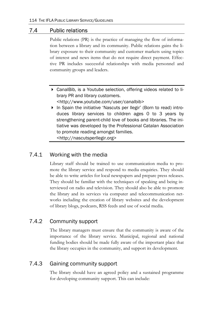## 7.4 Public relations

Public relations (PR) is the practice of managing the flow of information between a library and its community. Public relations gains the library exposure to their community and customer markets using topics of interest and news items that do not require direct payment. Effective PR includes successful relationshps with media personnel and community groups and leaders.

- CanalBib, is a Youtube selection, offering videos related to library PR and library customers. <http://www.youtube.com/user/canalbib>
- In Spain the initiative 'Nascuts per llegir' (Born to read) introduces library services to children ages 0 to 3 years by strengthening parent-child love of books and libraries. The initiative was developed by the Professional Catalan Association to promote reading amongst families. <http://nascutsperllegir.org>

## 7.4.1 Working with the media

Library staff should be trained to use communication media to promote the library service and respond to media enquiries. They should be able to write articles for local newspapers and prepare press releases. They should be familiar with the techniques of speaking and being interviewed on radio and television. They should also be able to promote the library and its services via computer and telecommunication networks including the creation of library websites and the development of library blogs, podcasts, RSS feeds and use of social media.

## 7.4.2 Community support

The library managers must ensure that the community is aware of the importance of the library service. Municipal, regional and national funding bodies should be made fully aware of the important place that the library occupies in the community, and support its development.

## 7.4.3 Gaining community support

The library should have an agreed policy and a sustained programme for developing community support. This can include: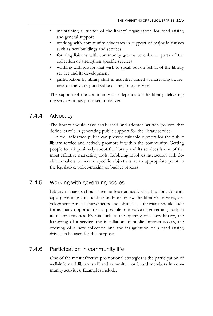- maintaining a 'friends of the library' organisation for fund-raising and general support
- working with community advocates in support of major initiatives such as new buildings and services
- forming liaisons with community groups to enhance parts of the collection or strengthen specific services
- working with groups that wish to speak out on behalf of the library service and its development
- participation by library staff in activities aimed at increasing awareness of the variety and value of the library service.

The support of the community also depends on the library delivering the services it has promised to deliver.

## 7.4.4 Advocacy

The library should have established and adopted written policies that define its role in generating public support for the library service.

A well informed public can provide valuable support for the public library service and actively promote it within the community. Getting people to talk positively about the library and its services is one of the most effective marketing tools. Lobbying involves interaction with decision-makers to secure specific objectives at an appropriate point in the legislative, policy-making or budget process.

## 7.4.5 Working with governing bodies

Library managers should meet at least annually with the library's principal governing and funding body to review the library's services, development plans, achievements and obstacles. Librarians should look for as many opportunities as possible to involve its governing body in its major activities. Events such as the opening of a new library, the launching of a service, the installation of public Internet access, the opening of a new collection and the inauguration of a fund-raising drive can be used for this purpose.

## 7.4.6 Participation in community life

One of the most effective promotional strategies is the participation of well-informed library staff and committee or board members in community activities. Examples include: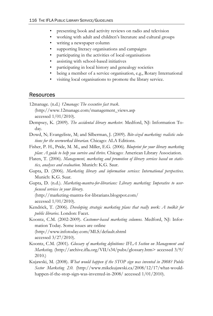- presenting book and activity reviews on radio and television
- working with adult and children's literature and cultural groups
- writing a newspaper column
- supporting literacy organisations and campaigns
- participating in the activities of local organisations
- assisting with school-based initiatives
- participating in local history and genealogy societies
- being a member of a service organisation, e.g., Rotary International
- visiting local organisations to promote the library service.

#### Resources

12manage. (n.d.) *12manage: The executive fast track*.

- (http://www.12manage.com/management\_views.asp accessed 1/01/2010).
- Dempsey, K. (2009). *The accidental library marketer*. Medford, NJ: Information Today.
- Dowd, N; Evangeliste, M; and Silberman, J. (2009). *Bite-sized marketing: realistic solutions for the overworked librarian*. Chicago: ALA Editions.
- Fisher, P. H., Pride, M. M., and Miller, E.G. (2006). *Blueprint for your library marketing plan: A guide to help you survive and thrive*. Chicago: American Library Association.
- Flaten, T. (2006). *Management, marketing and promotion of library services based on statistics, analyses and evaluation.* Munich: K.G. Saur.
- Gupta, D. (2006). *Marketing library and information services: International perspectives.*  Munich: K.G. Suar.
- Gupta, D. (n.d.). *Marketing-mantra-for-librarians: Library marketing: Imperative to userfocused services in your library.* (http://marketing-mantra-for-librarians.blogspot.com/

accessed 1/01/2010).

- Kendrick, T. (2006). *Developing strategic marketing plans that really work: A toolkit for public libraries*. London: Facet.
- Koontz, C.M. (2002-2009). *Customer-based marketing columns.* Medford, NJ: Information Today. Some issues are online (http://www.infotoday.com/MLS/default.shtml accessed 3/27/2010).
- Koontz, C.M. (2001). *Glossary of marketing definitions: IFLA Section on Management and Marketing.* (http://archive.ifla.org/VII/s34/pubs/glossary.htm> accessed 3/9/ 2010.)
- Kujawski, M. (2008). *What would happen if the STOP sign was invented in 2008? Public Sector Marketing 2.0.* (http://www.mikekujawski.ca/2008/12/17/what-wouldhappen-if-the-stop-sign-was-invented-in-2008/ accessed 1/01/2010).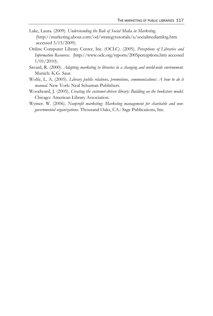- Lake, Laura. (2009). *Understanding the Role of Social Media in Marketing*. (http://marketing.about.com/od/strategytutorials/a/socialmediamktg.htm accessed 3/15/2009).
- Online Computer Library Center, Inc. (OCLC). (2005). *Perceptions of Libraries and Information Resources.* (http://www.oclc.org/reports/2005perceptions.htm accessed 1/01/2010).
- Savard, R. (2000). *Adapting marketing to libraries in a changing and world-wide environment.*  Munich: K.G. Saur.
- Wolfe, L. A. (2005). *Library public relations, promotions, communications: A how to do it manual*. New York: Neal Schuman Publishers.
- Woodward, J. (2005). *Creating the customer-driven library: Building on the bookstore model*. Chicago: American Library Association.
- Wymer. W. (2006). *Nonprofit marketing: Marketing management for charitable and nongovernmental organizations*. Thousand Oaks, CA.: Sage Publications, Inc.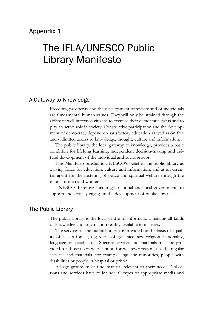## The IFLA/UNESCO Public Library Manifesto

## A Gateway to Knowledge

Freedom, prosperity and the development of society and of individuals are fundamental human values. They will only be attained through the ability of well-informed citizens to exercise their democratic rights and to play an active role in society. Constructive participation and the development of democracy depend on satisfactory education as well as on free and unlimited access to knowledge, thought, culture and information.

The public library, the local gateway to knowledge, provides a basic condition for lifelong learning, independent decision-making and cultural development of the individual and social groups.

This Manifesto proclaims UNESCO's belief in the public library as a living force for education, culture and information, and as an essential agent for the fostering of peace and spiritual welfare through the minds of men and women.

UNESCO therefore encourages national and local governments to support and actively engage in the development of public libraries.

## The Public Library

The public library is the local centre of information, making all kinds of knowledge and information readily available to its users.

The services of the public library are provided on the basis of equality of access for all, regardless of age, race, sex, religion, nationality, language or social status. Specific services and materials must be provided for those users who cannot, for whatever reason, use the regular services and materials, for example linguistic minorities, people with disabilities or people in hospital or prison.

All age groups must find material relevant to their needs. Collections and services have to include all types of appropriate media and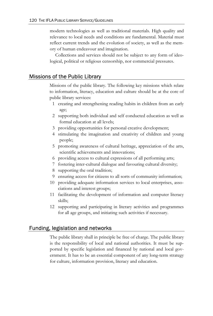modern technologies as well as traditional materials. High quality and relevance to local needs and conditions are fundamental. Material must reflect current trends and the evolution of society, as well as the memory of human endeavour and imagination.

Collections and services should not be subject to any form of ideological, political or religious censorship, nor commercial pressures.

## Missions of the Public Library

Missions of the public library. The following key missions which relate to information, literacy, education and culture should be at the core of public library services:

- 1 creating and strengthening reading habits in children from an early age;
- 2 supporting both individual and self conducted education as well as formal education at all levels;
- 3 providing opportunities for personal creative development;
- 4 stimulating the imagination and creativity of children and young people;
- 5 promoting awareness of cultural heritage, appreciation of the arts, scientific achievements and innovations;
- 6 providing access to cultural expressions of all performing arts;
- 7 fostering inter-cultural dialogue and favouring cultural diversity;
- 8 supporting the oral tradition;
- 9 ensuring access for citizens to all sorts of community information;
- 10 providing adequate information services to local enterprises, associations and interest groups;
- 11 facilitating the development of information and computer literacy skills;
- 12 supporting and participating in literary activities and programmes for all age groups, and initiating such activities if necessary.

## Funding, legislation and networks

The public library shall in principle be free of charge. The public library is the responsibility of local and national authorities. It must be supported by specific legislation and financed by national and local government. It has to be an essential component of any long-term strategy for culture, information provision, literacy and education.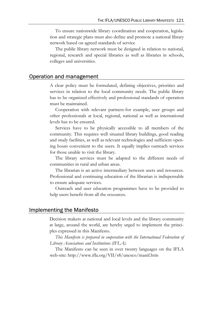To ensure nationwide library coordination and cooperation, legislation and strategic plans must also define and promote a national library network based on agreed standards of service

The public library network must be designed in relation to national, regional, research and special libraries as well as libraries in schools, colleges and universities.

#### Operation and management

A clear policy must be formulated, defining objectives, priorities and services in relation to the local community needs. The public library has to be organized effectively and professional standards of operation must be maintained.

Cooperation with relevant partners-for example, user groups and other professionals at local, regional, national as well as international levels has to be ensured.

Services have to be physically accessible to all members of the community. This requires well situated library buildings, good reading and study facilities, as well as relevant technologies and sufficient opening hours convenient to the users. It equally implies outreach services for those unable to visit the library.

The library services must be adapted to the different needs of communities in rural and urban areas.

The librarian is an active intermediary between users and resources. Professional and continuing education of the librarian is indispensable to ensure adequate services.

Outreach and user education programmes have to be provided to help users benefit from all the resources.

#### Implementing the Manifesto

Decision makers at national and local levels and the library community at large, around the world, are hereby urged to implement the principles expressed in this Manifesto.

*This Manifesto is prepared in cooperation with the International Federation of Library Associations and Institutions (IFLA).* 

The Manifesto can be seen in over twenty languages on the IFLA web-site: http://www.ifla.org/VII/s8/unesco/manif.htm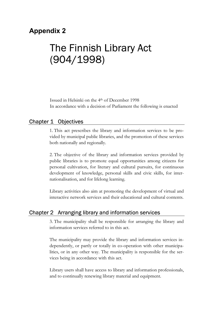## The Finnish Library Act (904/1998)

Issued in Helsinki on the 4th of December 1998 In accordance with a decision of Parliament the following is enacted

## Chapter 1 Objectives

1. This act prescribes the library and information services to be provided by municipal public libraries, and the promotion of these services both nationally and regionally.

2. The objective of the library and information services provided by public libraries is to promote equal opportunities among citizens for personal cultivation, for literary and cultural pursuits, for continuous development of knowledge, personal skills and civic skills, for internationalisation, and for lifelong learning.

Library activities also aim at promoting the development of virtual and interactive network services and their educational and cultural contents.

## Chapter 2 Arranging library and information services

3. The municipality shall be responsible for arranging the library and information services referred to in this act.

The municipality may provide the library and information services independently, or partly or totally in co-operation with other municipalities, or in any other way. The municipality is responsible for the services being in accordance with this act.

Library users shall have access to library and information professionals, and to continually renewing library material and equipment.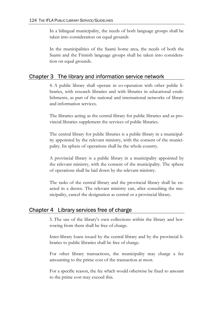In a bilingual municipality, the needs of both language groups shall be taken into consideration on equal grounds

In the municipalities of the Saami home area, the needs of both the Saami and the Finnish language groups shall be taken into consideration on equal grounds.

## Chapter 3 The library and information service network

4. A public library shall operate in co-operation with other public libraries, with research libraries and with libraries in educational establishments, as part of the national and international networks of library and information services.

The libraries acting as the central library for public libraries and as provincial libraries supplement the services of public libraries.

The central library for public libraries is a public library in a municipality appointed by the relevant ministry, with the consent of the municipality. Its sphere of operations shall be the whole country.

A provincial library is a public library in a municipality appointed by the relevant ministry, with the consent of the municipality. The sphere of operations shall be laid down by the relevant ministry.

The tasks of the central library and the provincial library shall be enacted in a decree. The relevant ministry can, after consulting the municipality, cancel the designation as central or a provincial library.

## Chapter 4 Library services free of charge

5. The use of the library's own collections within the library and borrowing from them shall be free of charge.

Inter-library loans issued by the central library and by the provincial libraries to public libraries shall be free of charge.

For other library transactions, the municipality may charge a fee amounting to the prime cost of the transaction at most.

For a specific reason, the fee which would otherwise be fixed to amount to the prime cost may exceed this.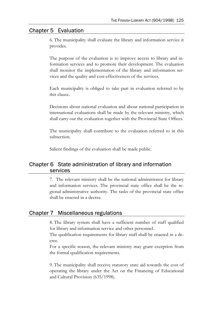#### Chapter 5 Evaluation

6. The municipality shall evaluate the library and information service it provides.

The purpose of the evaluation is to improve access to library and information services and to promote their development. The evaluation shall monitor the implementation of the library and information services and the quality and cost-effectiveness of the services.

Each municipality is obliged to take part in evaluation referred to by this clause.

Decisions about national evaluation and about national participation in international evaluations shall be made by the relevant ministry, which shall carry out the evaluation together with the Provincial State Offices.

The municipality shall contribute to the evaluation referred to in this subsection.

Salient findings of the evaluation shall be made public.

## Chapter 6 State administration of library and information services

7. The relevant ministry shall be the national administrator for library and information services. The provincial state office shall be the regional administrative authority. The tasks of the provincial state office shall be enacted in a decree.

#### Chapter 7 Miscellaneous regulations

8. The library system shall have a sufficient number of staff qualified for library and information service and other personnel.

The qualification requirements for library staff shall be enacted in a decree.

For a specific reason, the relevant ministry may grant exception from the formal qualification requirements.

9. The municipality shall receive statutory state aid towards the cost of operating the library under the Act on the Financing of Educational and Cultural Provision (635/1998).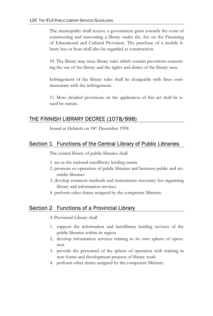The municipality shall receive a government grant towards the costs of constructing and renovating a library under the Act on the Financing of Educational and Cultural Provision. The purchase of a mobile library bus or boat shall also be regarded as construction.

10. The library may issue library rules which contain provisions concerning the use of the library and the rights and duties of the library user.

Infringement of the library rules shall be chargeable with fines commensurate with the infringement.

11. More detailed provisions on the application of this act shall be issued by statute.

## THE FINNISH LIBRARY DECREE (1078/998)

Issued at Helsinki on 18th December 1998

## Section 1 Functions of the Central Library of Public Libraries

The central library of public libraries shall

- 1. act as the national interlibrary lending centre
- 2. promote co-operation of public libraries and between public and scientific libraries
- 3. develop common methods and instruments necessary for organising library and information services
- 4. perform other duties assigned by the competent Ministry.

## Section 2 Functions of a Provincial Library

A Provincial Library shall

- 1. support the information and interlibrary lending services of the public libraries within its region
- 2. develop information services relating to its own sphere of operation
- 3. provide the personnel of the sphere of operation with training in new forms and development projects of library work
- 4. perform other duties assigned by the competent Ministry.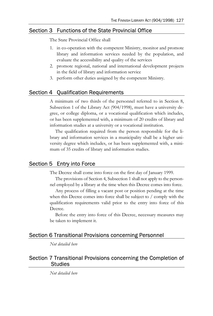#### Section 3 Functions of the State Provincial Office

The State Provincial Office shall

- 1. in co-operation with the competent Ministry, monitor and promote library and information services needed by the population, and evaluate the accessibility and quality of the services
- 2. promote regional, national and international development projects in the field of library and information service
- 3. perform other duties assigned by the competent Ministry.

## Section 4 Qualification Requirements

A minimum of two thirds of the personnel referred to in Section 8, Subsection 1 of the Library Act (904/1998), must have a university degree, or college diploma, or a vocational qualification which includes, or has been supplemented with, a minimum of 20 credits of library and information studies at a university or a vocational institution.

The qualification required from the person responsible for the library and information services in a municipality shall be a higher university degree which includes, or has been supplemented with, a minimum of 35 credits of library and information studies.

## Section 5 Entry into Force

The Decree shall come into force on the first day of January 1999.

The provisions of Section 4, Subsection 1 shall not apply to the personnel employed by a library at the time when this Decree comes into force.

Any process of filling a vacant post or position pending at the time when this Decree comes into force shall be subject to / comply with the qualification requirements valid prior to the entry into force of this Decree.

Before the entry into force of this Decree, necessary measures may be taken to implement it.

## Section 6 Transitional Provisions concerning Personnel

*Not detailed here* 

## Section 7 Transitional Provisions concerning the Completion of Studies

*Not detailed here*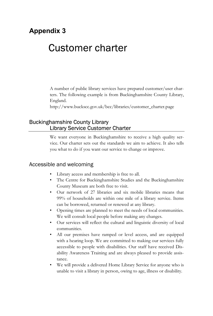## **Appendix 3**

## Customer charter

A number of public library services have prepared customer/user charters. The following example is from Buckinghamshire County Library, England.

http://www.buckscc.gov.uk/bcc/libraries/customer\_charter.page

## Buckinghamshire County Library Library Service Customer Charter

We want everyone in Buckinghamshire to receive a high quality service. Our charter sets out the standards we aim to achieve. It also tells you what to do if you want our service to change or improve.

## Accessible and welcoming

- Library access and membership is free to all.
- The Centre for Buckinghamshire Studies and the Buckinghamshire County Museum are both free to visit.
- Our network of 27 libraries and six mobile libraries means that 99% of households are within one mile of a library service. Items can be borrowed, returned or renewed at any library.
- Opening times are planned to meet the needs of local communities. We will consult local people before making any changes.
- Our services will reflect the cultural and linguistic diversity of local communities.
- All our premises have ramped or level access, and are equipped with a hearing loop. We are committed to making our services fully accessible to people with disabilities. Our staff have received Disability Awareness Training and are always pleased to provide assistance.
- We will provide a delivered Home Library Service for anyone who is unable to visit a library in person, owing to age, illness or disability.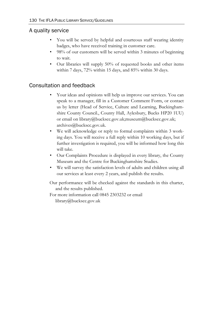## A quality service

- You will be served by helpful and courteous staff wearing identity badges, who have received training in customer care.
- 98% of our customers will be served within 3 minutes of beginning to wait.
- Our libraries will supply 50% of requested books and other items within 7 days, 72% within 15 days, and 85% within 30 days.

## Consultation and feedback

- Your ideas and opinions will help us improve our services. You can speak to a manager, fill in a Customer Comment Form, or contact us by letter (Head of Service, Culture and Learning, Buckinghamshire County Council., County Hall, Aylesbury, Bucks HP20 1UU) or email on library@buckscc.gov.uk;museum@buckscc.gov.uk; archives@buckscc.gov.uk.
- We will acknowledge or reply to formal complaints within 3 working days. You will receive a full reply within 10 working days, but if further investigation is required, you will be informed how long this will take.
- Our Complaints Procedure is displayed in every library, the County Museum and the Centre for Buckinghamshire Studies.
- We will survey the satisfaction levels of adults and children using all our services at least every 2 years, and publish the results.

Our performance will be checked against the standards in this charter, and the results published.

For more information call 0845 2303232 or email

library@buckscc.gov.uk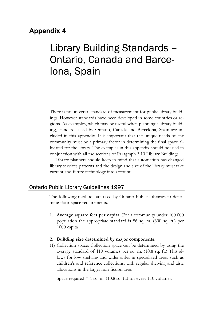## **Appendix 4**

## Library Building Standards – Ontario, Canada and Barcelona, Spain

There is no universal standard of measurement for public library buildings. However standards have been developed in some countries or regions. As examples, which may be useful when planning a library building, standards used by Ontario, Canada and Barcelona, Spain are included in this appendix. It is important that the unique needs of any community must be a primary factor in determining the final space allocated for the library. The examples in this appendix should be used in conjunction with all the sections of Paragraph 3.10 Library Buildings.

Library planners should keep in mind that automation has changed library services patterns and the design and size of the library must take current and future technology into account.

## Ontario Public Library Guidelines 1997

The following methods are used by Ontario Public Libraries to determine floor-space requirements.

- **1. Average square feet per capita.** For a community under 100 000 population the appropriate standard is 56 sq. m. (600 sq. ft.) per 1000 capita
- **2. Building size determined by major components.**
- (1) Collection space: Collection space can be determined by using the average standard of 110 volumes per sq. m. (10.8 sq. ft.) This allows for low shelving and wider aisles in specialized areas such as children's and reference collections, with regular shelving and aisle allocations in the larger non-fiction area.

Space required  $= 1$  sq. m. (10.8 sq. ft.) for every 110 volumes.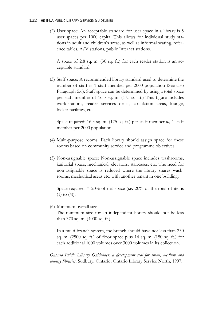(2) User space: An acceptable standard for user space in a library is 5 user spaces per 1000 capita. This allows for individual study stations in adult and children's areas, as well as informal seating, reference tables, A/V stations, public Internet stations.

 A space of 2.8 sq. m. (30 sq. ft.) for each reader station is an acceptable standard.

(3) Staff space: A recommended library standard used to determine the number of staff is 1 staff member per 2000 population (See also Paragraph 5.6). Staff space can be determined by using a total space per staff member of 16.3 sq. m. (175 sq. ft.) This figure includes work-stations, reader services desks, circulation areas, lounge, locker facilities, etc.

Space required: 16.3 sq. m. (175 sq. ft.) per staff member  $\omega$  1 staff member per 2000 population.

- (4) Multi-purpose rooms: Each library should assign space for these rooms based on community service and programme objectives.
- (5) Non-assignable space: Non-assignable space includes washrooms, janitorial space, mechanical, elevators, staircases, etc. The need for non-assignable space is reduced where the library shares washrooms, mechanical areas etc. with another tenant in one building.

Space required  $= 20\%$  of net space (i.e. 20% of the total of items  $(1)$  to  $(4)$ ).

(6) Minimum overall size

 The minimum size for an independent library should not be less than 370 sq. m. (4000 sq. ft.).

 In a multi-branch system, the branch should have not less than 230 sq. m. (2500 sq. ft.) of floor space plus 14 sq. m. (150 sq. ft.) for each additional 1000 volumes over 3000 volumes in its collection.

*Ontario Public Library Guidelines: a development tool for small, medium and country libraries*, Sudbury, Ontario, Ontario Library Service North, 1997.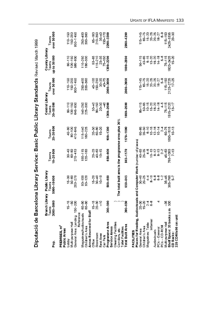| Diputació de Barcelona Library Service: Basic Public Library Standards Revised March 1999 |                                      |                                                        |                     |                        |                                      |                     |                                        |                            |
|-------------------------------------------------------------------------------------------|--------------------------------------|--------------------------------------------------------|---------------------|------------------------|--------------------------------------|---------------------|----------------------------------------|----------------------------|
| Pop.                                                                                      | Branch Library<br>9000-5000<br>Towns | Public Library<br>5000-10000<br><b>Lowns</b>           | $10-20000$<br>Towns | 20-30 000<br>Towns     | Central Library<br>30-50000<br>Towns | over 50000<br>Towns | County Library<br>up to 50000<br>Towns | over 50000<br>Towns        |
| PREMISES, m <sup>2</sup><br><b>Public Areas</b>                                           |                                      |                                                        |                     |                        |                                      |                     |                                        |                            |
| <b>Lobby</b>                                                                              | $15 - 15$                            | $15 - 30$                                              | 30-80<br>90-90      | $40-60$<br>80-100      | 9D-1-08                              | $10 - 150$          | 60-110                                 | $110 - 150$<br>$150 - 200$ |
| Multi-purpose Hall                                                                        | န                                    | $50 - 60$                                              |                     |                        | $00 - 150$                           | 150-20              | 00-150                                 |                            |
| Reference<br>General Area: Lending                                                        | 130-200                              | 200-270                                                | 270-410             | 110-645                | 345-930                              | 930-1450            | <b>DE6-08</b>                          | 930-1450                   |
| Magazines/Audiovisuals                                                                    | $60 - 90$                            | 90-100                                                 | $00 - 115$          | $15 - 140$             | 40-250                               | $250 - 400$         | $110 - 250$                            | 250-400                    |
| Children's Area                                                                           | ვე<br>ქ                              | $90 - 120$                                             | $20 - 160$          | $60 - 225$             | 225-300                              | 300-360             | 80-300                                 | 300-360                    |
| Areas Reserved for Staff                                                                  |                                      |                                                        |                     |                        |                                      |                     |                                        |                            |
| Office                                                                                    | $15 - 15$                            | $15 - 20$                                              |                     | 30-80<br>00-80         | $30 - 40$                            | $40 - 100$          | 50-65                                  |                            |
| Storeroom                                                                                 | $20 - 30$                            | $30 - 40$                                              | 20-80<br>20-90      |                        | BQ-150                               | $150 - 230$         | $115 - 210$                            | 65-180<br>210-350          |
| Rest Area                                                                                 | ۹r                                   | $10 - 10$                                              | $10 - 15$           | $15 - 20$              | $20 - 30$                            | $30 - 35$           | $20 - 35$                              | 35–40                      |
| Car Park                                                                                  |                                      |                                                        |                     |                        | ş                                    | 40-75               | $75 - 150$                             | 150-170                    |
| Programme Area<br>Service Areas                                                           | 300-500                              | $500 - 650$                                            | 650-900             | $900 - 1300$           | 1300–2000                            | 2000-3000           | $ 300 - 2200$                          | 2200-3300                  |
| <b>Cleaning Facilities</b><br>Corridors, etc.                                             |                                      | The total built area is the programme area plus $30\%$ |                     |                        |                                      |                     |                                        |                            |
| <b>Toilet Facilities</b>                                                                  |                                      |                                                        |                     |                        |                                      |                     |                                        |                            |
| <b>Total Built Area</b>                                                                   | 390-650                              | 650-845                                                | 845-1170            | 1170-1690              | 1690-2600                            | 2600-3900           | 1690-2860                              | 2860-4290                  |
| <b>FACILITIES</b>                                                                         |                                      |                                                        |                     |                        |                                      |                     |                                        |                            |
| Places for Reading, Audiovisuals and Computer Work (number of places)                     |                                      |                                                        |                     |                        |                                      |                     |                                        |                            |
| General Area                                                                              | $20 - 30$                            | ទីដូ<br>ទីភ្ន                                          | 40-60               | $30 - 85$              | $85 - 15$                            | $15 - 145$          | ar<br>Lai                              | 115-145                    |
| Children's Area                                                                           | $15 - 20$                            |                                                        | $25 - 35$           | $35 - 50$              | 50-65                                | $65 - 75$           | 40–65                                  | $65 - 75$                  |
| Magazines: Table                                                                          | $\overline{1}$                       | 1                                                      | $\frac{9}{4}$       | $6-10$                 | $10 - 15$                            | $15 - 20$           | $6 - 15$                               | $15 - 20$                  |
| nformal                                                                                   | <u>၅</u>                             | $8 - 10$                                               | $10 - 10$           | $10 - 15$              | $15 - 20$                            |                     | $10 - 20$                              |                            |
| Audiovisuals                                                                              |                                      | ္မွဳ ဦ                                                 | $8 - 12$            | $12 - 16$<br>$10 - 14$ | $16 - 20$<br>$14 - 18$               | 88827<br>888        | $16 - 20$                              | 3<br>23<br>22<br>23        |
| PCs-General                                                                               | 4                                    |                                                        | $\frac{0}{10}$      |                        |                                      |                     | $14 - 18$                              |                            |
| PCs-CD-ROM                                                                                |                                      | $1-2$                                                  | $2 - 2$             | $\frac{1}{4}$          | $\frac{4}{3}$                        | ျီ                  | ں<br>م                                 | J                          |
| Multi-purpose Hal                                                                         | နိ                                   | $35 - 45$                                              | 45-60               | $60 - 75$              | 75–115                               | $115 - 150$         | 75–115                                 | $115 - 150$                |
| Shelf Space: 33 books x m                                                                 | 300                                  | $395 - 760$                                            | 760-1090            | 1090-1515              | 1515-2120                            | 2120-2725           | 820-2425                               | 2425-3335                  |
| CD Racks:                                                                                 |                                      | 57                                                     | $7-10$              | $0-13$                 | $13 - 17$                            |                     | $15 - 20$                              | ვე<br>გ                    |
| 225 CD/60x90 cm unit                                                                      |                                      |                                                        |                     |                        |                                      |                     |                                        |                            |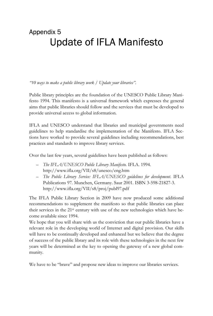### Appendix 5 Update of IFLA Manifesto

*"10 ways to make a public library work / Update your libraries"*.

Public library principles are the foundation of the UNESCO Public Library Manifesto 1994. This manifesto is a universal framework which expresses the general aims that public libraries should follow and the services that must be developed to provide universal access to global information.

IFLA and UNESCO understand that libraries and municipal governments need guidelines to help standardise the implementation of the Manifesto. IFLA Sections have worked to provide several guidelines including recommendations, best practices and standards to improve library services.

Over the last few years, several guidelines have been published as follows:

- *The IFLA/UNESCO Public Library Manifesto*. IFLA. 1994. http://www.ifla.org/VII/s8/unesco/eng.htm
- *The Public Library Service: IFLA/UNESCO guidelines for development*. IFLA Publications 97. Munchen, Germany. Saur 2001. ISBN 3-598-21827-3. http://www.ifla.org/VII/s8/proj/publ97.pdf

The IFLA Public Library Section in 2009 have now produced some additional recommendations to supplement the manifesto so that public libraries can place their services in the 21st century with use of the new technologies which have become available since 1994.

We hope that you will share with us the conviction that our public libraries have a relevant role in the developing world of Internet and digital provision. Our skills will have to be continually developed and enhanced but we believe that the degree of success of the public library and its role with these technologies in the next few years will be determined as the key to opening the gateway of a new global community.

We have to be "brave" and propose new ideas to improve our libraries services.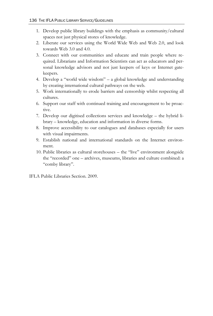- 1. Develop public library buildings with the emphasis as community/cultural spaces not just physical stores of knowledge.
- 2. Liberate our services using the World Wide Web and Web 2.0, and look towards Web 3.0 and 4.0.
- 3. Connect with our communities and educate and train people where required. Librarians and Information Scientists can act as educators and personal knowledge advisors and not just keepers of keys or Internet gatekeepers.
- 4. Develop a "world wide wisdom" a global knowledge and understanding by creating international cultural pathways on the web.
- 5. Work internationally to erode barriers and censorship whilst respecting all cultures.
- 6. Support our staff with continued training and encouragement to be proactive.
- 7. Develop our digitised collections services and knowledge the hybrid library – knowledge, education and information in diverse forms.
- 8. Improve accessibility to our catalogues and databases especially for users with visual impairments.
- 9. Establish national and international standards on the Internet environment.
- 10. Public libraries as cultural storehouses the "live" environment alongside the "recorded" one – archives, museums, libraries and culture combined: a "comby library".

IFLA Public Libraries Section. 2009.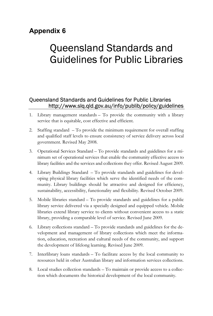### **Appendix 6**

# Queensland Standards and Guidelines for Public Libraries

#### Queensland Standards and Guidelines for Public Libraries http://www.slq.qld.gov.au/info/publib/policy/guidelines

- 1. Library management standards To provide the community with a library service that is equitable, cost effective and efficient.
- 2. Staffing standard To provide the minimum requirement for overall staffing and qualified staff levels to ensure consistency of service delivery across local government. Revised May 2008.
- 3. Operational Services Standard To provide standards and guidelines for a minimum set of operational services that enable the community effective access to library facilities and the services and collections they offer. Revised August 2009.
- 4. Library Buildings Standard To provide standards and guidelines for developing physical library facilities which serve the identified needs of the community. Library buildings should be attractive and designed for efficiency, sustainability, accessibility, functionality and flexibility. Revised October 2009.
- 5. Mobile libraries standard To provide standards and guidelines for a public library service delivered via a specially designed and equipped vehicle. Mobile libraries extend library service to clients without convenient access to a static library, providing a comparable level of service. Revised June 2009.
- 6. Library collections standard To provide standards and guidelines for the development and management of library collections which meet the information, education, recreation and cultural needs of the community, and support the development of lifelong learning. Revised June 2009.
- 7. Interlibrary loans standards To facilitate access by the local community to resources held in other Australian library and information services collections.
- 8. Local studies collection standards To maintain or provide access to a collection which documents the historical development of the local community.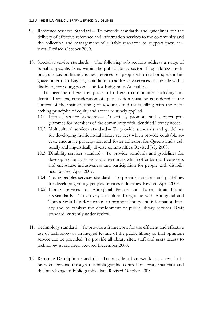- 9. Reference Services Standard To provide standards and guidelines for the delivery of effective reference and information services to the community and the collection and management of suitable resources to support these services. Revised October 2009.
- 10. Specialist service standards The following sub-sections address a range of possible specialisations within the public library sector. They address the library's focus on literacy issues, services for people who read or speak a language other than English, in addition to addressing services for people with a disability, for young people and for Indigenous Australians.

To meet the different emphases of different communities including unidentified groups, consideration of specialisation must be considered in the context of the mainstreaming of resources and multiskilling with the overarching principles of equity and access routinely applied.

- 10.1 Literacy service standards To actively promote and support programmes for members of the community with identified literacy needs.
- 10.2 Multicultural services standard To provide standards and guidelines for developing multicultural library services which provide equitable access, encourage participation and foster cohesion for Queensland's culturally and linguistically diverse communities. Revised July 2008.
- 10.3 Disability services standard To provide standards and guidelines for developing library services and resources which offer barrier-free access and encourage inclusiveness and participation for people with disabilities. Revised April 2009.
- 10.4 Young peoples services standard To provide standards and guidelines for developing young peoples services in libraries. Revised April 2009.
- 10.5 Library services for Aboriginal People and Torres Strait Islanders standards – To actively consult and negotiate with Aboriginal and Torres Strait Islander peoples to promote library and information literacy and to catalyse the development of public library services. Draft standard currently under review.
- 11. Technology standard To provide a framework for the efficient and effective use of technology as an integral feature of the public library so that optimum service can be provided. To provide all library sites, staff and users access to technology as required. Revised December 2008.
- 12. Resource Description standard To provide a framework for access to library collections, through the bibliographic control of library materials and the interchange of bibliographic data. Revised October 2008.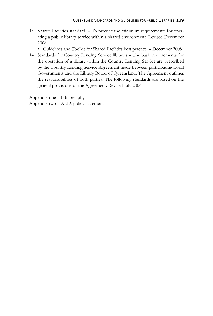- 13. Shared Facilities standard To provide the minimum requirements for operating a public library service within a shared environment. Revised December 2008.
	- Guidelines and Toolkit for Shared Facilities best practice December 2008.
- 14. Standards for Country Lending Service libraries The basic requirements for the operation of a library within the Country Lending Service are prescribed by the Country Lending Service Agreement made between participating Local Governments and the Library Board of Queensland. The Agreement outlines the responsibilities of both parties. The following standards are based on the general provisions of the Agreement. Revised July 2004.

Appendix one – Bibliography Appendix two – ALIA policy statements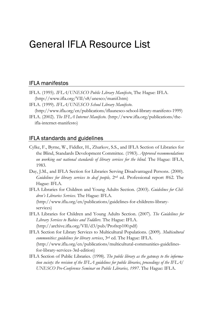# General IFLA Resource List

#### IFLA manifestos

- IFLA. (1995). *IFLA/UNESCO Public Library Manifesto*, The Hague: IFLA. (http://www.ifla.org/VII/s8/unesco/manif.htm)
- IFLA. (1999). *IFLA/UNESCO School Library Manifesto*.
- (http://www.ifla.org/en/publications/iflaunesco-school-library-manifesto-1999)
- IFLA. (2002). *The IFLA Internet Manifesto*. (http://www.ifla.org/publications/theifla-internet-manifesto)

#### IFLA standards and guidelines

- Cylke, F., Byrne, W., Fiddler, H., Zharkov, S.S., and IFLA Section of Libraries for the Blind, Standards Development Committee. (1983). *Approved recommendations on working out national standards of library services for the blind*. The Hague: IFLA, 1983.
- Day, J.M., and IFLA Section for Libraries Serving Disadvantaged Persons. (2000). *Guidelines for library services to deaf people,* 2nd ed. Professional report #62. The Hague: IFLA.
- IFLA Libraries for Children and Young Adults Section. (2003). *Guidelines for Children's Libraries Services*. The Hague: IFLA. (http://www.ifla.org/en/publications/guidelines-for-childrens-libraryservices)
- IFLA Libraries for Children and Young Adults Section. (2007). *The Guidelines for Library Services to Babies and Toddlers.* The Hague: IFLA. (http://archive.ifla.org/VII/d3/pub/Profrep100.pdf)
- IFLA Section for Library Services to Multicultural Populations. (2009). *Multicultural communities: guidelines for library services*, 3rd ed. The Hague: IFLA. (http://www.ifla.org/en/publications/multicultural-communities-guidelinesfor-library-services-3rd-edition)
- IFLA Section of Public Libraries. (1998). *The public library as the gateway to the information society: the revision of the IFLA guidelines for public libraries*, *proceedings of the IFLA/ UNESCO Pre-Conference Seminar on Public Libraries, 1997*. The Hague: IFLA.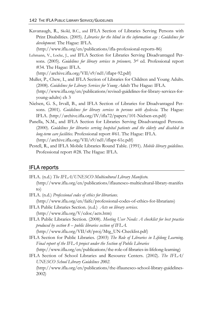Kavanaugh, R., Sköld, B.C., and IFLA Section of Libraries Serving Persons with Print Disabilities. (2005). *Libraries for the blind in the information age : Guidelines for development.* The Hague: IFLA.

(http://www.ifla.org/en/publications/ifla-professional-reports-86)

Lehmann, V., Locke, J., and IFLA Section for Libraries Serving Disadvantaged Persons. (2005). *Guidelines for library services to prisoners,* 3rd ed. Professional report #34. The Hague: IFLA.

(http://archive.ifla.org/VII/s9/nd1/iflapr-92.pdf)

- Muller, P., Chew, I., and IFLA Section of Libraries for Children and Young Adults. (2008). *Guidelines for Library Services for Young Adults* The Hague: IFLA*.*  (http://www.ifla.org/en/publications/revised-guidelines-for-library-services-foryoung-adults) ch 3
- Nielsen, G. S., Irvall, B., and IFLA Section of Libraries for Disadvantaged Persons. (2001). *Guidelines for library services to persons with dyslexia*. The Hague: IFLA. (http://archive.ifla.org/IV/ifla72/papers/101-Nielsen-en.pdf)
- Panella, N.M., and IFLA Section for Libraries Serving Disadvantaged Persons. (2000). *Guidelines for libraries serving hospital patients and the elderly and disabled in long-term care facilities*. Professional report #61. The Hague: IFLA. (http://archive.ifla.org/VII/s9/nd1/iflapr-61e.pdf)
- Pestell, R., and IFLA Mobile Libraries Round Table. (1991). *Mobile library guidelines*. Professional report #28. The Hague: IFLA.

#### IFLA reports

- IFLA. (n.d.) *The IFLA/UNESCO Multicultural Library Manifesto.* (http://www.ifla.org/en/publications/iflaunesco-multicultural-library-manifes to)
- IFLA. (n.d.) *Professional codes of ethics for librarians.*  (http://www.ifla.org/en/faife/professional-codes-of-ethics-for-librarians)
- IFLA Public Libraries Section. (n.d.) *Acts on library services*. ( http://www.ifla.org/V/cdoc/acts.htm)
- IFLA Public Libraries Section. (2008). *Meeting User Needs: A checklist for best practice produced by section 8 – public libraries section of IFLA*. (http://www.ifla.org/VII/s8/proj/Mtg\_UN-Checklist.pdf)
- IFLA Section for Public Libraries. (2003) *The Role of Libraries in Lifelong Learning. Final report of the IFLA project under the Section of Public Libraries* (http://www.ifla.org/en/publications/the-role-of-libraries-in-lifelong-learning)

IFLA Section of School Libraries and Resource Centers. (2002). *The IFLA/ UNESCO School Library Guidelines 2002.* (http://www.ifla.org/en/publications/the-iflaunesco-school-library-guidelines-2002)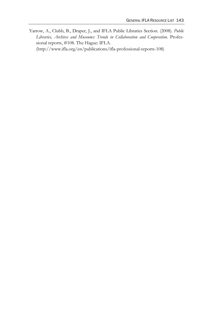Yarrow, A., Clubb, B., Draper, J., and IFLA Public Libraries Section. (2008). *Public Libraries, Archives and Museums: Trends in Collaboration and Cooperation*. Professional reports, #108. The Hague: IFLA.

(http://www.ifla.org/en/publications/ifla-professional-reports-108)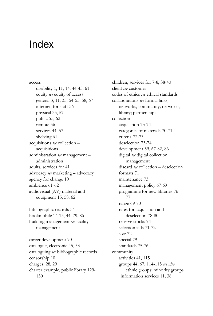## Index

access disability 1, 11, 14, 44-45, 61 equity *see* equity of access general 3, 11, 35, 54-55, 58, 67 internet, for staff 56 physical 35, 57 public 55, 62 remote 56 services 44, 57 shelving 61 acquisitions *see* collection – acquisitions administration *see* management – administration adults, services for 41 advocacy *see* marketing – advocacy agency for change 10 ambience 61-62 audiovisual (AV) material and equipment 15, 58, 62

bibliographic records 54 bookmobile 14-15, 44, 79, 86 building management *see* facility management

career development 90 catalogue, electronic 45, 53 cataloguing *see* bibliographic records censorship 10 charges 28, 29 charter example, public library 129- 130

children, services for 7-8, 38-40 client *see* customer codes of ethics *see* ethical standards collaborations *see* formal links; networks, community; networks, library; partnerships collection acquisition 73-74 categories of materials 70-71 criteria 72-73 deselection 73-74 development 59, 67-82, 86 digital *see* digital collection management discard *see* collection – deselection formats 71 maintenance 73 management policy 67-69 programme for new libraries 76- 77 range 69-70 rates for acquisition and deselection 78-80 reserve stocks 74 selection aids 71-72 size 72 special 79 standards 75-76 community activities 41, 115 groups 44, 67, 114-115 *see also* ethnic groups; minority groups information services 11, 38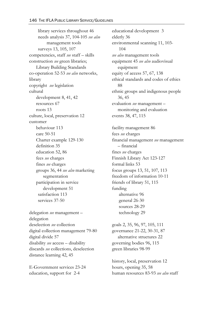library services throughout 46 needs analysis 37, 104-105 *see also*  management tools surveys 13, 105, 107 competencies, staff *see* staff – skills construction *see* green libraries; Library Building Standards co-operation 52-53 *see also* networks, library copyright *see* legislation cultural development 8, 41, 42 resources 67 roots 13 culture, local, preservation 12 customer behaviour 113 care 50-51 Charter example 129-130 definition 35 education 52, 86 fees *see* charges fines *see* charges groups 36, 44 *see also* marketing segmentation participation in service development 51 satisfaction 113 services 37-50

delegation *see* management – delegation deselection *see* collection digital collection management 79-80 digital divide 57 disability *see* access – disability discards *see* collections, deselection distance learning 42, 45

E-Government services 23-24 education, support for 2-4

educational development 3 elderly 36 environmental scanning 11, 103- 104 *see also* management tools equipment 45 *see also* audiovisual equipment equity of access 57, 67, 138 ethical standards and codes of ethics 88 ethnic groups and indigenous people 36, 45 evaluation *see* management – monitoring and evaluation events 38, 47, 115 facility management 86 fees *see* charges financial management *see* management – financial fines *see* charges Finnish Library Act 123-127 formal links 53 focus groups 13, 51, 107, 113 freedom of information 10-11 friends of library 51, 115 funding alternative 96 general 26-30 sources 28-29 technology 29

goals 2, 35, 96, 97, 105, 111 governance 21-22, 30-31, 87 alternative structures 22 governing bodies 96, 115 green libraries 98-99

history, local, preservation 12 hours, opening 35, 58 human resources 83-93 *see also* staff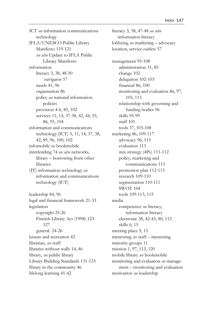ICT *see* information communications technology IFLA/UNESCO Public Library Manifesto 119-121 *see also* Update to IFLA Public Library Manifesto information literacy 3, 38, 48-50 navigator 57 needs 41, 96 organisation 86 policy *see* national information policies provision 4-6, 85, 102 services 11, 14, 37-38, 42, 44, 55, 86, 95, 104 information and communications technology (ICT) 5, 11, 14, 37, 38, 42, 89, 96, 100, 102 infomobile *see* bookmobile interlending 74 *see also* networks, library – borrowing from other libraries (IT) information technology *see* information and communications technology (ICT) leadership 84, 96 legal and financial framework 21-33 legislation copyright 25-26 Finnish Library Act (1998) 123- 127 general 24-26 leisure and recreation 42 librarian, *see* staff libraries without walls 14, 46 library, *see* public library Library Building Standards 131-133 library in the community 46 lifelong learning 41-42

literacy 3, 38, 47-48 *see also*  information literacy lobbying *see* marketing – advocacy location, service outlets 57 management 95-108 administration 31, 85 change 102 delegation 102-103 financial 86, 100 monitoring and evaluation 86, 97, 105, 113 relationship with governing and funding bodies 96 skills 95-99 staff 101 tools 37, 103-108 marketing 86, 109-117 advocacy 96, 115 evaluation 113 mix strategy (4Ps) 111-112 policy, marketing and communications 113 promotion plan 112-113 research 109-110 segmentation 110-111 SWOT 104 tools 109-113, 115 media competence *see* literacy, information literacy electronic 38, 42-43, 80, 112 skills 6, 15 meeting place 9, 15 mentoring *see* staff – mentoring minority groups 11 mission 1, 97, 113, 120 mobile library *see* bookmobile monitoring and evaluation *see* management – monitoring and evaluation motivation *see* leadership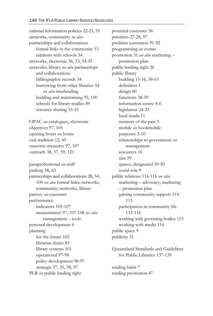national information policies 22-23, 55 networks, community *see also*  partnerships and collaborations formal links in the community 53 relations with schools 54 networks, electronic 36, 53, 54-55 networks, library *see also* partnerships and collaborations bibliographic records 54 borrowing from other libraries 54 *see also* interlending building and maintaining 95, 100 schools for library studies 89 resource sharing 53-55 OPAC *see* catalogues, electronic objectives 97, 105 opening hours *see* hours

oral tradition 12, 45 outcome measures 97, 107 outreach 38, 57, 59, 121

paraprofessional *see* staff parking 58, 63 partnerships and collaborations 28, 54, 100 *see also* formal links; networks, community; networks, library patron, *see* customer performance indicators 105-107 measurement 97, 107-108 *see also*  management – tools personal development 6 planning for the future 102 librarian duties 85 library systems 101 operational 97-98 policy development 96-97 strategic 27, 35, 58, 97 PLR *see* public lending right

potential customer 36 priorities 27-28, 97 problem customers 91-92 programming *see* events promotion 31 *see also* marketing – promotion plan public lending right 26 public library building 15-16, 58-63 definition 1 design 60 functions 58-59 information centre 4-6 legislation 24-25 local needs 11 memory of the past 5 mobile *see* bookmobile purposes 2-10 relationships to government *see*  management resources 16 size 59 spaces, designated 59-50 social role 9 public relations 114-116 *see also*  marketing – advocacy; marketing – promotion plan gaining community support 114- 115 participation in community life 115-116 working with governing bodies 115 working with media 114 public space 9 publicity 31 Queensland Standards and Guidelines

reading habit 7 reading promotion 47

for Public Libraries 137-139